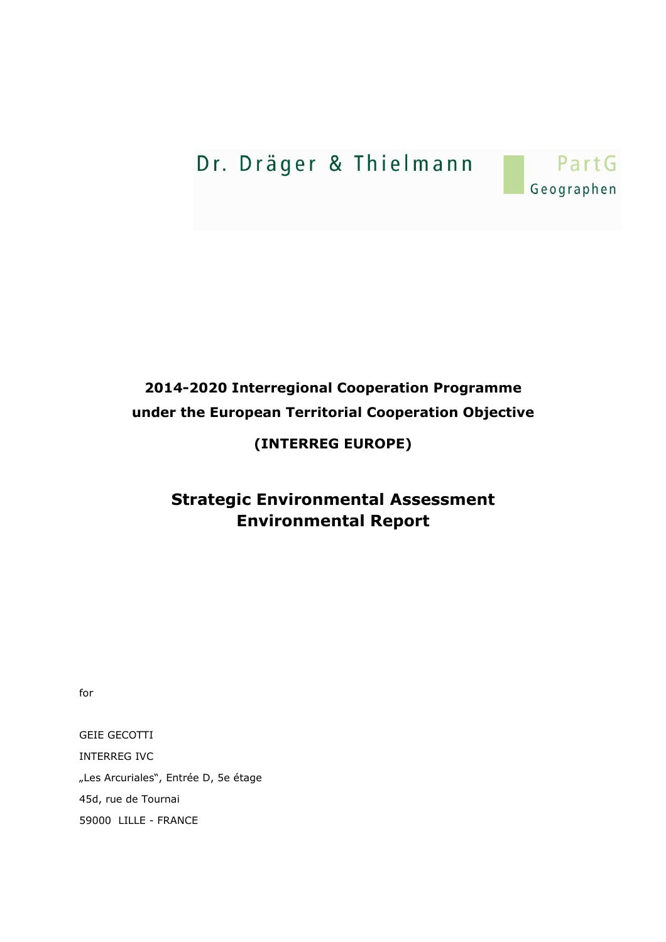# Dr. Dräger & Thielmann



# **2014-2020 Interregional Cooperation Programme under the European Territorial Cooperation Objective**

## **(INTERREG EUROPE)**

## **Strategic Environmental Assessment Environmental Report**

for

GEIE GECOTTI INTERREG IVC "Les Arcuriales", Entrée D, 5e étage 45d, rue de Tournai 59000 LILLE - FRANCE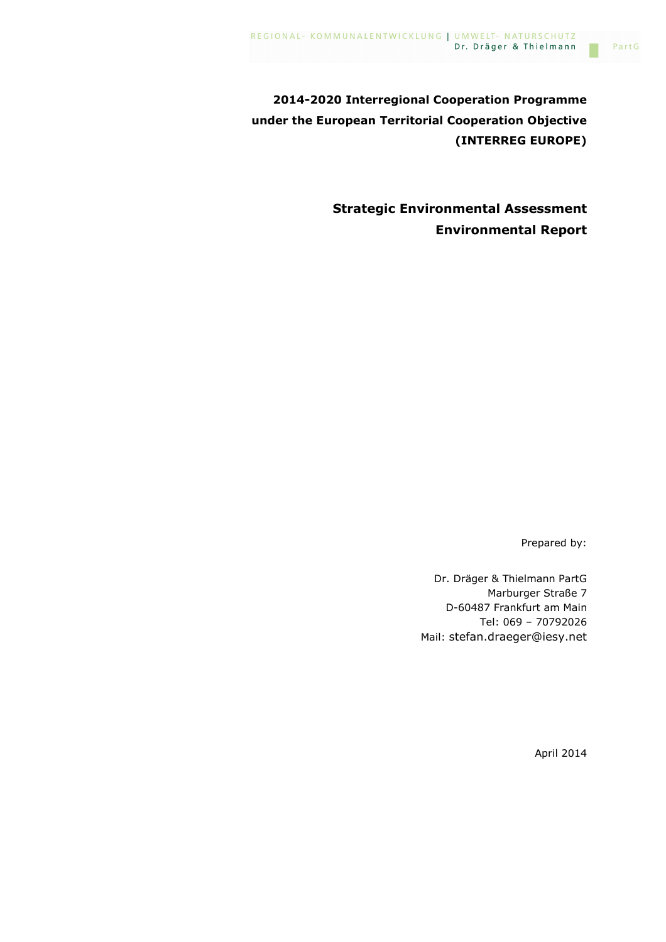**2014-2020 Interregional Cooperation Programme under the European Territorial Cooperation Objective (INTERREG EUROPE)** 

> **Strategic Environmental Assessment Environmental Report**

> > Prepared by:

Dr. Dräger & Thielmann PartG Marburger Straße 7 D-60487 Frankfurt am Main Tel: 069 – 70792026 Mail: stefan.draeger@iesy.net

April 2014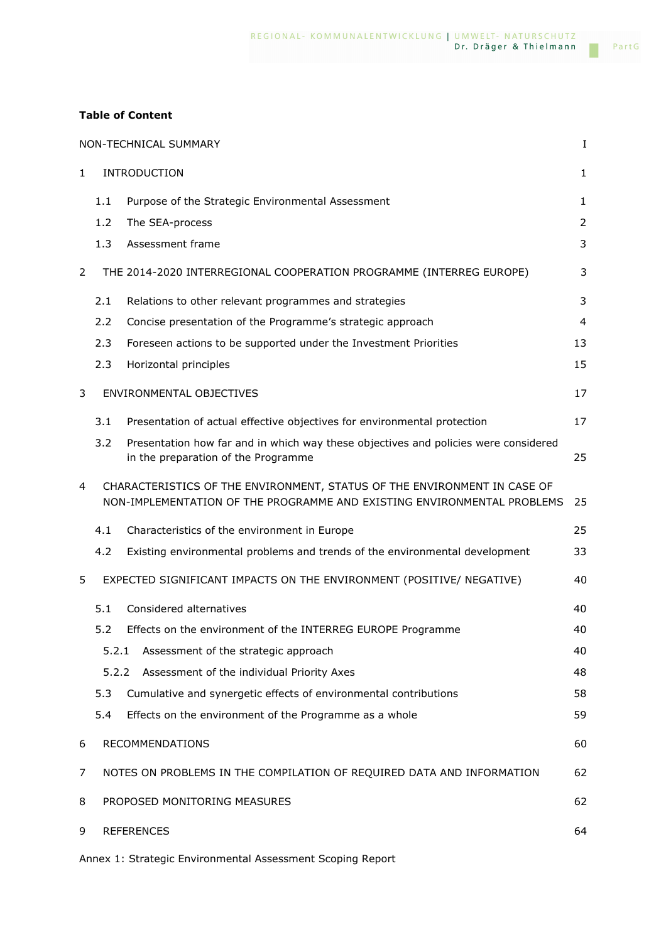### **Table of Content**

|              | NON-TECHNICAL SUMMARY<br>Ι. |                                                                                                                                                     |                |  |
|--------------|-----------------------------|-----------------------------------------------------------------------------------------------------------------------------------------------------|----------------|--|
| $\mathbf{1}$ |                             | <b>INTRODUCTION</b>                                                                                                                                 | 1              |  |
|              | 1.1                         | Purpose of the Strategic Environmental Assessment                                                                                                   | 1              |  |
|              | 1.2                         | The SEA-process                                                                                                                                     | $\overline{2}$ |  |
|              | 1.3                         | Assessment frame                                                                                                                                    | 3              |  |
| 2            |                             | THE 2014-2020 INTERREGIONAL COOPERATION PROGRAMME (INTERREG EUROPE)                                                                                 | 3              |  |
|              | 2.1                         | Relations to other relevant programmes and strategies                                                                                               | 3              |  |
|              | 2.2                         | Concise presentation of the Programme's strategic approach                                                                                          | $\overline{4}$ |  |
|              | 2.3                         | Foreseen actions to be supported under the Investment Priorities                                                                                    | 13             |  |
|              | 2.3                         | Horizontal principles                                                                                                                               | 15             |  |
| 3            |                             | ENVIRONMENTAL OBJECTIVES                                                                                                                            | 17             |  |
|              | 3.1                         | Presentation of actual effective objectives for environmental protection                                                                            | 17             |  |
|              | 3.2                         | Presentation how far and in which way these objectives and policies were considered<br>in the preparation of the Programme                          | 25             |  |
| 4            |                             | CHARACTERISTICS OF THE ENVIRONMENT, STATUS OF THE ENVIRONMENT IN CASE OF<br>NON-IMPLEMENTATION OF THE PROGRAMME AND EXISTING ENVIRONMENTAL PROBLEMS | 25             |  |
|              | 4.1                         | Characteristics of the environment in Europe                                                                                                        | 25             |  |
|              | 4.2                         | Existing environmental problems and trends of the environmental development                                                                         | 33             |  |
| 5            |                             | EXPECTED SIGNIFICANT IMPACTS ON THE ENVIRONMENT (POSITIVE/ NEGATIVE)                                                                                | 40             |  |
|              | 5.1                         | Considered alternatives                                                                                                                             | 40             |  |
|              | 5.2                         | Effects on the environment of the INTERREG EUROPE Programme                                                                                         | 40             |  |
|              | 5.2.1                       | Assessment of the strategic approach                                                                                                                | 40             |  |
|              | 5.2.2                       | Assessment of the individual Priority Axes                                                                                                          | 48             |  |
|              | 5.3                         | Cumulative and synergetic effects of environmental contributions                                                                                    | 58             |  |
|              | 5.4                         | Effects on the environment of the Programme as a whole                                                                                              | 59             |  |
| 6            |                             | RECOMMENDATIONS                                                                                                                                     | 60             |  |
| 7            |                             | NOTES ON PROBLEMS IN THE COMPILATION OF REQUIRED DATA AND INFORMATION                                                                               | 62             |  |
| 8            |                             | PROPOSED MONITORING MEASURES                                                                                                                        | 62             |  |
| 9            |                             | <b>REFERENCES</b>                                                                                                                                   | 64             |  |

Annex 1: Strategic Environmental Assessment Scoping Report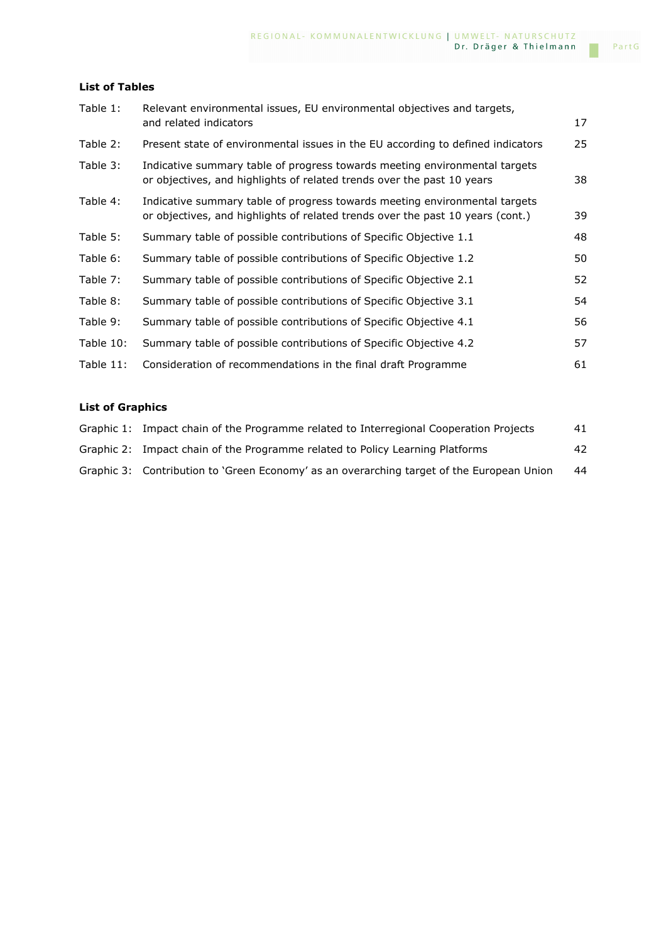### **List of Tables**

| Table 1:  | Relevant environmental issues, EU environmental objectives and targets,                                                                                      |    |
|-----------|--------------------------------------------------------------------------------------------------------------------------------------------------------------|----|
|           | and related indicators                                                                                                                                       | 17 |
| Table 2:  | Present state of environmental issues in the EU according to defined indicators                                                                              | 25 |
| Table 3:  | Indicative summary table of progress towards meeting environmental targets<br>or objectives, and highlights of related trends over the past 10 years         | 38 |
| Table 4:  | Indicative summary table of progress towards meeting environmental targets<br>or objectives, and highlights of related trends over the past 10 years (cont.) | 39 |
| Table 5:  | Summary table of possible contributions of Specific Objective 1.1                                                                                            | 48 |
| Table 6:  | Summary table of possible contributions of Specific Objective 1.2                                                                                            | 50 |
| Table 7:  | Summary table of possible contributions of Specific Objective 2.1                                                                                            | 52 |
| Table 8:  | Summary table of possible contributions of Specific Objective 3.1                                                                                            | 54 |
| Table 9:  | Summary table of possible contributions of Specific Objective 4.1                                                                                            | 56 |
| Table 10: | Summary table of possible contributions of Specific Objective 4.2                                                                                            | 57 |
| Table 11: | Consideration of recommendations in the final draft Programme                                                                                                | 61 |
|           |                                                                                                                                                              |    |

### **List of Graphics**

| Graphic 1: Impact chain of the Programme related to Interregional Cooperation Projects    | 41 |
|-------------------------------------------------------------------------------------------|----|
| Graphic 2: Impact chain of the Programme related to Policy Learning Platforms             | 42 |
| Graphic 3: Contribution to 'Green Economy' as an overarching target of the European Union | 44 |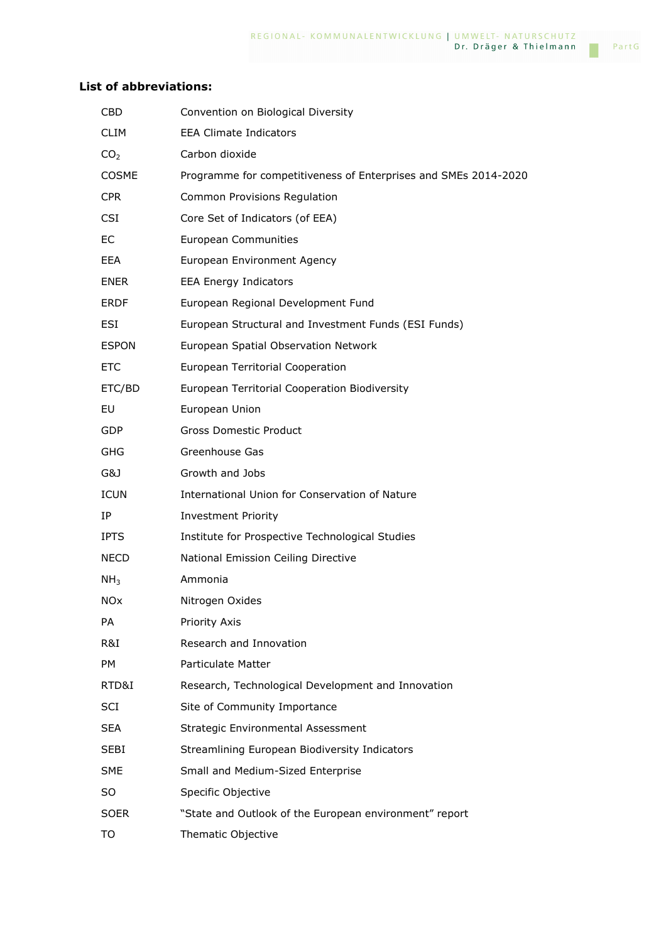### **List of abbreviations:**

| <b>CBD</b>      | Convention on Biological Diversity                              |
|-----------------|-----------------------------------------------------------------|
| <b>CLIM</b>     | <b>EEA Climate Indicators</b>                                   |
| CO <sub>2</sub> | Carbon dioxide                                                  |
| <b>COSME</b>    | Programme for competitiveness of Enterprises and SMEs 2014-2020 |
| <b>CPR</b>      | Common Provisions Regulation                                    |
| <b>CSI</b>      | Core Set of Indicators (of EEA)                                 |
| EC              | <b>European Communities</b>                                     |
| EEA.            | European Environment Agency                                     |
| <b>ENER</b>     | <b>EEA Energy Indicators</b>                                    |
| <b>ERDF</b>     | European Regional Development Fund                              |
| ESI             | European Structural and Investment Funds (ESI Funds)            |
| <b>ESPON</b>    | European Spatial Observation Network                            |
| ETC.            | European Territorial Cooperation                                |
| ETC/BD          | European Territorial Cooperation Biodiversity                   |
| EU              | European Union                                                  |
| <b>GDP</b>      | <b>Gross Domestic Product</b>                                   |
| <b>GHG</b>      | Greenhouse Gas                                                  |
| G&J             | Growth and Jobs                                                 |
| <b>ICUN</b>     | International Union for Conservation of Nature                  |
| IΡ              | <b>Investment Priority</b>                                      |
| <b>IPTS</b>     | Institute for Prospective Technological Studies                 |
| NECD.           | National Emission Ceiling Directive                             |
| NH <sub>3</sub> | Ammonia                                                         |
| NOx             | Nitrogen Oxides                                                 |
| PA              | Priority Axis                                                   |
| R&I.            | Research and Innovation                                         |
| PM              | Particulate Matter                                              |
| RTD&I           | Research, Technological Development and Innovation              |
| <b>SCI</b>      | Site of Community Importance                                    |
| <b>SEA</b>      | <b>Strategic Environmental Assessment</b>                       |
| SEBI            | Streamlining European Biodiversity Indicators                   |
| <b>SME</b>      | Small and Medium-Sized Enterprise                               |
| SO              | Specific Objective                                              |
| <b>SOER</b>     | "State and Outlook of the European environment" report          |
| TO              | Thematic Objective                                              |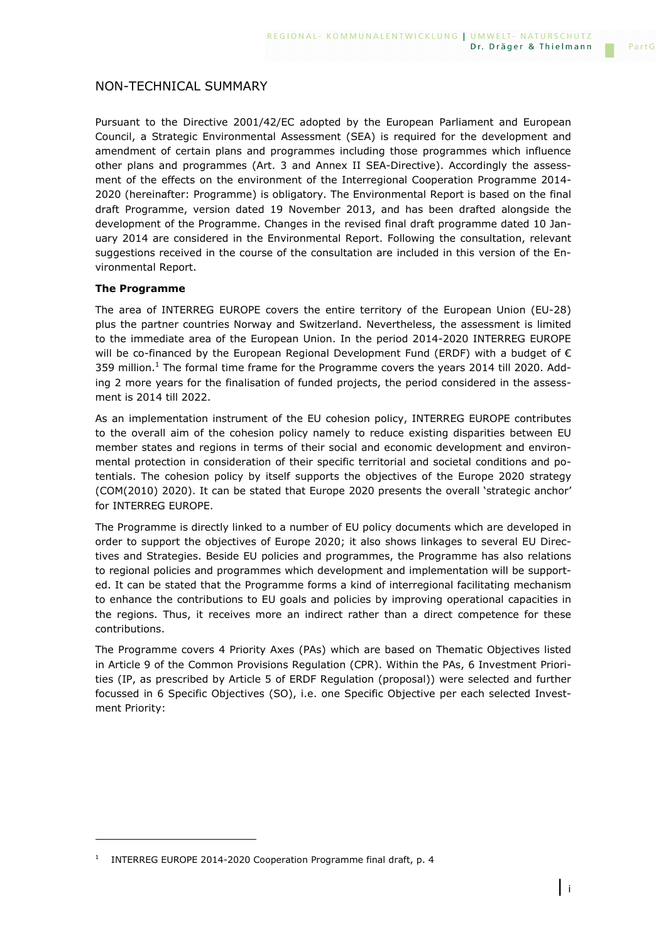Pursuant to the Directive 2001/42/EC adopted by the European Parliament and European Council, a Strategic Environmental Assessment (SEA) is required for the development and amendment of certain plans and programmes including those programmes which influence other plans and programmes (Art. 3 and Annex II SEA-Directive). Accordingly the assessment of the effects on the environment of the Interregional Cooperation Programme 2014- 2020 (hereinafter: Programme) is obligatory. The Environmental Report is based on the final draft Programme, version dated 19 November 2013, and has been drafted alongside the development of the Programme. Changes in the revised final draft programme dated 10 January 2014 are considered in the Environmental Report. Following the consultation, relevant suggestions received in the course of the consultation are included in this version of the Environmental Report.

### **The Programme**

i<br>I

The area of INTERREG EUROPE covers the entire territory of the European Union (EU-28) plus the partner countries Norway and Switzerland. Nevertheless, the assessment is limited to the immediate area of the European Union. In the period 2014-2020 INTERREG EUROPE will be co-financed by the European Regional Development Fund (ERDF) with a budget of  $\epsilon$ 359 million.<sup>1</sup> The formal time frame for the Programme covers the years 2014 till 2020. Adding 2 more years for the finalisation of funded projects, the period considered in the assessment is 2014 till 2022.

As an implementation instrument of the EU cohesion policy, INTERREG EUROPE contributes to the overall aim of the cohesion policy namely to reduce existing disparities between EU member states and regions in terms of their social and economic development and environmental protection in consideration of their specific territorial and societal conditions and potentials. The cohesion policy by itself supports the objectives of the Europe 2020 strategy (COM(2010) 2020). It can be stated that Europe 2020 presents the overall 'strategic anchor' for INTERREG EUROPE.

The Programme is directly linked to a number of EU policy documents which are developed in order to support the objectives of Europe 2020; it also shows linkages to several EU Directives and Strategies. Beside EU policies and programmes, the Programme has also relations to regional policies and programmes which development and implementation will be supported. It can be stated that the Programme forms a kind of interregional facilitating mechanism to enhance the contributions to EU goals and policies by improving operational capacities in the regions. Thus, it receives more an indirect rather than a direct competence for these contributions.

The Programme covers 4 Priority Axes (PAs) which are based on Thematic Objectives listed in Article 9 of the Common Provisions Regulation (CPR). Within the PAs, 6 Investment Priorities (IP, as prescribed by Article 5 of ERDF Regulation (proposal)) were selected and further focussed in 6 Specific Objectives (SO), i.e. one Specific Objective per each selected Investment Priority:

<sup>1</sup> INTERREG EUROPE 2014-2020 Cooperation Programme final draft, p. 4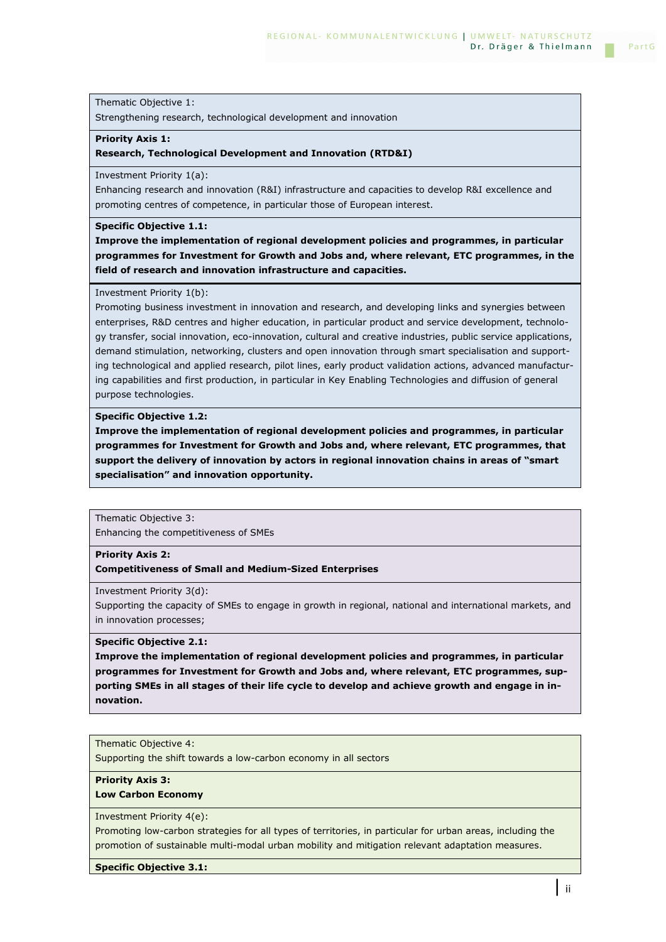Strengthening research, technological development and innovation

### **Priority Axis 1:**

#### **Research, Technological Development and Innovation (RTD&I)**

Investment Priority 1(a):

Enhancing research and innovation (R&I) infrastructure and capacities to develop R&I excellence and promoting centres of competence, in particular those of European interest.

#### **Specific Objective 1.1:**

**Improve the implementation of regional development policies and programmes, in particular programmes for Investment for Growth and Jobs and, where relevant, ETC programmes, in the field of research and innovation infrastructure and capacities.** 

#### Investment Priority 1(b):

Promoting business investment in innovation and research, and developing links and synergies between enterprises, R&D centres and higher education, in particular product and service development, technology transfer, social innovation, eco-innovation, cultural and creative industries, public service applications, demand stimulation, networking, clusters and open innovation through smart specialisation and supporting technological and applied research, pilot lines, early product validation actions, advanced manufacturing capabilities and first production, in particular in Key Enabling Technologies and diffusion of general purpose technologies.

#### **Specific Objective 1.2:**

**Improve the implementation of regional development policies and programmes, in particular programmes for Investment for Growth and Jobs and, where relevant, ETC programmes, that support the delivery of innovation by actors in regional innovation chains in areas of "smart specialisation" and innovation opportunity.** 

Thematic Objective 3: Enhancing the competitiveness of SMEs

#### **Priority Axis 2:**

**Competitiveness of Small and Medium-Sized Enterprises**

Investment Priority 3(d):

Supporting the capacity of SMEs to engage in growth in regional, national and international markets, and in innovation processes;

#### **Specific Objective 2.1:**

**Improve the implementation of regional development policies and programmes, in particular programmes for Investment for Growth and Jobs and, where relevant, ETC programmes, supporting SMEs in all stages of their life cycle to develop and achieve growth and engage in innovation.** 

### Thematic Objective 4:

Supporting the shift towards a low-carbon economy in all sectors

### **Priority Axis 3:**

### **Low Carbon Economy**

Investment Priority 4(e):

Promoting low-carbon strategies for all types of territories, in particular for urban areas, including the promotion of sustainable multi-modal urban mobility and mitigation relevant adaptation measures.

**Specific Objective 3.1:**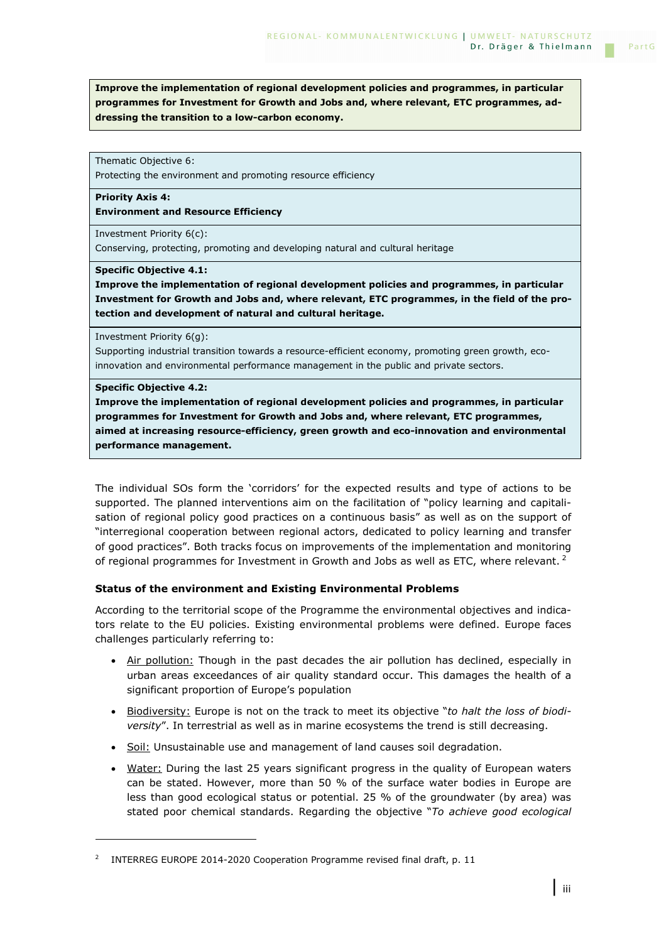**Improve the implementation of regional development policies and programmes, in particular programmes for Investment for Growth and Jobs and, where relevant, ETC programmes, addressing the transition to a low-carbon economy.** 

Thematic Objective 6:

Protecting the environment and promoting resource efficiency

**Priority Axis 4:** 

**Environment and Resource Efficiency**

Investment Priority 6(c): Conserving, protecting, promoting and developing natural and cultural heritage

**Specific Objective 4.1:** 

**Improve the implementation of regional development policies and programmes, in particular Investment for Growth and Jobs and, where relevant, ETC programmes, in the field of the protection and development of natural and cultural heritage.** 

Investment Priority 6(g):

Supporting industrial transition towards a resource-efficient economy, promoting green growth, ecoinnovation and environmental performance management in the public and private sectors.

### **Specific Objective 4.2:**

i<br>I

**Improve the implementation of regional development policies and programmes, in particular programmes for Investment for Growth and Jobs and, where relevant, ETC programmes, aimed at increasing resource-efficiency, green growth and eco-innovation and environmental performance management.** 

The individual SOs form the 'corridors' for the expected results and type of actions to be supported. The planned interventions aim on the facilitation of "policy learning and capitalisation of regional policy good practices on a continuous basis" as well as on the support of "interregional cooperation between regional actors, dedicated to policy learning and transfer of good practices". Both tracks focus on improvements of the implementation and monitoring of regional programmes for Investment in Growth and Jobs as well as ETC, where relevant.<sup>2</sup>

### **Status of the environment and Existing Environmental Problems**

According to the territorial scope of the Programme the environmental objectives and indicators relate to the EU policies. Existing environmental problems were defined. Europe faces challenges particularly referring to:

- Air pollution: Though in the past decades the air pollution has declined, especially in urban areas exceedances of air quality standard occur. This damages the health of a significant proportion of Europe's population
- Biodiversity: Europe is not on the track to meet its objective "*to halt the loss of biodiversity*". In terrestrial as well as in marine ecosystems the trend is still decreasing.
- Soil: Unsustainable use and management of land causes soil degradation.
- Water: During the last 25 years significant progress in the quality of European waters can be stated. However, more than 50 % of the surface water bodies in Europe are less than good ecological status or potential. 25 % of the groundwater (by area) was stated poor chemical standards. Regarding the objective "*To achieve good ecological*

PartG

<sup>&</sup>lt;sup>2</sup> INTERREG EUROPE 2014-2020 Cooperation Programme revised final draft, p. 11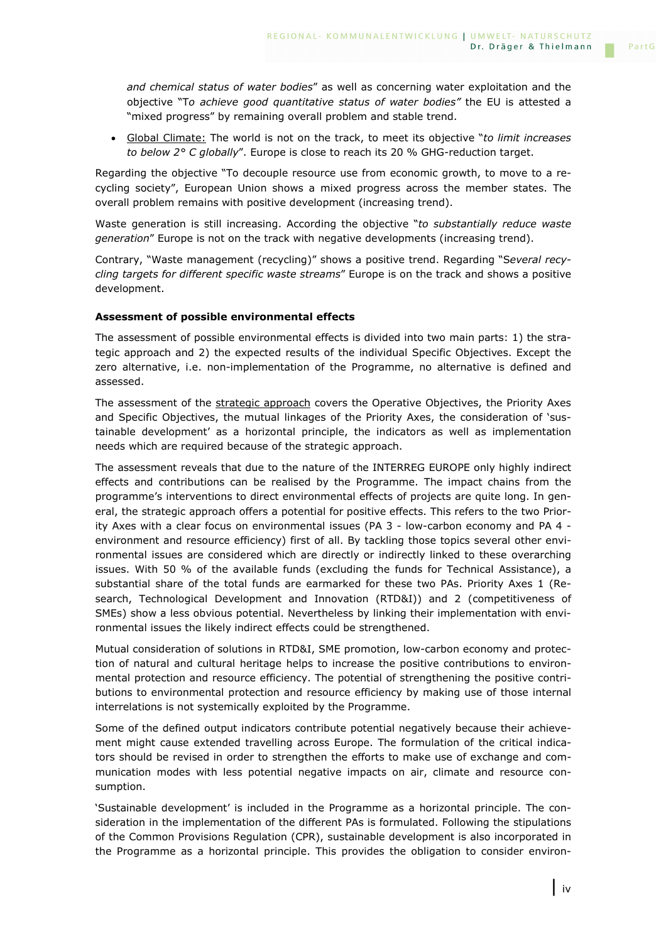*and chemical status of water bodies*" as well as concerning water exploitation and the objective "T*o achieve good quantitative status of water bodies"* the EU is attested a "mixed progress" by remaining overall problem and stable trend.

• Global Climate: The world is not on the track, to meet its objective "*to limit increases to below 2° C globally*". Europe is close to reach its 20 % GHG-reduction target.

Regarding the objective "To decouple resource use from economic growth, to move to a recycling society", European Union shows a mixed progress across the member states. The overall problem remains with positive development (increasing trend).

Waste generation is still increasing. According the objective "*to substantially reduce waste generation*" Europe is not on the track with negative developments (increasing trend).

Contrary, "Waste management (recycling)" shows a positive trend. Regarding "S*everal recycling targets for different specific waste streams*" Europe is on the track and shows a positive development.

### **Assessment of possible environmental effects**

The assessment of possible environmental effects is divided into two main parts: 1) the strategic approach and 2) the expected results of the individual Specific Objectives. Except the zero alternative, i.e. non-implementation of the Programme, no alternative is defined and assessed.

The assessment of the strategic approach covers the Operative Objectives, the Priority Axes and Specific Objectives, the mutual linkages of the Priority Axes, the consideration of 'sustainable development' as a horizontal principle, the indicators as well as implementation needs which are required because of the strategic approach.

The assessment reveals that due to the nature of the INTERREG EUROPE only highly indirect effects and contributions can be realised by the Programme. The impact chains from the programme's interventions to direct environmental effects of projects are quite long. In general, the strategic approach offers a potential for positive effects. This refers to the two Priority Axes with a clear focus on environmental issues (PA 3 - low-carbon economy and PA 4 environment and resource efficiency) first of all. By tackling those topics several other environmental issues are considered which are directly or indirectly linked to these overarching issues. With 50 % of the available funds (excluding the funds for Technical Assistance), a substantial share of the total funds are earmarked for these two PAs. Priority Axes 1 (Research, Technological Development and Innovation (RTD&I)) and 2 (competitiveness of SMEs) show a less obvious potential. Nevertheless by linking their implementation with environmental issues the likely indirect effects could be strengthened.

Mutual consideration of solutions in RTD&I, SME promotion, low-carbon economy and protection of natural and cultural heritage helps to increase the positive contributions to environmental protection and resource efficiency. The potential of strengthening the positive contributions to environmental protection and resource efficiency by making use of those internal interrelations is not systemically exploited by the Programme.

Some of the defined output indicators contribute potential negatively because their achievement might cause extended travelling across Europe. The formulation of the critical indicators should be revised in order to strengthen the efforts to make use of exchange and communication modes with less potential negative impacts on air, climate and resource consumption.

'Sustainable development' is included in the Programme as a horizontal principle. The consideration in the implementation of the different PAs is formulated. Following the stipulations of the Common Provisions Regulation (CPR), sustainable development is also incorporated in the Programme as a horizontal principle. This provides the obligation to consider environ-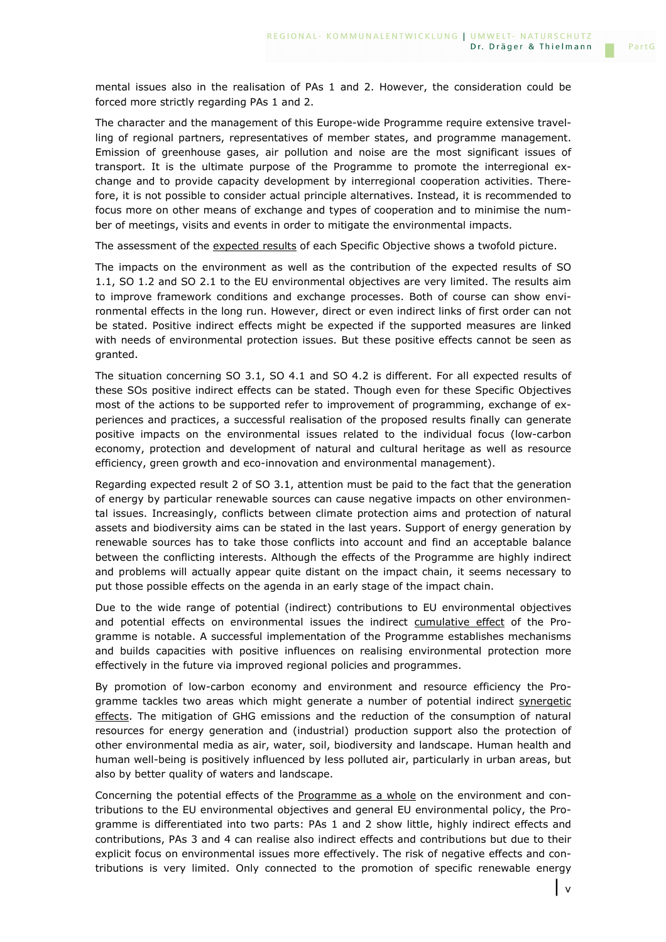mental issues also in the realisation of PAs 1 and 2. However, the consideration could be forced more strictly regarding PAs 1 and 2.

The character and the management of this Europe-wide Programme require extensive travelling of regional partners, representatives of member states, and programme management. Emission of greenhouse gases, air pollution and noise are the most significant issues of transport. It is the ultimate purpose of the Programme to promote the interregional exchange and to provide capacity development by interregional cooperation activities. Therefore, it is not possible to consider actual principle alternatives. Instead, it is recommended to focus more on other means of exchange and types of cooperation and to minimise the number of meetings, visits and events in order to mitigate the environmental impacts.

The assessment of the expected results of each Specific Objective shows a twofold picture.

The impacts on the environment as well as the contribution of the expected results of SO 1.1, SO 1.2 and SO 2.1 to the EU environmental objectives are very limited. The results aim to improve framework conditions and exchange processes. Both of course can show environmental effects in the long run. However, direct or even indirect links of first order can not be stated. Positive indirect effects might be expected if the supported measures are linked with needs of environmental protection issues. But these positive effects cannot be seen as granted.

The situation concerning SO 3.1, SO 4.1 and SO 4.2 is different. For all expected results of these SOs positive indirect effects can be stated. Though even for these Specific Objectives most of the actions to be supported refer to improvement of programming, exchange of experiences and practices, a successful realisation of the proposed results finally can generate positive impacts on the environmental issues related to the individual focus (low-carbon economy, protection and development of natural and cultural heritage as well as resource efficiency, green growth and eco-innovation and environmental management).

Regarding expected result 2 of SO 3.1, attention must be paid to the fact that the generation of energy by particular renewable sources can cause negative impacts on other environmental issues. Increasingly, conflicts between climate protection aims and protection of natural assets and biodiversity aims can be stated in the last years. Support of energy generation by renewable sources has to take those conflicts into account and find an acceptable balance between the conflicting interests. Although the effects of the Programme are highly indirect and problems will actually appear quite distant on the impact chain, it seems necessary to put those possible effects on the agenda in an early stage of the impact chain.

Due to the wide range of potential (indirect) contributions to EU environmental objectives and potential effects on environmental issues the indirect cumulative effect of the Programme is notable. A successful implementation of the Programme establishes mechanisms and builds capacities with positive influences on realising environmental protection more effectively in the future via improved regional policies and programmes.

By promotion of low-carbon economy and environment and resource efficiency the Programme tackles two areas which might generate a number of potential indirect synergetic effects. The mitigation of GHG emissions and the reduction of the consumption of natural resources for energy generation and (industrial) production support also the protection of other environmental media as air, water, soil, biodiversity and landscape. Human health and human well-being is positively influenced by less polluted air, particularly in urban areas, but also by better quality of waters and landscape.

Concerning the potential effects of the Programme as a whole on the environment and contributions to the EU environmental objectives and general EU environmental policy, the Programme is differentiated into two parts: PAs 1 and 2 show little, highly indirect effects and contributions, PAs 3 and 4 can realise also indirect effects and contributions but due to their explicit focus on environmental issues more effectively. The risk of negative effects and contributions is very limited. Only connected to the promotion of specific renewable energy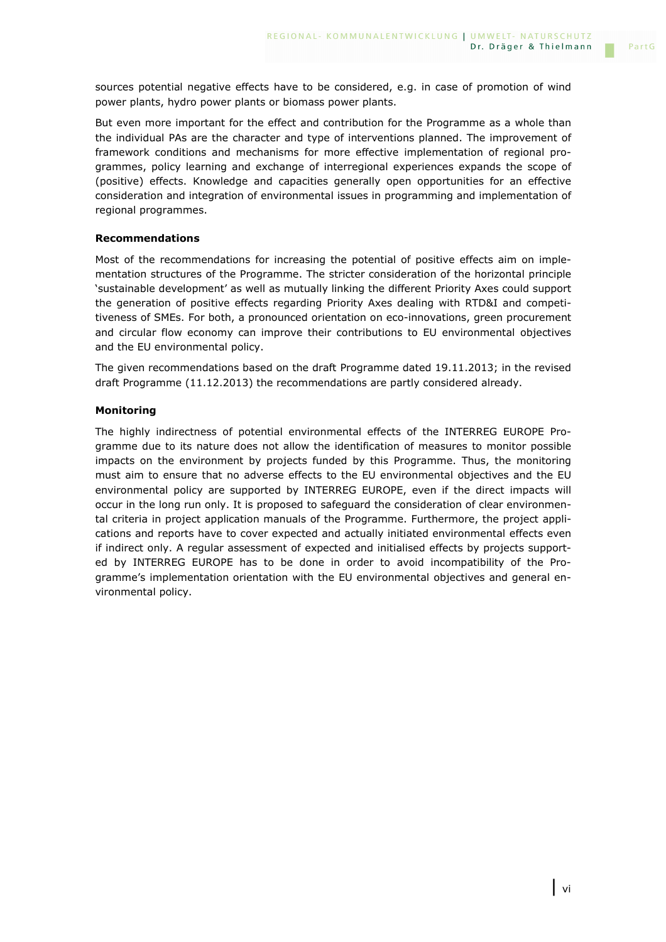sources potential negative effects have to be considered, e.g. in case of promotion of wind power plants, hydro power plants or biomass power plants.

But even more important for the effect and contribution for the Programme as a whole than the individual PAs are the character and type of interventions planned. The improvement of framework conditions and mechanisms for more effective implementation of regional programmes, policy learning and exchange of interregional experiences expands the scope of (positive) effects. Knowledge and capacities generally open opportunities for an effective consideration and integration of environmental issues in programming and implementation of regional programmes.

### **Recommendations**

Most of the recommendations for increasing the potential of positive effects aim on implementation structures of the Programme. The stricter consideration of the horizontal principle 'sustainable development' as well as mutually linking the different Priority Axes could support the generation of positive effects regarding Priority Axes dealing with RTD&I and competitiveness of SMEs. For both, a pronounced orientation on eco-innovations, green procurement and circular flow economy can improve their contributions to EU environmental objectives and the EU environmental policy.

The given recommendations based on the draft Programme dated 19.11.2013; in the revised draft Programme (11.12.2013) the recommendations are partly considered already.

### **Monitoring**

The highly indirectness of potential environmental effects of the INTERREG EUROPE Programme due to its nature does not allow the identification of measures to monitor possible impacts on the environment by projects funded by this Programme. Thus, the monitoring must aim to ensure that no adverse effects to the EU environmental objectives and the EU environmental policy are supported by INTERREG EUROPE, even if the direct impacts will occur in the long run only. It is proposed to safeguard the consideration of clear environmental criteria in project application manuals of the Programme. Furthermore, the project applications and reports have to cover expected and actually initiated environmental effects even if indirect only. A regular assessment of expected and initialised effects by projects supported by INTERREG EUROPE has to be done in order to avoid incompatibility of the Programme's implementation orientation with the EU environmental objectives and general environmental policy.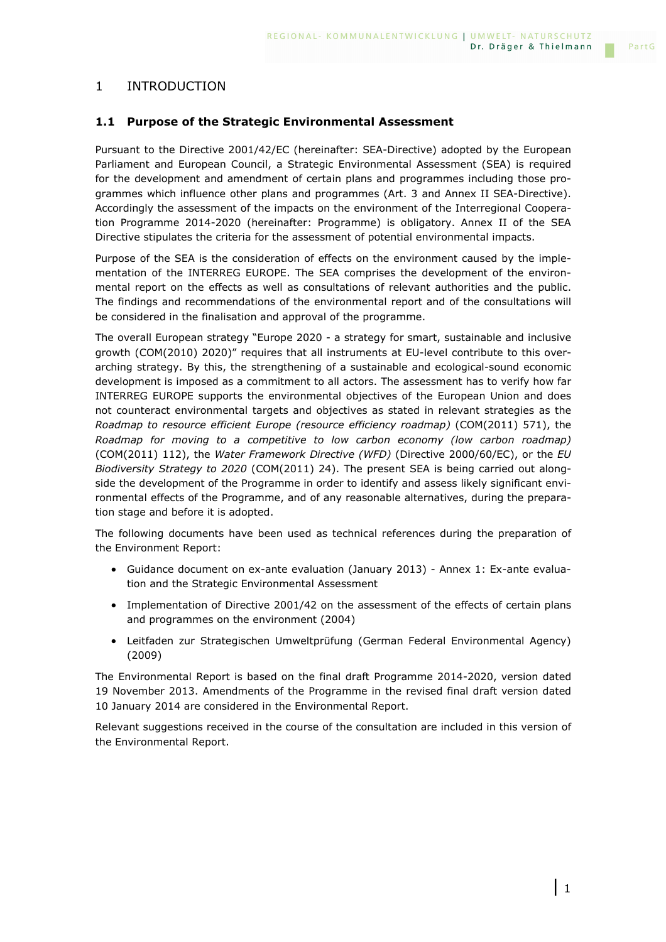### 1 INTRODUCTION

### **1.1 Purpose of the Strategic Environmental Assessment**

Pursuant to the Directive 2001/42/EC (hereinafter: SEA-Directive) adopted by the European Parliament and European Council, a Strategic Environmental Assessment (SEA) is required for the development and amendment of certain plans and programmes including those programmes which influence other plans and programmes (Art. 3 and Annex II SEA-Directive). Accordingly the assessment of the impacts on the environment of the Interregional Cooperation Programme 2014-2020 (hereinafter: Programme) is obligatory. Annex II of the SEA Directive stipulates the criteria for the assessment of potential environmental impacts.

Purpose of the SEA is the consideration of effects on the environment caused by the implementation of the INTERREG EUROPE. The SEA comprises the development of the environmental report on the effects as well as consultations of relevant authorities and the public. The findings and recommendations of the environmental report and of the consultations will be considered in the finalisation and approval of the programme.

The overall European strategy "Europe 2020 - a strategy for smart, sustainable and inclusive growth (COM(2010) 2020)" requires that all instruments at EU-level contribute to this overarching strategy. By this, the strengthening of a sustainable and ecological-sound economic development is imposed as a commitment to all actors. The assessment has to verify how far INTERREG EUROPE supports the environmental objectives of the European Union and does not counteract environmental targets and objectives as stated in relevant strategies as the *Roadmap to resource efficient Europe (resource efficiency roadmap)* (COM(2011) 571), the *Roadmap for moving to a competitive to low carbon economy (low carbon roadmap)* (COM(2011) 112), the *Water Framework Directive (WFD)* (Directive 2000/60/EC), or the *EU Biodiversity Strategy to 2020* (COM(2011) 24). The present SEA is being carried out alongside the development of the Programme in order to identify and assess likely significant environmental effects of the Programme, and of any reasonable alternatives, during the preparation stage and before it is adopted.

The following documents have been used as technical references during the preparation of the Environment Report:

- Guidance document on ex-ante evaluation (January 2013) Annex 1: Ex-ante evaluation and the Strategic Environmental Assessment
- Implementation of Directive 2001/42 on the assessment of the effects of certain plans and programmes on the environment (2004)
- Leitfaden zur Strategischen Umweltprüfung (German Federal Environmental Agency) (2009)

The Environmental Report is based on the final draft Programme 2014-2020, version dated 19 November 2013. Amendments of the Programme in the revised final draft version dated 10 January 2014 are considered in the Environmental Report.

Relevant suggestions received in the course of the consultation are included in this version of the Environmental Report.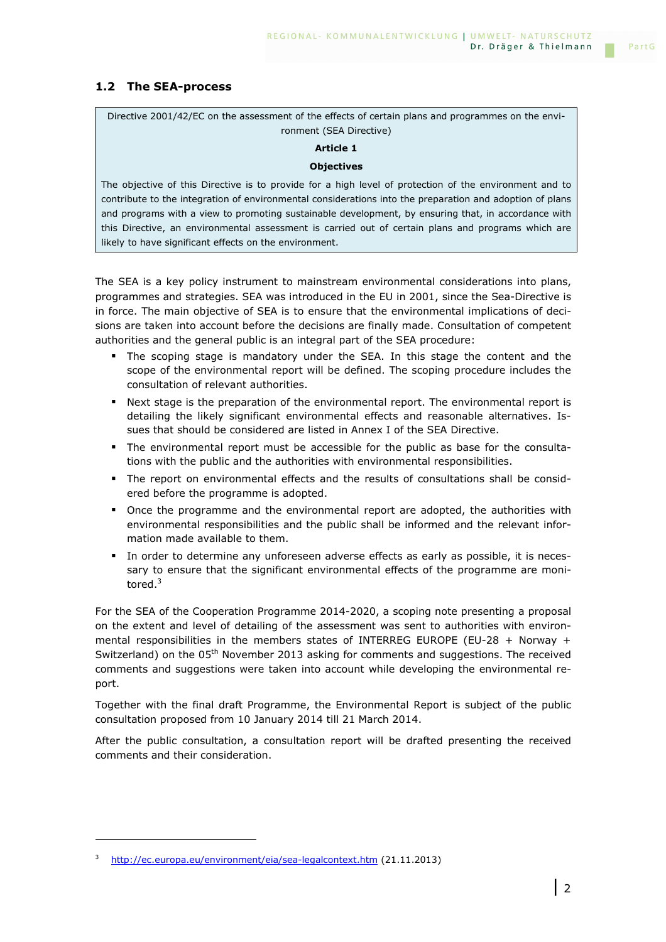### **1.2 The SEA-process**

Directive 2001/42/EC on the assessment of the effects of certain plans and programmes on the environment (SEA Directive)

### **Article 1**

### **Objectives**

The objective of this Directive is to provide for a high level of protection of the environment and to contribute to the integration of environmental considerations into the preparation and adoption of plans and programs with a view to promoting sustainable development, by ensuring that, in accordance with this Directive, an environmental assessment is carried out of certain plans and programs which are likely to have significant effects on the environment.

The SEA is a key policy instrument to mainstream environmental considerations into plans, programmes and strategies. SEA was introduced in the EU in 2001, since the Sea-Directive is in force. The main objective of SEA is to ensure that the environmental implications of decisions are taken into account before the decisions are finally made. Consultation of competent authorities and the general public is an integral part of the SEA procedure:

- The scoping stage is mandatory under the SEA. In this stage the content and the scope of the environmental report will be defined. The scoping procedure includes the consultation of relevant authorities.
- Next stage is the preparation of the environmental report. The environmental report is detailing the likely significant environmental effects and reasonable alternatives. Issues that should be considered are listed in Annex I of the SEA Directive.
- The environmental report must be accessible for the public as base for the consultations with the public and the authorities with environmental responsibilities.
- The report on environmental effects and the results of consultations shall be considered before the programme is adopted.
- Once the programme and the environmental report are adopted, the authorities with environmental responsibilities and the public shall be informed and the relevant information made available to them.
- In order to determine any unforeseen adverse effects as early as possible, it is necessary to ensure that the significant environmental effects of the programme are monitored.<sup>3</sup>

For the SEA of the Cooperation Programme 2014-2020, a scoping note presenting a proposal on the extent and level of detailing of the assessment was sent to authorities with environmental responsibilities in the members states of INTERREG EUROPE (EU-28 + Norway + Switzerland) on the 05<sup>th</sup> November 2013 asking for comments and suggestions. The received comments and suggestions were taken into account while developing the environmental report.

Together with the final draft Programme, the Environmental Report is subject of the public consultation proposed from 10 January 2014 till 21 March 2014.

After the public consultation, a consultation report will be drafted presenting the received comments and their consideration.

<sup>3</sup> http://ec.europa.eu/environment/eia/sea-legalcontext.htm (21.11.2013)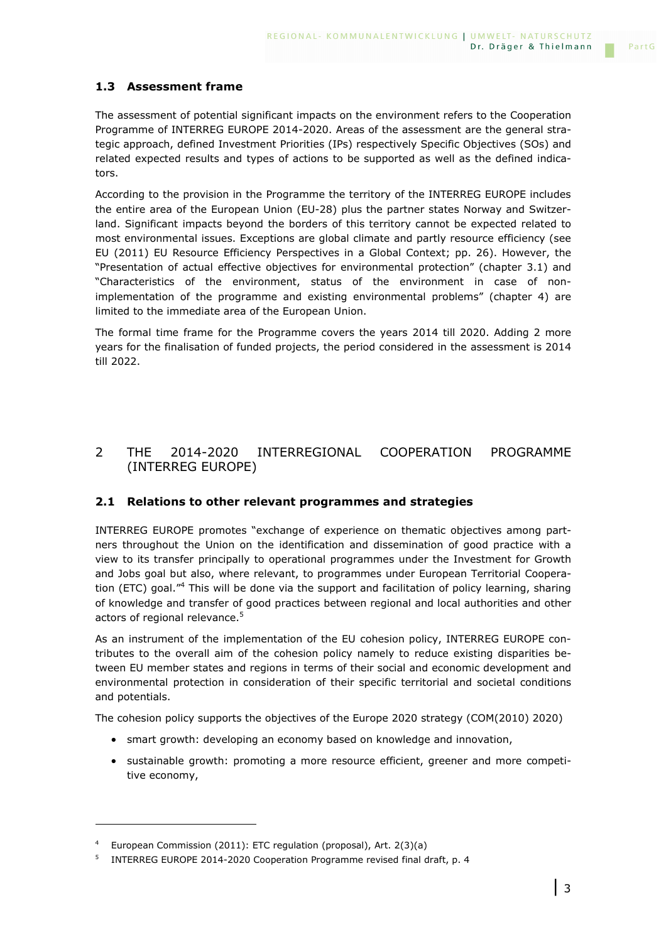The assessment of potential significant impacts on the environment refers to the Cooperation Programme of INTERREG EUROPE 2014-2020. Areas of the assessment are the general strategic approach, defined Investment Priorities (IPs) respectively Specific Objectives (SOs) and related expected results and types of actions to be supported as well as the defined indicators.

According to the provision in the Programme the territory of the INTERREG EUROPE includes the entire area of the European Union (EU-28) plus the partner states Norway and Switzerland. Significant impacts beyond the borders of this territory cannot be expected related to most environmental issues. Exceptions are global climate and partly resource efficiency (see EU (2011) EU Resource Efficiency Perspectives in a Global Context; pp. 26). However, the "Presentation of actual effective objectives for environmental protection" (chapter 3.1) and "Characteristics of the environment, status of the environment in case of nonimplementation of the programme and existing environmental problems" (chapter 4) are limited to the immediate area of the European Union.

The formal time frame for the Programme covers the years 2014 till 2020. Adding 2 more years for the finalisation of funded projects, the period considered in the assessment is 2014 till 2022.

### 2 THE 2014-2020 INTERREGIONAL COOPERATION PROGRAMME (INTERREG EUROPE)

### **2.1 Relations to other relevant programmes and strategies**

INTERREG EUROPE promotes "exchange of experience on thematic objectives among partners throughout the Union on the identification and dissemination of good practice with a view to its transfer principally to operational programmes under the Investment for Growth and Jobs goal but also, where relevant, to programmes under European Territorial Cooperation (ETC) goal."<sup>4</sup> This will be done via the support and facilitation of policy learning, sharing of knowledge and transfer of good practices between regional and local authorities and other actors of regional relevance.<sup>5</sup>

As an instrument of the implementation of the EU cohesion policy, INTERREG EUROPE contributes to the overall aim of the cohesion policy namely to reduce existing disparities between EU member states and regions in terms of their social and economic development and environmental protection in consideration of their specific territorial and societal conditions and potentials.

The cohesion policy supports the objectives of the Europe 2020 strategy (COM(2010) 2020)

- smart growth: developing an economy based on knowledge and innovation,
- sustainable growth: promoting a more resource efficient, greener and more competitive economy,

<sup>4</sup> European Commission (2011): ETC regulation (proposal), Art. 2(3)(a)

<sup>5</sup> INTERREG EUROPE 2014-2020 Cooperation Programme revised final draft, p. 4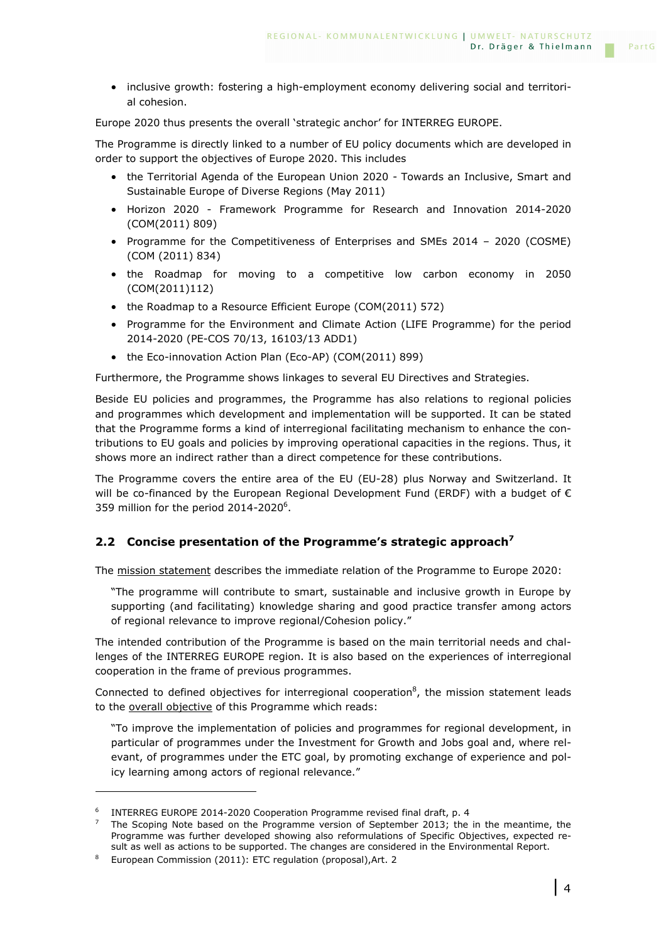• inclusive growth: fostering a high-employment economy delivering social and territorial cohesion.

Europe 2020 thus presents the overall 'strategic anchor' for INTERREG EUROPE.

The Programme is directly linked to a number of EU policy documents which are developed in order to support the objectives of Europe 2020. This includes

- the Territorial Agenda of the European Union 2020 Towards an Inclusive, Smart and Sustainable Europe of Diverse Regions (May 2011)
- Horizon 2020 Framework Programme for Research and Innovation 2014-2020 (COM(2011) 809)
- Programme for the Competitiveness of Enterprises and SMEs 2014 2020 (COSME) (COM (2011) 834)
- the Roadmap for moving to a competitive low carbon economy in 2050 (COM(2011)112)
- the Roadmap to a Resource Efficient Europe (COM(2011) 572)
- Programme for the Environment and Climate Action (LIFE Programme) for the period 2014-2020 (PE-COS 70/13, 16103/13 ADD1)
- the Eco-innovation Action Plan (Eco-AP) (COM(2011) 899)

Furthermore, the Programme shows linkages to several EU Directives and Strategies.

Beside EU policies and programmes, the Programme has also relations to regional policies and programmes which development and implementation will be supported. It can be stated that the Programme forms a kind of interregional facilitating mechanism to enhance the contributions to EU goals and policies by improving operational capacities in the regions. Thus, it shows more an indirect rather than a direct competence for these contributions.

The Programme covers the entire area of the EU (EU-28) plus Norway and Switzerland. It will be co-financed by the European Regional Development Fund (ERDF) with a budget of  $\epsilon$ 359 million for the period  $2014 - 2020^6$ .

### **2.2 Concise presentation of the Programme's strategic approach<sup>7</sup>**

The mission statement describes the immediate relation of the Programme to Europe 2020:

"The programme will contribute to smart, sustainable and inclusive growth in Europe by supporting (and facilitating) knowledge sharing and good practice transfer among actors of regional relevance to improve regional/Cohesion policy."

The intended contribution of the Programme is based on the main territorial needs and challenges of the INTERREG EUROPE region. It is also based on the experiences of interregional cooperation in the frame of previous programmes.

Connected to defined objectives for interregional cooperation $8$ , the mission statement leads to the overall objective of this Programme which reads:

"To improve the implementation of policies and programmes for regional development, in particular of programmes under the Investment for Growth and Jobs goal and, where relevant, of programmes under the ETC goal, by promoting exchange of experience and policy learning among actors of regional relevance."

<sup>&</sup>lt;sup>6</sup> INTERREG EUROPE 2014-2020 Cooperation Programme revised final draft, p. 4

<sup>7</sup> The Scoping Note based on the Programme version of September 2013; the in the meantime, the Programme was further developed showing also reformulations of Specific Objectives, expected result as well as actions to be supported. The changes are considered in the Environmental Report.

<sup>&</sup>lt;sup>8</sup> European Commission (2011): ETC regulation (proposal), Art. 2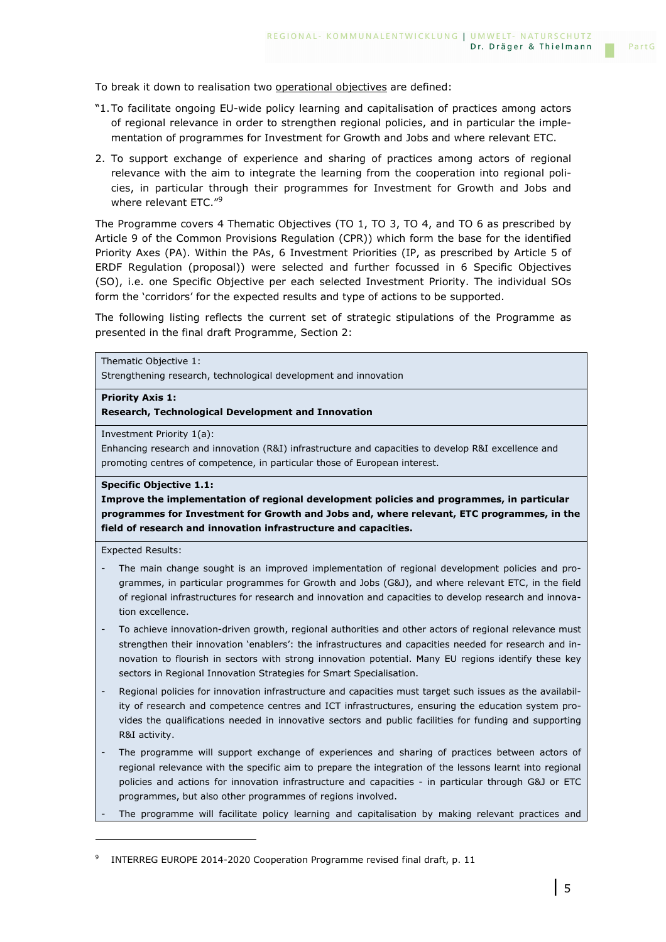To break it down to realisation two operational objectives are defined:

- "1. To facilitate ongoing EU-wide policy learning and capitalisation of practices among actors of regional relevance in order to strengthen regional policies, and in particular the implementation of programmes for Investment for Growth and Jobs and where relevant ETC.
- 2. To support exchange of experience and sharing of practices among actors of regional relevance with the aim to integrate the learning from the cooperation into regional policies, in particular through their programmes for Investment for Growth and Jobs and where relevant ETC."<sup>9</sup>

The Programme covers 4 Thematic Objectives (TO 1, TO 3, TO 4, and TO 6 as prescribed by Article 9 of the Common Provisions Regulation (CPR)) which form the base for the identified Priority Axes (PA). Within the PAs, 6 Investment Priorities (IP, as prescribed by Article 5 of ERDF Regulation (proposal)) were selected and further focussed in 6 Specific Objectives (SO), i.e. one Specific Objective per each selected Investment Priority. The individual SOs form the 'corridors' for the expected results and type of actions to be supported.

The following listing reflects the current set of strategic stipulations of the Programme as presented in the final draft Programme, Section 2:

```
Thematic Objective 1:
```
Strengthening research, technological development and innovation

### **Priority Axis 1:**

**Research, Technological Development and Innovation** 

Investment Priority 1(a):

Enhancing research and innovation (R&I) infrastructure and capacities to develop R&I excellence and promoting centres of competence, in particular those of European interest.

### **Specific Objective 1.1:**

**Improve the implementation of regional development policies and programmes, in particular programmes for Investment for Growth and Jobs and, where relevant, ETC programmes, in the field of research and innovation infrastructure and capacities.** 

Expected Results:

- The main change sought is an improved implementation of regional development policies and programmes, in particular programmes for Growth and Jobs (G&J), and where relevant ETC, in the field of regional infrastructures for research and innovation and capacities to develop research and innovation excellence.
- To achieve innovation-driven growth, regional authorities and other actors of regional relevance must strengthen their innovation 'enablers': the infrastructures and capacities needed for research and innovation to flourish in sectors with strong innovation potential. Many EU regions identify these key sectors in Regional Innovation Strategies for Smart Specialisation.
- Regional policies for innovation infrastructure and capacities must target such issues as the availability of research and competence centres and ICT infrastructures, ensuring the education system provides the qualifications needed in innovative sectors and public facilities for funding and supporting R&I activity.
- The programme will support exchange of experiences and sharing of practices between actors of regional relevance with the specific aim to prepare the integration of the lessons learnt into regional policies and actions for innovation infrastructure and capacities - in particular through G&J or ETC programmes, but also other programmes of regions involved.
- The programme will facilitate policy learning and capitalisation by making relevant practices and

<sup>9</sup> INTERREG EUROPE 2014-2020 Cooperation Programme revised final draft, p. 11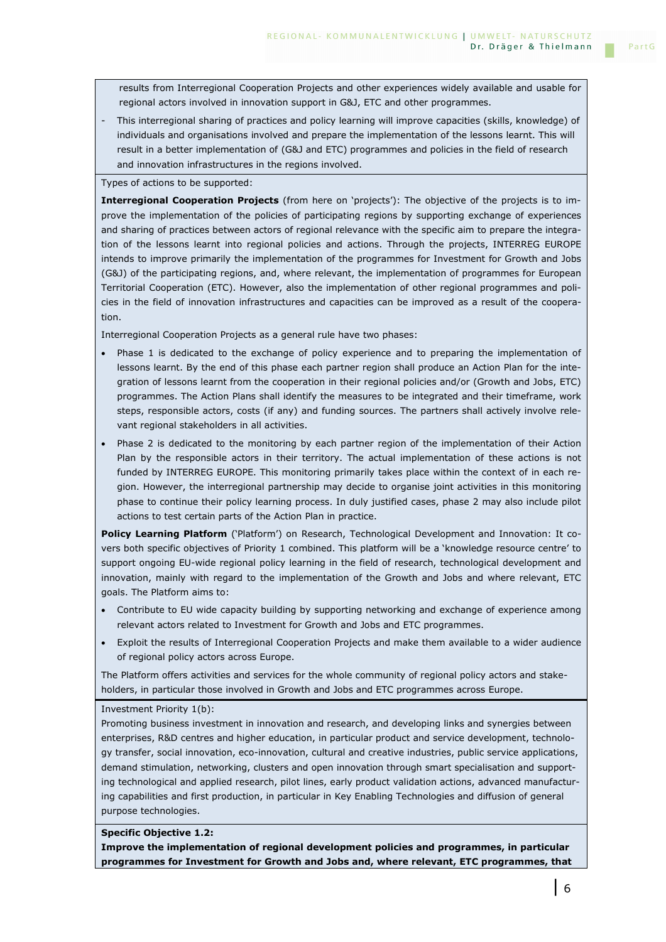results from Interregional Cooperation Projects and other experiences widely available and usable for regional actors involved in innovation support in G&J, ETC and other programmes.

This interregional sharing of practices and policy learning will improve capacities (skills, knowledge) of individuals and organisations involved and prepare the implementation of the lessons learnt. This will result in a better implementation of (G&J and ETC) programmes and policies in the field of research and innovation infrastructures in the regions involved.

Types of actions to be supported:

**Interregional Cooperation Projects** (from here on 'projects'): The objective of the projects is to improve the implementation of the policies of participating regions by supporting exchange of experiences and sharing of practices between actors of regional relevance with the specific aim to prepare the integration of the lessons learnt into regional policies and actions. Through the projects, INTERREG EUROPE intends to improve primarily the implementation of the programmes for Investment for Growth and Jobs (G&J) of the participating regions, and, where relevant, the implementation of programmes for European Territorial Cooperation (ETC). However, also the implementation of other regional programmes and policies in the field of innovation infrastructures and capacities can be improved as a result of the cooperation.

Interregional Cooperation Projects as a general rule have two phases:

- Phase 1 is dedicated to the exchange of policy experience and to preparing the implementation of lessons learnt. By the end of this phase each partner region shall produce an Action Plan for the integration of lessons learnt from the cooperation in their regional policies and/or (Growth and Jobs, ETC) programmes. The Action Plans shall identify the measures to be integrated and their timeframe, work steps, responsible actors, costs (if any) and funding sources. The partners shall actively involve relevant regional stakeholders in all activities.
- Phase 2 is dedicated to the monitoring by each partner region of the implementation of their Action Plan by the responsible actors in their territory. The actual implementation of these actions is not funded by INTERREG EUROPE. This monitoring primarily takes place within the context of in each region. However, the interregional partnership may decide to organise joint activities in this monitoring phase to continue their policy learning process. In duly justified cases, phase 2 may also include pilot actions to test certain parts of the Action Plan in practice.

**Policy Learning Platform** ('Platform') on Research, Technological Development and Innovation: It covers both specific objectives of Priority 1 combined. This platform will be a 'knowledge resource centre' to support ongoing EU-wide regional policy learning in the field of research, technological development and innovation, mainly with regard to the implementation of the Growth and Jobs and where relevant, ETC goals. The Platform aims to:

- Contribute to EU wide capacity building by supporting networking and exchange of experience among relevant actors related to Investment for Growth and Jobs and ETC programmes.
- Exploit the results of Interregional Cooperation Projects and make them available to a wider audience of regional policy actors across Europe.

The Platform offers activities and services for the whole community of regional policy actors and stakeholders, in particular those involved in Growth and Jobs and ETC programmes across Europe.

#### Investment Priority 1(b):

Promoting business investment in innovation and research, and developing links and synergies between enterprises, R&D centres and higher education, in particular product and service development, technology transfer, social innovation, eco-innovation, cultural and creative industries, public service applications, demand stimulation, networking, clusters and open innovation through smart specialisation and supporting technological and applied research, pilot lines, early product validation actions, advanced manufacturing capabilities and first production, in particular in Key Enabling Technologies and diffusion of general purpose technologies.

### **Specific Objective 1.2:**

**Improve the implementation of regional development policies and programmes, in particular programmes for Investment for Growth and Jobs and, where relevant, ETC programmes, that**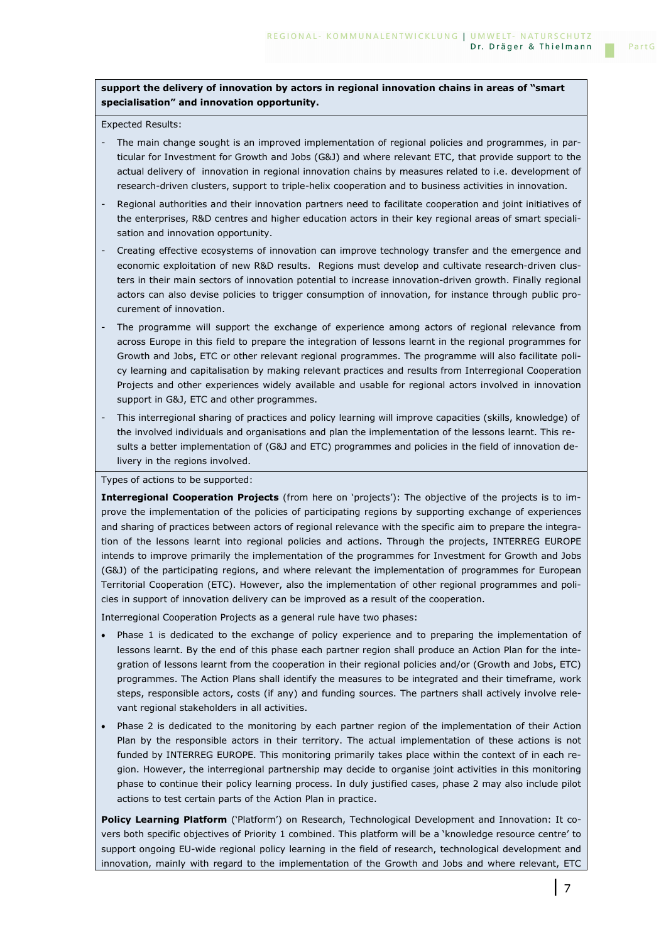### **support the delivery of innovation by actors in regional innovation chains in areas of "smart specialisation" and innovation opportunity.**

#### Expected Results:

- The main change sought is an improved implementation of regional policies and programmes, in particular for Investment for Growth and Jobs (G&J) and where relevant ETC, that provide support to the actual delivery of innovation in regional innovation chains by measures related to i.e. development of research-driven clusters, support to triple-helix cooperation and to business activities in innovation.
- Regional authorities and their innovation partners need to facilitate cooperation and joint initiatives of the enterprises, R&D centres and higher education actors in their key regional areas of smart specialisation and innovation opportunity.
- Creating effective ecosystems of innovation can improve technology transfer and the emergence and economic exploitation of new R&D results. Regions must develop and cultivate research-driven clusters in their main sectors of innovation potential to increase innovation-driven growth. Finally regional actors can also devise policies to trigger consumption of innovation, for instance through public procurement of innovation.
- The programme will support the exchange of experience among actors of regional relevance from across Europe in this field to prepare the integration of lessons learnt in the regional programmes for Growth and Jobs, ETC or other relevant regional programmes. The programme will also facilitate policy learning and capitalisation by making relevant practices and results from Interregional Cooperation Projects and other experiences widely available and usable for regional actors involved in innovation support in G&J, ETC and other programmes.
- This interregional sharing of practices and policy learning will improve capacities (skills, knowledge) of the involved individuals and organisations and plan the implementation of the lessons learnt. This results a better implementation of (G&J and ETC) programmes and policies in the field of innovation delivery in the regions involved.

Types of actions to be supported:

**Interregional Cooperation Projects** (from here on 'projects'): The objective of the projects is to improve the implementation of the policies of participating regions by supporting exchange of experiences and sharing of practices between actors of regional relevance with the specific aim to prepare the integration of the lessons learnt into regional policies and actions. Through the projects, INTERREG EUROPE intends to improve primarily the implementation of the programmes for Investment for Growth and Jobs (G&J) of the participating regions, and where relevant the implementation of programmes for European Territorial Cooperation (ETC). However, also the implementation of other regional programmes and policies in support of innovation delivery can be improved as a result of the cooperation.

Interregional Cooperation Projects as a general rule have two phases:

- Phase 1 is dedicated to the exchange of policy experience and to preparing the implementation of lessons learnt. By the end of this phase each partner region shall produce an Action Plan for the integration of lessons learnt from the cooperation in their regional policies and/or (Growth and Jobs, ETC) programmes. The Action Plans shall identify the measures to be integrated and their timeframe, work steps, responsible actors, costs (if any) and funding sources. The partners shall actively involve relevant regional stakeholders in all activities.
- Phase 2 is dedicated to the monitoring by each partner region of the implementation of their Action Plan by the responsible actors in their territory. The actual implementation of these actions is not funded by INTERREG EUROPE. This monitoring primarily takes place within the context of in each region. However, the interregional partnership may decide to organise joint activities in this monitoring phase to continue their policy learning process. In duly justified cases, phase 2 may also include pilot actions to test certain parts of the Action Plan in practice.

**Policy Learning Platform** ('Platform') on Research, Technological Development and Innovation: It covers both specific objectives of Priority 1 combined. This platform will be a 'knowledge resource centre' to support ongoing EU-wide regional policy learning in the field of research, technological development and innovation, mainly with regard to the implementation of the Growth and Jobs and where relevant, ETC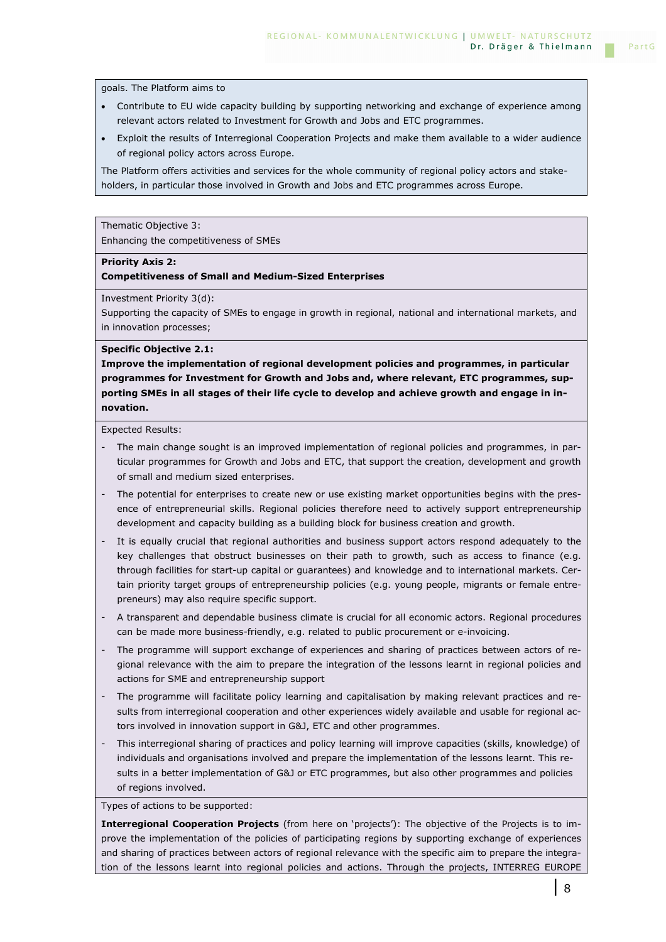goals. The Platform aims to

- Contribute to EU wide capacity building by supporting networking and exchange of experience among relevant actors related to Investment for Growth and Jobs and ETC programmes.
- Exploit the results of Interregional Cooperation Projects and make them available to a wider audience of regional policy actors across Europe.

The Platform offers activities and services for the whole community of regional policy actors and stakeholders, in particular those involved in Growth and Jobs and ETC programmes across Europe.

Thematic Objective 3:

Enhancing the competitiveness of SMEs

### **Priority Axis 2:**

### **Competitiveness of Small and Medium-Sized Enterprises**

Investment Priority 3(d):

Supporting the capacity of SMEs to engage in growth in regional, national and international markets, and in innovation processes;

#### **Specific Objective 2.1:**

**Improve the implementation of regional development policies and programmes, in particular programmes for Investment for Growth and Jobs and, where relevant, ETC programmes, supporting SMEs in all stages of their life cycle to develop and achieve growth and engage in innovation.** 

Expected Results:

- The main change sought is an improved implementation of regional policies and programmes, in particular programmes for Growth and Jobs and ETC, that support the creation, development and growth of small and medium sized enterprises.
- The potential for enterprises to create new or use existing market opportunities begins with the presence of entrepreneurial skills. Regional policies therefore need to actively support entrepreneurship development and capacity building as a building block for business creation and growth.
- It is equally crucial that regional authorities and business support actors respond adequately to the key challenges that obstruct businesses on their path to growth, such as access to finance (e.g. through facilities for start-up capital or guarantees) and knowledge and to international markets. Certain priority target groups of entrepreneurship policies (e.g. young people, migrants or female entrepreneurs) may also require specific support.
- A transparent and dependable business climate is crucial for all economic actors. Regional procedures can be made more business-friendly, e.g. related to public procurement or e-invoicing.
- The programme will support exchange of experiences and sharing of practices between actors of regional relevance with the aim to prepare the integration of the lessons learnt in regional policies and actions for SME and entrepreneurship support
- The programme will facilitate policy learning and capitalisation by making relevant practices and results from interregional cooperation and other experiences widely available and usable for regional actors involved in innovation support in G&J, ETC and other programmes.
- This interregional sharing of practices and policy learning will improve capacities (skills, knowledge) of individuals and organisations involved and prepare the implementation of the lessons learnt. This results in a better implementation of G&J or ETC programmes, but also other programmes and policies of regions involved.

Types of actions to be supported:

**Interregional Cooperation Projects** (from here on 'projects'): The objective of the Projects is to improve the implementation of the policies of participating regions by supporting exchange of experiences and sharing of practices between actors of regional relevance with the specific aim to prepare the integration of the lessons learnt into regional policies and actions. Through the projects, INTERREG EUROPE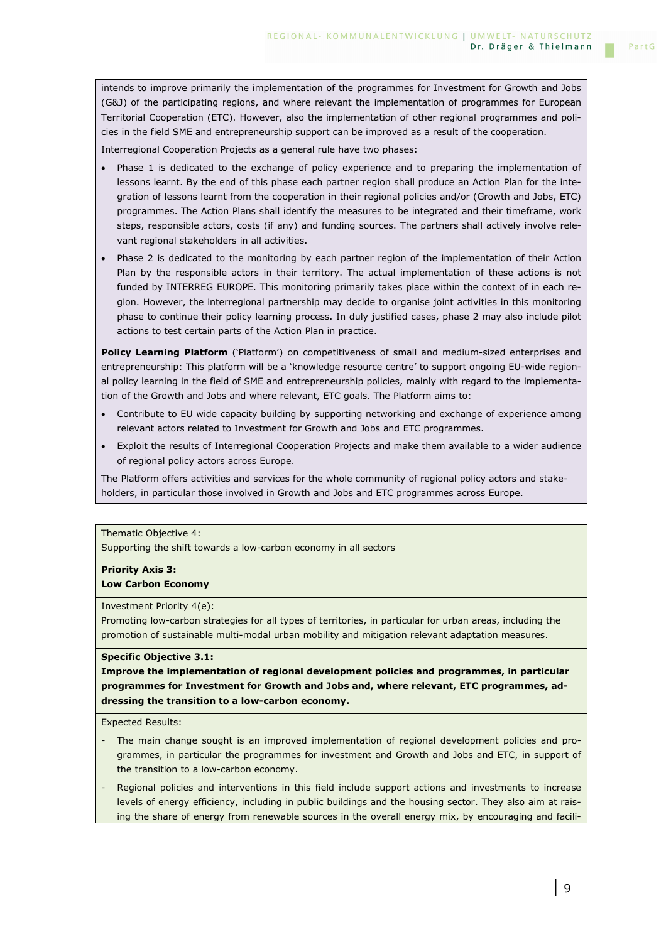intends to improve primarily the implementation of the programmes for Investment for Growth and Jobs (G&J) of the participating regions, and where relevant the implementation of programmes for European Territorial Cooperation (ETC). However, also the implementation of other regional programmes and policies in the field SME and entrepreneurship support can be improved as a result of the cooperation.

Interregional Cooperation Projects as a general rule have two phases:

- Phase 1 is dedicated to the exchange of policy experience and to preparing the implementation of lessons learnt. By the end of this phase each partner region shall produce an Action Plan for the integration of lessons learnt from the cooperation in their regional policies and/or (Growth and Jobs, ETC) programmes. The Action Plans shall identify the measures to be integrated and their timeframe, work steps, responsible actors, costs (if any) and funding sources. The partners shall actively involve relevant regional stakeholders in all activities.
- Phase 2 is dedicated to the monitoring by each partner region of the implementation of their Action Plan by the responsible actors in their territory. The actual implementation of these actions is not funded by INTERREG EUROPE. This monitoring primarily takes place within the context of in each region. However, the interregional partnership may decide to organise joint activities in this monitoring phase to continue their policy learning process. In duly justified cases, phase 2 may also include pilot actions to test certain parts of the Action Plan in practice.

**Policy Learning Platform** ('Platform') on competitiveness of small and medium-sized enterprises and entrepreneurship: This platform will be a 'knowledge resource centre' to support ongoing EU-wide regional policy learning in the field of SME and entrepreneurship policies, mainly with regard to the implementation of the Growth and Jobs and where relevant, ETC goals. The Platform aims to:

- Contribute to EU wide capacity building by supporting networking and exchange of experience among relevant actors related to Investment for Growth and Jobs and ETC programmes.
- Exploit the results of Interregional Cooperation Projects and make them available to a wider audience of regional policy actors across Europe.

The Platform offers activities and services for the whole community of regional policy actors and stakeholders, in particular those involved in Growth and Jobs and ETC programmes across Europe.

Thematic Objective 4:

Supporting the shift towards a low-carbon economy in all sectors

**Priority Axis 3:** 

**Low Carbon Economy**

Investment Priority 4(e):

Promoting low-carbon strategies for all types of territories, in particular for urban areas, including the promotion of sustainable multi-modal urban mobility and mitigation relevant adaptation measures.

### **Specific Objective 3.1:**

**Improve the implementation of regional development policies and programmes, in particular programmes for Investment for Growth and Jobs and, where relevant, ETC programmes, addressing the transition to a low-carbon economy.** 

Expected Results:

- The main change sought is an improved implementation of regional development policies and programmes, in particular the programmes for investment and Growth and Jobs and ETC, in support of the transition to a low-carbon economy.
- Regional policies and interventions in this field include support actions and investments to increase levels of energy efficiency, including in public buildings and the housing sector. They also aim at raising the share of energy from renewable sources in the overall energy mix, by encouraging and facili-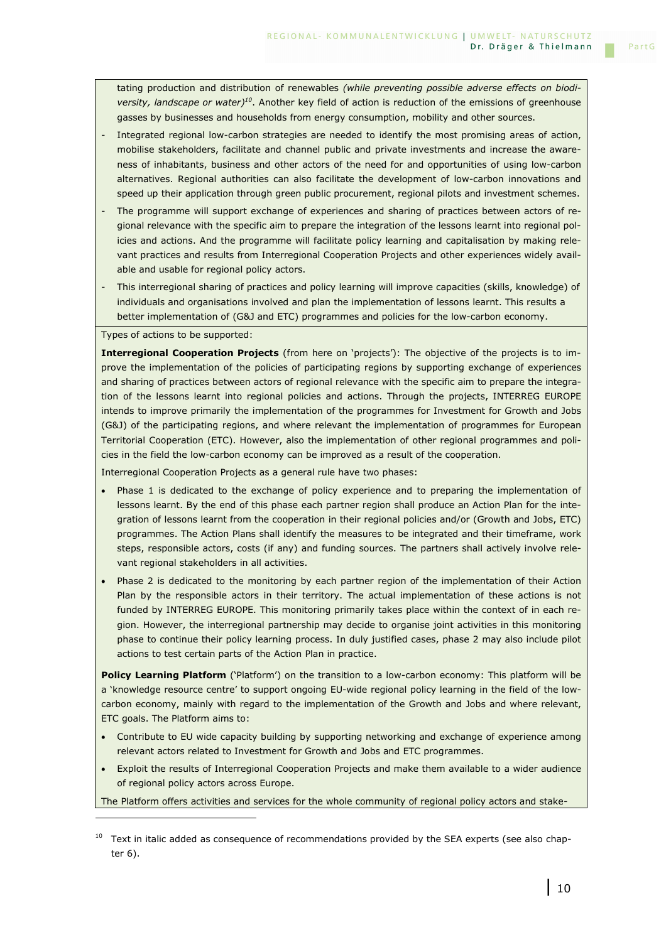tating production and distribution of renewables *(while preventing possible adverse effects on biodiversity, landscape or water)<sup>10</sup>*. Another key field of action is reduction of the emissions of greenhouse gasses by businesses and households from energy consumption, mobility and other sources.

- Integrated regional low-carbon strategies are needed to identify the most promising areas of action, mobilise stakeholders, facilitate and channel public and private investments and increase the awareness of inhabitants, business and other actors of the need for and opportunities of using low-carbon alternatives. Regional authorities can also facilitate the development of low-carbon innovations and speed up their application through green public procurement, regional pilots and investment schemes.
- The programme will support exchange of experiences and sharing of practices between actors of regional relevance with the specific aim to prepare the integration of the lessons learnt into regional policies and actions. And the programme will facilitate policy learning and capitalisation by making relevant practices and results from Interregional Cooperation Projects and other experiences widely available and usable for regional policy actors.
- This interregional sharing of practices and policy learning will improve capacities (skills, knowledge) of individuals and organisations involved and plan the implementation of lessons learnt. This results a better implementation of (G&J and ETC) programmes and policies for the low-carbon economy.

Types of actions to be supported:

i<br>I

**Interregional Cooperation Projects** (from here on 'projects'): The objective of the projects is to improve the implementation of the policies of participating regions by supporting exchange of experiences and sharing of practices between actors of regional relevance with the specific aim to prepare the integration of the lessons learnt into regional policies and actions. Through the projects, INTERREG EUROPE intends to improve primarily the implementation of the programmes for Investment for Growth and Jobs (G&J) of the participating regions, and where relevant the implementation of programmes for European Territorial Cooperation (ETC). However, also the implementation of other regional programmes and policies in the field the low-carbon economy can be improved as a result of the cooperation.

Interregional Cooperation Projects as a general rule have two phases:

- Phase 1 is dedicated to the exchange of policy experience and to preparing the implementation of lessons learnt. By the end of this phase each partner region shall produce an Action Plan for the integration of lessons learnt from the cooperation in their regional policies and/or (Growth and Jobs, ETC) programmes. The Action Plans shall identify the measures to be integrated and their timeframe, work steps, responsible actors, costs (if any) and funding sources. The partners shall actively involve relevant regional stakeholders in all activities.
- Phase 2 is dedicated to the monitoring by each partner region of the implementation of their Action Plan by the responsible actors in their territory. The actual implementation of these actions is not funded by INTERREG EUROPE. This monitoring primarily takes place within the context of in each region. However, the interregional partnership may decide to organise joint activities in this monitoring phase to continue their policy learning process. In duly justified cases, phase 2 may also include pilot actions to test certain parts of the Action Plan in practice.

**Policy Learning Platform** ('Platform') on the transition to a low-carbon economy: This platform will be a 'knowledge resource centre' to support ongoing EU-wide regional policy learning in the field of the lowcarbon economy, mainly with regard to the implementation of the Growth and Jobs and where relevant, ETC goals. The Platform aims to:

- Contribute to EU wide capacity building by supporting networking and exchange of experience among relevant actors related to Investment for Growth and Jobs and ETC programmes.
- Exploit the results of Interregional Cooperation Projects and make them available to a wider audience of regional policy actors across Europe.

The Platform offers activities and services for the whole community of regional policy actors and stake-

<sup>&</sup>lt;sup>10</sup> Text in italic added as consequence of recommendations provided by the SEA experts (see also chapter 6).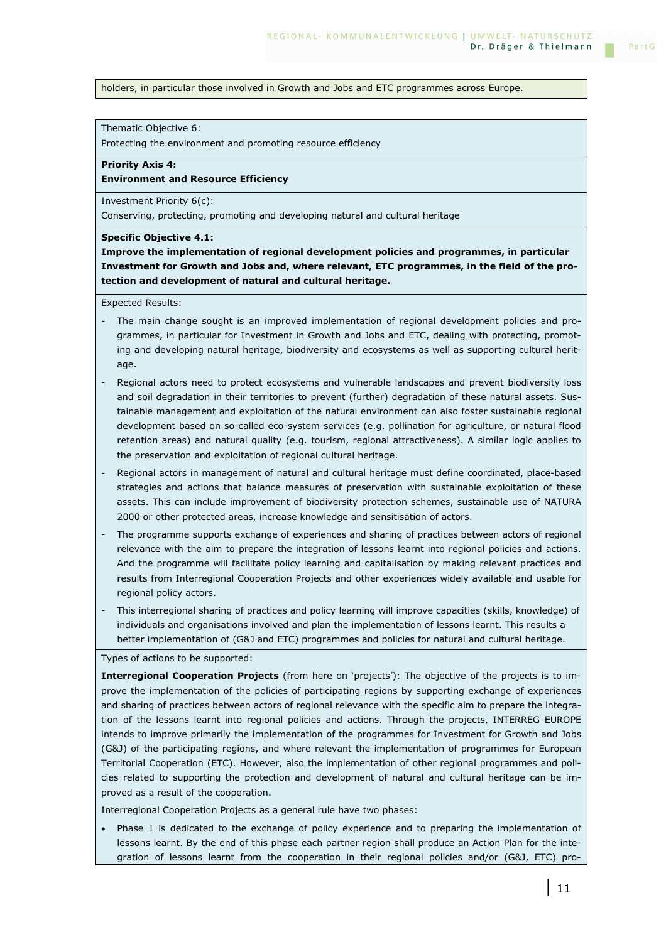#### holders, in particular those involved in Growth and Jobs and ETC programmes across Europe.

Thematic Objective 6:

Protecting the environment and promoting resource efficiency

**Priority Axis 4:** 

**Environment and Resource Efficiency**

Investment Priority 6(c):

Conserving, protecting, promoting and developing natural and cultural heritage

**Specific Objective 4.1:** 

**Improve the implementation of regional development policies and programmes, in particular Investment for Growth and Jobs and, where relevant, ETC programmes, in the field of the protection and development of natural and cultural heritage.** 

Expected Results:

- The main change sought is an improved implementation of regional development policies and programmes, in particular for Investment in Growth and Jobs and ETC, dealing with protecting, promoting and developing natural heritage, biodiversity and ecosystems as well as supporting cultural heritage.
- Regional actors need to protect ecosystems and vulnerable landscapes and prevent biodiversity loss and soil degradation in their territories to prevent (further) degradation of these natural assets. Sustainable management and exploitation of the natural environment can also foster sustainable regional development based on so-called eco-system services (e.g. pollination for agriculture, or natural flood retention areas) and natural quality (e.g. tourism, regional attractiveness). A similar logic applies to the preservation and exploitation of regional cultural heritage.
- Regional actors in management of natural and cultural heritage must define coordinated, place-based strategies and actions that balance measures of preservation with sustainable exploitation of these assets. This can include improvement of biodiversity protection schemes, sustainable use of NATURA 2000 or other protected areas, increase knowledge and sensitisation of actors.
- The programme supports exchange of experiences and sharing of practices between actors of regional relevance with the aim to prepare the integration of lessons learnt into regional policies and actions. And the programme will facilitate policy learning and capitalisation by making relevant practices and results from Interregional Cooperation Projects and other experiences widely available and usable for regional policy actors.
- This interregional sharing of practices and policy learning will improve capacities (skills, knowledge) of individuals and organisations involved and plan the implementation of lessons learnt. This results a better implementation of (G&J and ETC) programmes and policies for natural and cultural heritage.

Types of actions to be supported:

**Interregional Cooperation Projects** (from here on 'projects'): The objective of the projects is to improve the implementation of the policies of participating regions by supporting exchange of experiences and sharing of practices between actors of regional relevance with the specific aim to prepare the integration of the lessons learnt into regional policies and actions. Through the projects, INTERREG EUROPE intends to improve primarily the implementation of the programmes for Investment for Growth and Jobs (G&J) of the participating regions, and where relevant the implementation of programmes for European Territorial Cooperation (ETC). However, also the implementation of other regional programmes and policies related to supporting the protection and development of natural and cultural heritage can be improved as a result of the cooperation.

Interregional Cooperation Projects as a general rule have two phases:

Phase 1 is dedicated to the exchange of policy experience and to preparing the implementation of lessons learnt. By the end of this phase each partner region shall produce an Action Plan for the integration of lessons learnt from the cooperation in their regional policies and/or (G&J, ETC) pro-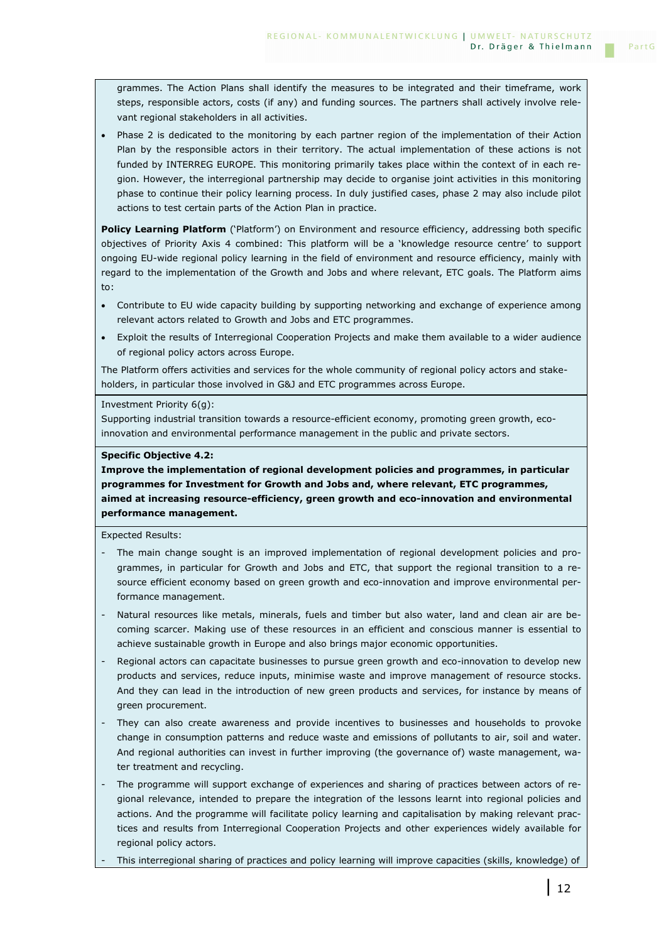grammes. The Action Plans shall identify the measures to be integrated and their timeframe, work steps, responsible actors, costs (if any) and funding sources. The partners shall actively involve relevant regional stakeholders in all activities.

• Phase 2 is dedicated to the monitoring by each partner region of the implementation of their Action Plan by the responsible actors in their territory. The actual implementation of these actions is not funded by INTERREG EUROPE. This monitoring primarily takes place within the context of in each region. However, the interregional partnership may decide to organise joint activities in this monitoring phase to continue their policy learning process. In duly justified cases, phase 2 may also include pilot actions to test certain parts of the Action Plan in practice.

**Policy Learning Platform** ('Platform') on Environment and resource efficiency, addressing both specific objectives of Priority Axis 4 combined: This platform will be a 'knowledge resource centre' to support ongoing EU-wide regional policy learning in the field of environment and resource efficiency, mainly with regard to the implementation of the Growth and Jobs and where relevant, ETC goals. The Platform aims to:

- Contribute to EU wide capacity building by supporting networking and exchange of experience among relevant actors related to Growth and Jobs and ETC programmes.
- Exploit the results of Interregional Cooperation Projects and make them available to a wider audience of regional policy actors across Europe.

The Platform offers activities and services for the whole community of regional policy actors and stakeholders, in particular those involved in G&J and ETC programmes across Europe.

#### Investment Priority 6(g):

Supporting industrial transition towards a resource-efficient economy, promoting green growth, ecoinnovation and environmental performance management in the public and private sectors.

#### **Specific Objective 4.2:**

**Improve the implementation of regional development policies and programmes, in particular programmes for Investment for Growth and Jobs and, where relevant, ETC programmes, aimed at increasing resource-efficiency, green growth and eco-innovation and environmental performance management.** 

Expected Results:

- The main change sought is an improved implementation of regional development policies and programmes, in particular for Growth and Jobs and ETC, that support the regional transition to a resource efficient economy based on green growth and eco-innovation and improve environmental performance management.
- Natural resources like metals, minerals, fuels and timber but also water, land and clean air are becoming scarcer. Making use of these resources in an efficient and conscious manner is essential to achieve sustainable growth in Europe and also brings major economic opportunities.
- Regional actors can capacitate businesses to pursue green growth and eco-innovation to develop new products and services, reduce inputs, minimise waste and improve management of resource stocks. And they can lead in the introduction of new green products and services, for instance by means of green procurement.
- They can also create awareness and provide incentives to businesses and households to provoke change in consumption patterns and reduce waste and emissions of pollutants to air, soil and water. And regional authorities can invest in further improving (the governance of) waste management, water treatment and recycling.
- The programme will support exchange of experiences and sharing of practices between actors of regional relevance, intended to prepare the integration of the lessons learnt into regional policies and actions. And the programme will facilitate policy learning and capitalisation by making relevant practices and results from Interregional Cooperation Projects and other experiences widely available for regional policy actors.
- This interregional sharing of practices and policy learning will improve capacities (skills, knowledge) of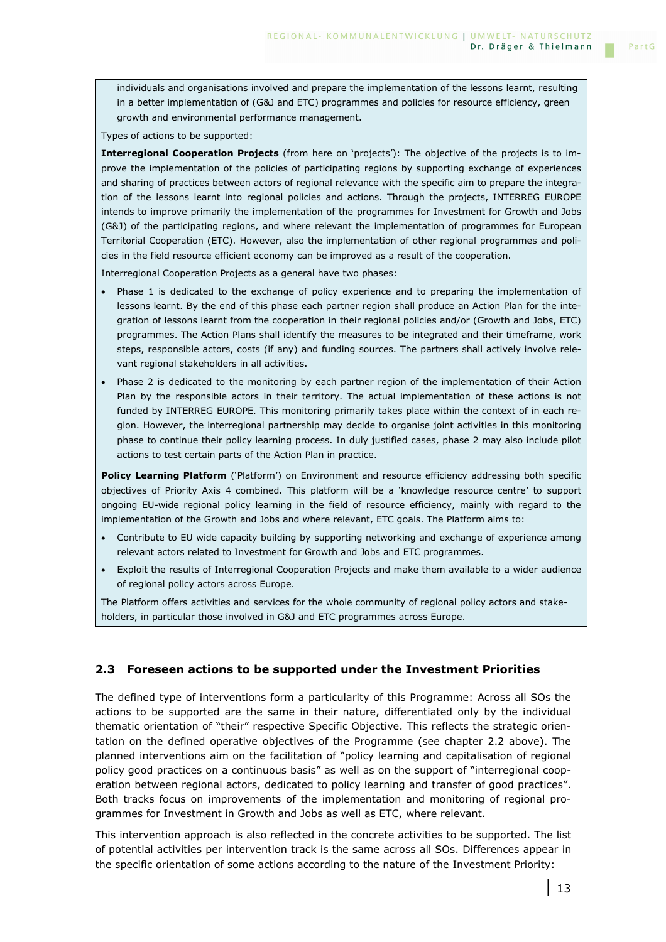individuals and organisations involved and prepare the implementation of the lessons learnt, resulting in a better implementation of (G&J and ETC) programmes and policies for resource efficiency, green growth and environmental performance management.

Types of actions to be supported:

**Interregional Cooperation Projects** (from here on 'projects'): The objective of the projects is to improve the implementation of the policies of participating regions by supporting exchange of experiences and sharing of practices between actors of regional relevance with the specific aim to prepare the integration of the lessons learnt into regional policies and actions. Through the projects, INTERREG EUROPE intends to improve primarily the implementation of the programmes for Investment for Growth and Jobs (G&J) of the participating regions, and where relevant the implementation of programmes for European Territorial Cooperation (ETC). However, also the implementation of other regional programmes and policies in the field resource efficient economy can be improved as a result of the cooperation.

Interregional Cooperation Projects as a general have two phases:

- Phase 1 is dedicated to the exchange of policy experience and to preparing the implementation of lessons learnt. By the end of this phase each partner region shall produce an Action Plan for the integration of lessons learnt from the cooperation in their regional policies and/or (Growth and Jobs, ETC) programmes. The Action Plans shall identify the measures to be integrated and their timeframe, work steps, responsible actors, costs (if any) and funding sources. The partners shall actively involve relevant regional stakeholders in all activities.
- Phase 2 is dedicated to the monitoring by each partner region of the implementation of their Action Plan by the responsible actors in their territory. The actual implementation of these actions is not funded by INTERREG EUROPE. This monitoring primarily takes place within the context of in each region. However, the interregional partnership may decide to organise joint activities in this monitoring phase to continue their policy learning process. In duly justified cases, phase 2 may also include pilot actions to test certain parts of the Action Plan in practice.

**Policy Learning Platform** ('Platform') on Environment and resource efficiency addressing both specific objectives of Priority Axis 4 combined. This platform will be a 'knowledge resource centre' to support ongoing EU-wide regional policy learning in the field of resource efficiency, mainly with regard to the implementation of the Growth and Jobs and where relevant, ETC goals. The Platform aims to:

- Contribute to EU wide capacity building by supporting networking and exchange of experience among relevant actors related to Investment for Growth and Jobs and ETC programmes.
- Exploit the results of Interregional Cooperation Projects and make them available to a wider audience of regional policy actors across Europe.

The Platform offers activities and services for the whole community of regional policy actors and stakeholders, in particular those involved in G&J and ETC programmes across Europe.

### **2.3 Foreseen actions to be supported under the Investment Priorities**

The defined type of interventions form a particularity of this Programme: Across all SOs the actions to be supported are the same in their nature, differentiated only by the individual thematic orientation of "their" respective Specific Objective. This reflects the strategic orientation on the defined operative objectives of the Programme (see chapter 2.2 above). The planned interventions aim on the facilitation of "policy learning and capitalisation of regional policy good practices on a continuous basis" as well as on the support of "interregional cooperation between regional actors, dedicated to policy learning and transfer of good practices". Both tracks focus on improvements of the implementation and monitoring of regional programmes for Investment in Growth and Jobs as well as ETC, where relevant.

This intervention approach is also reflected in the concrete activities to be supported. The list of potential activities per intervention track is the same across all SOs. Differences appear in the specific orientation of some actions according to the nature of the Investment Priority: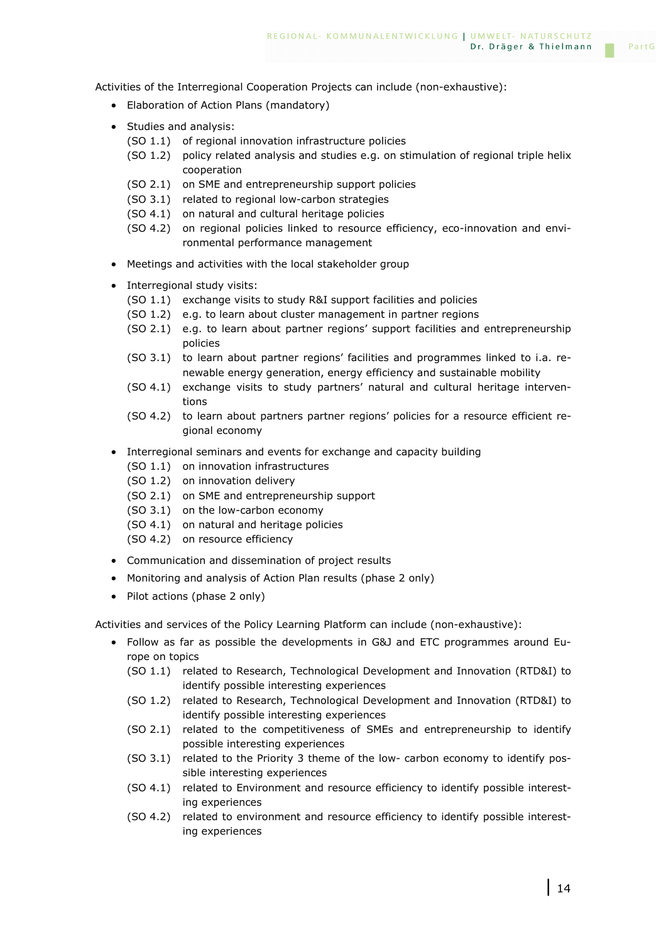Activities of the Interregional Cooperation Projects can include (non-exhaustive):

- Elaboration of Action Plans (mandatory)
- Studies and analysis:
	- (SO 1.1) of regional innovation infrastructure policies
	- (SO 1.2) policy related analysis and studies e.g. on stimulation of regional triple helix cooperation
	- (SO 2.1) on SME and entrepreneurship support policies
	- (SO 3.1) related to regional low-carbon strategies
	- (SO 4.1) on natural and cultural heritage policies
	- (SO 4.2) on regional policies linked to resource efficiency, eco-innovation and environmental performance management
- Meetings and activities with the local stakeholder group
- Interregional study visits:
	- (SO 1.1) exchange visits to study R&I support facilities and policies
	- (SO 1.2) e.g. to learn about cluster management in partner regions
	- (SO 2.1) e.g. to learn about partner regions' support facilities and entrepreneurship policies
	- (SO 3.1) to learn about partner regions' facilities and programmes linked to i.a. renewable energy generation, energy efficiency and sustainable mobility
	- (SO 4.1) exchange visits to study partners' natural and cultural heritage interventions
	- (SO 4.2) to learn about partners partner regions' policies for a resource efficient regional economy
- Interregional seminars and events for exchange and capacity building
	- (SO 1.1) on innovation infrastructures
	- (SO 1.2) on innovation delivery
	- (SO 2.1) on SME and entrepreneurship support
	- (SO 3.1) on the low-carbon economy
	- (SO 4.1) on natural and heritage policies
	- (SO 4.2) on resource efficiency
- Communication and dissemination of project results
- Monitoring and analysis of Action Plan results (phase 2 only)
- Pilot actions (phase 2 only)

Activities and services of the Policy Learning Platform can include (non-exhaustive):

- Follow as far as possible the developments in G&J and ETC programmes around Europe on topics
	- (SO 1.1) related to Research, Technological Development and Innovation (RTD&I) to identify possible interesting experiences
	- (SO 1.2) related to Research, Technological Development and Innovation (RTD&I) to identify possible interesting experiences
	- (SO 2.1) related to the competitiveness of SMEs and entrepreneurship to identify possible interesting experiences
	- (SO 3.1) related to the Priority 3 theme of the low- carbon economy to identify possible interesting experiences
	- (SO 4.1) related to Environment and resource efficiency to identify possible interesting experiences
	- (SO 4.2) related to environment and resource efficiency to identify possible interesting experiences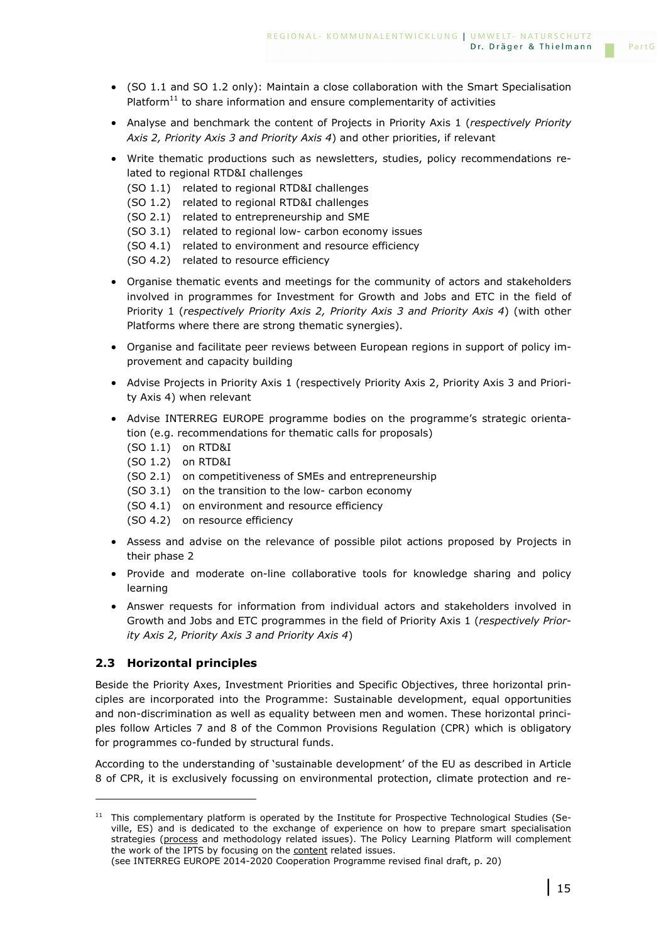- (SO 1.1 and SO 1.2 only): Maintain a close collaboration with the Smart Specialisation Platform $11$  to share information and ensure complementarity of activities
- Analyse and benchmark the content of Projects in Priority Axis 1 (*respectively Priority Axis 2, Priority Axis 3 and Priority Axis 4*) and other priorities, if relevant
- Write thematic productions such as newsletters, studies, policy recommendations related to regional RTD&I challenges
	- (SO 1.1) related to regional RTD&I challenges
	- (SO 1.2) related to regional RTD&I challenges
	- (SO 2.1) related to entrepreneurship and SME
	- (SO 3.1) related to regional low- carbon economy issues
	- (SO 4.1) related to environment and resource efficiency
	- (SO 4.2) related to resource efficiency
- Organise thematic events and meetings for the community of actors and stakeholders involved in programmes for Investment for Growth and Jobs and ETC in the field of Priority 1 (*respectively Priority Axis 2, Priority Axis 3 and Priority Axis 4*) (with other Platforms where there are strong thematic synergies).
- Organise and facilitate peer reviews between European regions in support of policy improvement and capacity building
- Advise Projects in Priority Axis 1 (respectively Priority Axis 2, Priority Axis 3 and Priority Axis 4) when relevant
- Advise INTERREG EUROPE programme bodies on the programme's strategic orientation (e.g. recommendations for thematic calls for proposals)
	- (SO 1.1) on RTD&I
	- (SO 1.2) on RTD&I
	- (SO 2.1) on competitiveness of SMEs and entrepreneurship
	- (SO 3.1) on the transition to the low- carbon economy
	- (SO 4.1) on environment and resource efficiency
	- (SO 4.2) on resource efficiency
- Assess and advise on the relevance of possible pilot actions proposed by Projects in their phase 2
- Provide and moderate on-line collaborative tools for knowledge sharing and policy learning
- Answer requests for information from individual actors and stakeholders involved in Growth and Jobs and ETC programmes in the field of Priority Axis 1 (*respectively Priority Axis 2, Priority Axis 3 and Priority Axis 4*)

### **2.3 Horizontal principles**

ı

Beside the Priority Axes, Investment Priorities and Specific Objectives, three horizontal principles are incorporated into the Programme: Sustainable development, equal opportunities and non-discrimination as well as equality between men and women. These horizontal principles follow Articles 7 and 8 of the Common Provisions Regulation (CPR) which is obligatory for programmes co-funded by structural funds.

According to the understanding of 'sustainable development' of the EU as described in Article 8 of CPR, it is exclusively focussing on environmental protection, climate protection and re-

 $11$  This complementary platform is operated by the Institute for Prospective Technological Studies (Seville, ES) and is dedicated to the exchange of experience on how to prepare smart specialisation strategies (process and methodology related issues). The Policy Learning Platform will complement the work of the IPTS by focusing on the content related issues.

 <sup>(</sup>see INTERREG EUROPE 2014-2020 Cooperation Programme revised final draft, p. 20)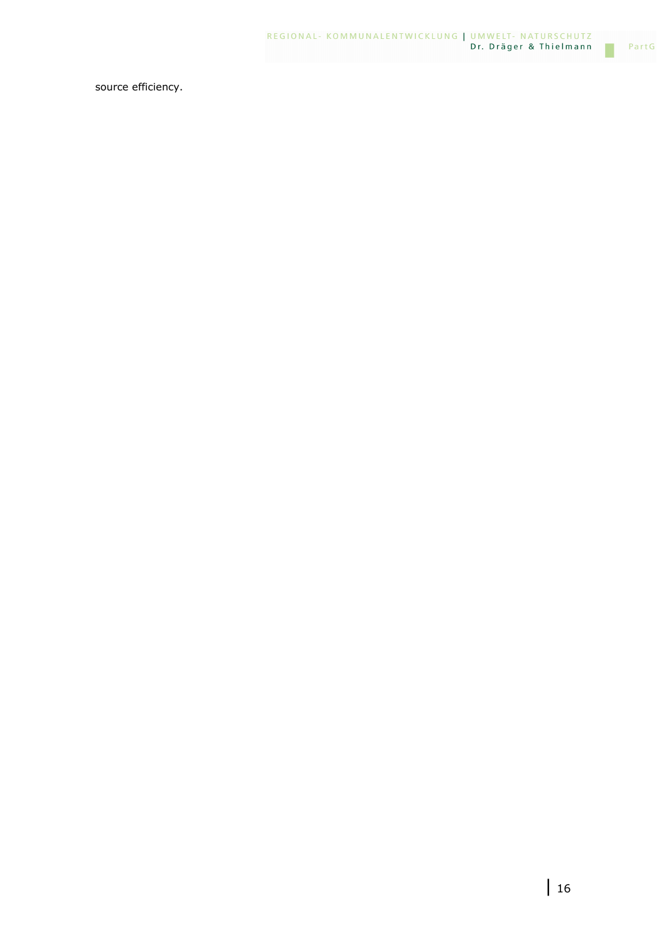source efficiency.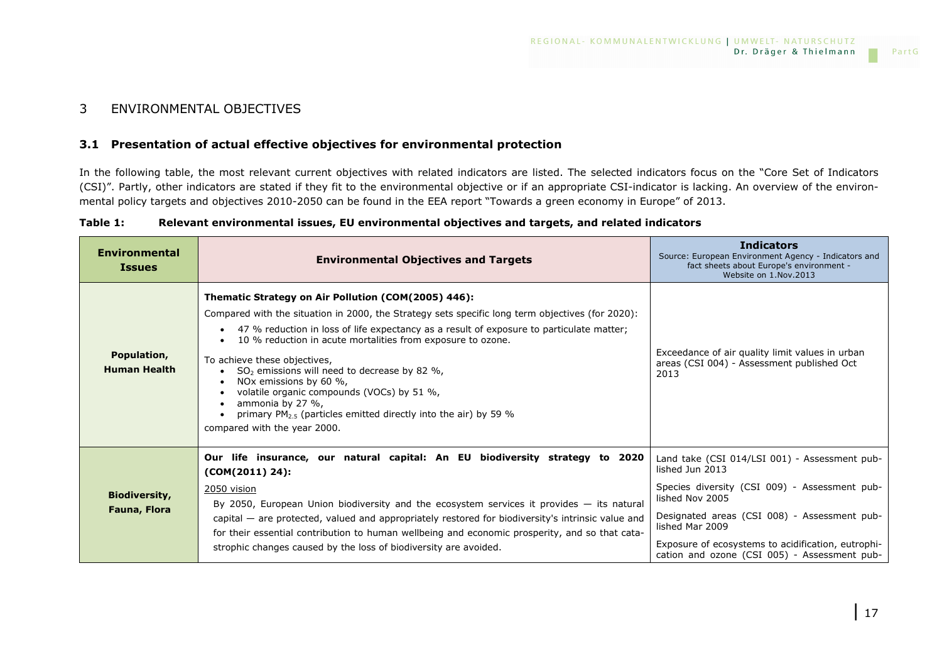### 3 ENVIRONMENTAL OBJECTIVES

### **3.1 Presentation of actual effective objectives for environmental protection**

In the following table, the most relevant current objectives with related indicators are listed. The selected indicators focus on the "Core Set of Indicators (CSI)". Partly, other indicators are stated if they fit to the environmental objective or if an appropriate CSI-indicator is lacking. An overview of the environmental policy targets and objectives 2010-2050 can be found in the EEA report "Towards a green economy in Europe" of 2013.

| Relevant environmental issues, EU environmental objectives and targets, and related indicators | Table 1: |  |  |  |  |
|------------------------------------------------------------------------------------------------|----------|--|--|--|--|
|------------------------------------------------------------------------------------------------|----------|--|--|--|--|

| <b>Environmental</b><br><b>Issues</b>       | <b>Environmental Objectives and Targets</b>                                                                                                                                                                                                                                                                                                                                                                                                                                                                                                                                                                       | <b>Indicators</b><br>Source: European Environment Agency - Indicators and<br>fact sheets about Europe's environment -<br>Website on 1.Nov.2013                                                                                                                                                                |
|---------------------------------------------|-------------------------------------------------------------------------------------------------------------------------------------------------------------------------------------------------------------------------------------------------------------------------------------------------------------------------------------------------------------------------------------------------------------------------------------------------------------------------------------------------------------------------------------------------------------------------------------------------------------------|---------------------------------------------------------------------------------------------------------------------------------------------------------------------------------------------------------------------------------------------------------------------------------------------------------------|
| Population,<br><b>Human Health</b>          | Thematic Strategy on Air Pollution (COM(2005) 446):<br>Compared with the situation in 2000, the Strategy sets specific long term objectives (for 2020):<br>• 47 % reduction in loss of life expectancy as a result of exposure to particulate matter;<br>10 % reduction in acute mortalities from exposure to ozone.<br>To achieve these objectives,<br>$SO2$ emissions will need to decrease by 82 %,<br>NOx emissions by 60 %,<br>volatile organic compounds (VOCs) by 51 %,<br>ammonia by 27 %,<br>primary PM <sub>2.5</sub> (particles emitted directly into the air) by 59 %<br>compared with the year 2000. | Exceedance of air quality limit values in urban<br>areas (CSI 004) - Assessment published Oct<br>2013                                                                                                                                                                                                         |
| <b>Biodiversity,</b><br><b>Fauna, Flora</b> | Our life insurance, our natural capital: An EU biodiversity strategy to 2020<br>$(COM(2011) 24)$ :<br>2050 vision<br>By 2050, European Union biodiversity and the ecosystem services it provides - its natural<br>capital - are protected, valued and appropriately restored for biodiversity's intrinsic value and<br>for their essential contribution to human wellbeing and economic prosperity, and so that cata-<br>strophic changes caused by the loss of biodiversity are avoided.                                                                                                                         | Land take (CSI 014/LSI 001) - Assessment pub-<br>lished Jun 2013<br>Species diversity (CSI 009) - Assessment pub-<br>lished Nov 2005<br>Designated areas (CSI 008) - Assessment pub-<br>lished Mar 2009<br>Exposure of ecosystems to acidification, eutrophi-<br>cation and ozone (CSI 005) - Assessment pub- |

PartG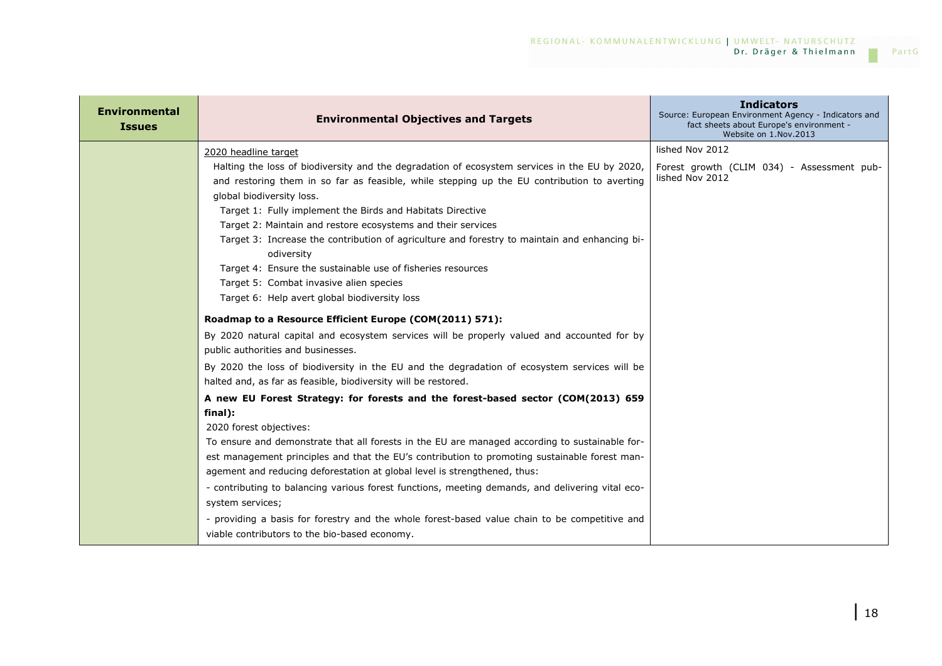| <b>Environmental</b><br><b>Issues</b> | <b>Environmental Objectives and Targets</b>                                                                                                                                                                                                                                                                                                                                                                                                                                                                                                                                                  | <b>Indicators</b><br>Source: European Environment Agency - Indicators and<br>fact sheets about Europe's environment -<br>Website on 1.Nov.2013 |
|---------------------------------------|----------------------------------------------------------------------------------------------------------------------------------------------------------------------------------------------------------------------------------------------------------------------------------------------------------------------------------------------------------------------------------------------------------------------------------------------------------------------------------------------------------------------------------------------------------------------------------------------|------------------------------------------------------------------------------------------------------------------------------------------------|
|                                       | 2020 headline target                                                                                                                                                                                                                                                                                                                                                                                                                                                                                                                                                                         | lished Nov 2012                                                                                                                                |
|                                       | Halting the loss of biodiversity and the degradation of ecosystem services in the EU by 2020,<br>and restoring them in so far as feasible, while stepping up the EU contribution to averting<br>global biodiversity loss.<br>Target 1: Fully implement the Birds and Habitats Directive<br>Target 2: Maintain and restore ecosystems and their services<br>Target 3: Increase the contribution of agriculture and forestry to maintain and enhancing bi-<br>odiversity<br>Target 4: Ensure the sustainable use of fisheries resources                                                        | Forest growth (CLIM 034) - Assessment pub-<br>lished Nov 2012                                                                                  |
|                                       | Target 5: Combat invasive alien species<br>Target 6: Help avert global biodiversity loss                                                                                                                                                                                                                                                                                                                                                                                                                                                                                                     |                                                                                                                                                |
|                                       | Roadmap to a Resource Efficient Europe (COM(2011) 571):                                                                                                                                                                                                                                                                                                                                                                                                                                                                                                                                      |                                                                                                                                                |
|                                       | By 2020 natural capital and ecosystem services will be properly valued and accounted for by<br>public authorities and businesses.                                                                                                                                                                                                                                                                                                                                                                                                                                                            |                                                                                                                                                |
|                                       | By 2020 the loss of biodiversity in the EU and the degradation of ecosystem services will be<br>halted and, as far as feasible, biodiversity will be restored.                                                                                                                                                                                                                                                                                                                                                                                                                               |                                                                                                                                                |
|                                       | A new EU Forest Strategy: for forests and the forest-based sector (COM(2013) 659                                                                                                                                                                                                                                                                                                                                                                                                                                                                                                             |                                                                                                                                                |
|                                       | final):<br>2020 forest objectives:<br>To ensure and demonstrate that all forests in the EU are managed according to sustainable for-<br>est management principles and that the EU's contribution to promoting sustainable forest man-<br>agement and reducing deforestation at global level is strengthened, thus:<br>- contributing to balancing various forest functions, meeting demands, and delivering vital eco-<br>system services;<br>- providing a basis for forestry and the whole forest-based value chain to be competitive and<br>viable contributors to the bio-based economy. |                                                                                                                                                |

 $\mathcal{L}^{\mathcal{L}}$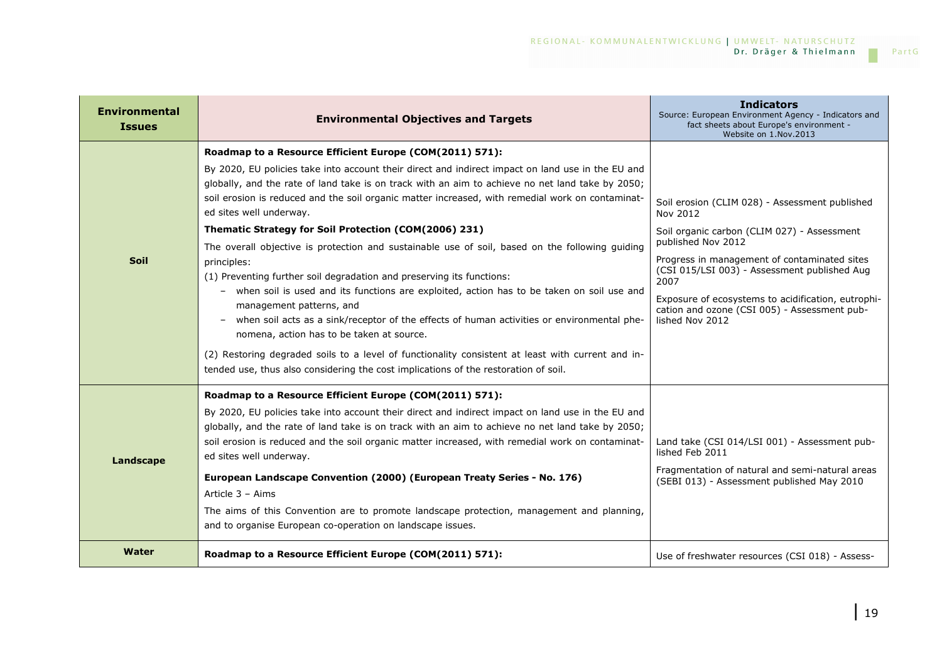| <b>Environmental</b><br><b>Issues</b> | <b>Environmental Objectives and Targets</b>                                                                                                                                                                                                                                                                                                                                                                                                                                                                                                                                                                                                                                                                                                                                                                                                                                                                                                                                                                                                                                                                           | <b>Indicators</b><br>Source: European Environment Agency - Indicators and<br>fact sheets about Europe's environment -<br>Website on 1.Nov.2013                                                                                                                                                                                                                   |
|---------------------------------------|-----------------------------------------------------------------------------------------------------------------------------------------------------------------------------------------------------------------------------------------------------------------------------------------------------------------------------------------------------------------------------------------------------------------------------------------------------------------------------------------------------------------------------------------------------------------------------------------------------------------------------------------------------------------------------------------------------------------------------------------------------------------------------------------------------------------------------------------------------------------------------------------------------------------------------------------------------------------------------------------------------------------------------------------------------------------------------------------------------------------------|------------------------------------------------------------------------------------------------------------------------------------------------------------------------------------------------------------------------------------------------------------------------------------------------------------------------------------------------------------------|
| <b>Soil</b>                           | Roadmap to a Resource Efficient Europe (COM(2011) 571):<br>By 2020, EU policies take into account their direct and indirect impact on land use in the EU and<br>globally, and the rate of land take is on track with an aim to achieve no net land take by 2050;<br>soil erosion is reduced and the soil organic matter increased, with remedial work on contaminat-<br>ed sites well underway.<br>Thematic Strategy for Soil Protection (COM(2006) 231)<br>The overall objective is protection and sustainable use of soil, based on the following guiding<br>principles:<br>(1) Preventing further soil degradation and preserving its functions:<br>- when soil is used and its functions are exploited, action has to be taken on soil use and<br>management patterns, and<br>when soil acts as a sink/receptor of the effects of human activities or environmental phe-<br>nomena, action has to be taken at source.<br>(2) Restoring degraded soils to a level of functionality consistent at least with current and in-<br>tended use, thus also considering the cost implications of the restoration of soil. | Soil erosion (CLIM 028) - Assessment published<br>Nov 2012<br>Soil organic carbon (CLIM 027) - Assessment<br>published Nov 2012<br>Progress in management of contaminated sites<br>(CSI 015/LSI 003) - Assessment published Aug<br>2007<br>Exposure of ecosystems to acidification, eutrophi-<br>cation and ozone (CSI 005) - Assessment pub-<br>lished Nov 2012 |
| Landscape                             | Roadmap to a Resource Efficient Europe (COM(2011) 571):<br>By 2020, EU policies take into account their direct and indirect impact on land use in the EU and<br>globally, and the rate of land take is on track with an aim to achieve no net land take by 2050;<br>soil erosion is reduced and the soil organic matter increased, with remedial work on contaminat-<br>ed sites well underway.<br>European Landscape Convention (2000) (European Treaty Series - No. 176)<br>Article 3 - Aims<br>The aims of this Convention are to promote landscape protection, management and planning,<br>and to organise European co-operation on landscape issues.                                                                                                                                                                                                                                                                                                                                                                                                                                                             | Land take (CSI 014/LSI 001) - Assessment pub-<br>lished Feb 2011<br>Fragmentation of natural and semi-natural areas<br>(SEBI 013) - Assessment published May 2010                                                                                                                                                                                                |
| Water                                 | Roadmap to a Resource Efficient Europe (COM(2011) 571):                                                                                                                                                                                                                                                                                                                                                                                                                                                                                                                                                                                                                                                                                                                                                                                                                                                                                                                                                                                                                                                               | Use of freshwater resources (CSI 018) - Assess-                                                                                                                                                                                                                                                                                                                  |

 $\mathcal{L}^{\mathcal{L}}$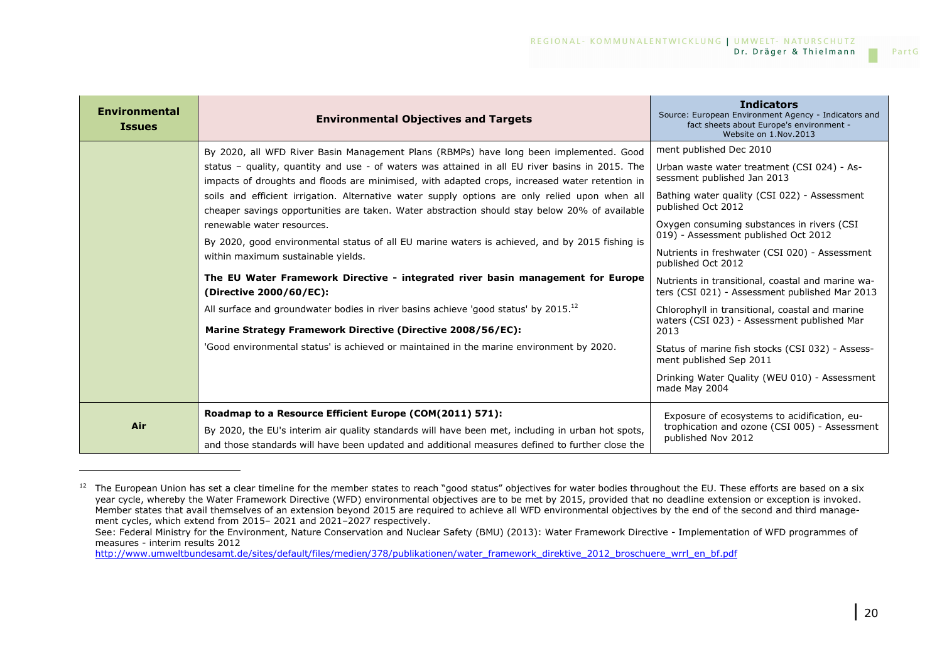| <b>Environmental</b><br><b>Issues</b> | <b>Environmental Objectives and Targets</b>                                                                                                                                                          | <b>Indicators</b><br>Source: European Environment Agency - Indicators and<br>fact sheets about Europe's environment -<br>Website on 1.Nov.2013 |
|---------------------------------------|------------------------------------------------------------------------------------------------------------------------------------------------------------------------------------------------------|------------------------------------------------------------------------------------------------------------------------------------------------|
|                                       | By 2020, all WFD River Basin Management Plans (RBMPs) have long been implemented. Good                                                                                                               | ment published Dec 2010                                                                                                                        |
|                                       | status – quality, quantity and use - of waters was attained in all EU river basins in 2015. The<br>impacts of droughts and floods are minimised, with adapted crops, increased water retention in    | Urban waste water treatment (CSI 024) - As-<br>sessment published Jan 2013                                                                     |
|                                       | soils and efficient irrigation. Alternative water supply options are only relied upon when all<br>cheaper savings opportunities are taken. Water abstraction should stay below 20% of available      | Bathing water quality (CSI 022) - Assessment<br>published Oct 2012                                                                             |
|                                       | renewable water resources.<br>By 2020, good environmental status of all EU marine waters is achieved, and by 2015 fishing is                                                                         | Oxygen consuming substances in rivers (CSI<br>019) - Assessment published Oct 2012                                                             |
|                                       | within maximum sustainable yields.                                                                                                                                                                   | Nutrients in freshwater (CSI 020) - Assessment<br>published Oct 2012                                                                           |
|                                       | The EU Water Framework Directive - integrated river basin management for Europe<br>(Directive 2000/60/EC):                                                                                           | Nutrients in transitional, coastal and marine wa-<br>ters (CSI 021) - Assessment published Mar 2013                                            |
|                                       | All surface and groundwater bodies in river basins achieve 'good status' by 2015. <sup>12</sup>                                                                                                      | Chlorophyll in transitional, coastal and marine<br>waters (CSI 023) - Assessment published Mar                                                 |
|                                       | Marine Strategy Framework Directive (Directive 2008/56/EC):                                                                                                                                          | 2013                                                                                                                                           |
|                                       | 'Good environmental status' is achieved or maintained in the marine environment by 2020.                                                                                                             | Status of marine fish stocks (CSI 032) - Assess-<br>ment published Sep 2011                                                                    |
|                                       |                                                                                                                                                                                                      | Drinking Water Quality (WEU 010) - Assessment<br>made May 2004                                                                                 |
|                                       | Roadmap to a Resource Efficient Europe (COM(2011) 571):                                                                                                                                              | Exposure of ecosystems to acidification, eu-                                                                                                   |
| Air                                   | By 2020, the EU's interim air quality standards will have been met, including in urban hot spots,<br>and those standards will have been updated and additional measures defined to further close the | trophication and ozone (CSI 005) - Assessment<br>published Nov 2012                                                                            |

<sup>&</sup>lt;sup>12</sup> The European Union has set a clear timeline for the member states to reach "good status" objectives for water bodies throughout the EU. These efforts are based on a six year cycle, whereby the Water Framework Directive (WFD) environmental objectives are to be met by 2015, provided that no deadline extension or exception is invoked. Member states that avail themselves of an extension beyond 2015 are required to achieve all WFD environmental objectives by the end of the second and third management cycles, which extend from 2015– 2021 and 2021–2027 respectively.

 See: Federal Ministry for the Environment, Nature Conservation and Nuclear Safety (BMU) (2013): Water Framework Directive - Implementation of WFD programmes of measures - interim results 2012

http://www.umweltbundesamt.de/sites/default/files/medien/378/publikationen/water\_framework\_direktive\_2012\_broschuere\_wrrl\_en\_bf.pdf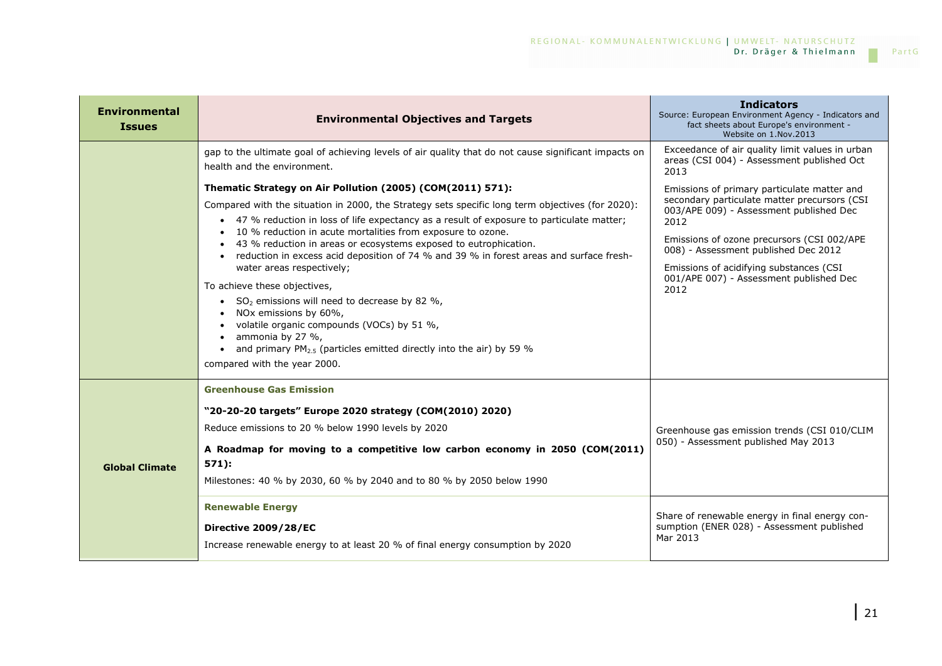| <b>Environmental</b><br><b>Issues</b> | <b>Environmental Objectives and Targets</b>                                                                                                                                                                                                                                                                                                                                                                                                                                                                                                                                                                                                                                                                                                                                                                                | <b>Indicators</b><br>Source: European Environment Agency - Indicators and<br>fact sheets about Europe's environment -<br>Website on 1.Nov.2013                                                                                                                                                                                     |
|---------------------------------------|----------------------------------------------------------------------------------------------------------------------------------------------------------------------------------------------------------------------------------------------------------------------------------------------------------------------------------------------------------------------------------------------------------------------------------------------------------------------------------------------------------------------------------------------------------------------------------------------------------------------------------------------------------------------------------------------------------------------------------------------------------------------------------------------------------------------------|------------------------------------------------------------------------------------------------------------------------------------------------------------------------------------------------------------------------------------------------------------------------------------------------------------------------------------|
|                                       | gap to the ultimate goal of achieving levels of air guality that do not cause significant impacts on<br>health and the environment.                                                                                                                                                                                                                                                                                                                                                                                                                                                                                                                                                                                                                                                                                        | Exceedance of air quality limit values in urban<br>areas (CSI 004) - Assessment published Oct<br>2013                                                                                                                                                                                                                              |
|                                       | Thematic Strategy on Air Pollution (2005) (COM(2011) 571):<br>Compared with the situation in 2000, the Strategy sets specific long term objectives (for 2020):<br>• 47 % reduction in loss of life expectancy as a result of exposure to particulate matter;<br>• 10 % reduction in acute mortalities from exposure to ozone.<br>• 43 % reduction in areas or ecosystems exposed to eutrophication.<br>• reduction in excess acid deposition of 74 % and 39 % in forest areas and surface fresh-<br>water areas respectively;<br>To achieve these objectives,<br>• $SO2$ emissions will need to decrease by 82 %,<br>NOx emissions by 60%,<br>volatile organic compounds (VOCs) by 51 %,<br>ammonia by 27 %,<br>• and primary $PM_{2.5}$ (particles emitted directly into the air) by 59 %<br>compared with the year 2000. | Emissions of primary particulate matter and<br>secondary particulate matter precursors (CSI<br>003/APE 009) - Assessment published Dec<br>2012<br>Emissions of ozone precursors (CSI 002/APE<br>008) - Assessment published Dec 2012<br>Emissions of acidifying substances (CSI<br>001/APE 007) - Assessment published Dec<br>2012 |
| <b>Global Climate</b>                 | <b>Greenhouse Gas Emission</b><br>"20-20-20 targets" Europe 2020 strategy (COM(2010) 2020)<br>Reduce emissions to 20 % below 1990 levels by 2020<br>A Roadmap for moving to a competitive low carbon economy in 2050 (COM(2011)<br>$571$ :<br>Milestones: 40 % by 2030, 60 % by 2040 and to 80 % by 2050 below 1990<br><b>Renewable Energy</b><br><b>Directive 2009/28/EC</b><br>Increase renewable energy to at least 20 % of final energy consumption by 2020                                                                                                                                                                                                                                                                                                                                                            | Greenhouse gas emission trends (CSI 010/CLIM<br>050) - Assessment published May 2013<br>Share of renewable energy in final energy con-<br>sumption (ENER 028) - Assessment published<br>Mar 2013                                                                                                                                   |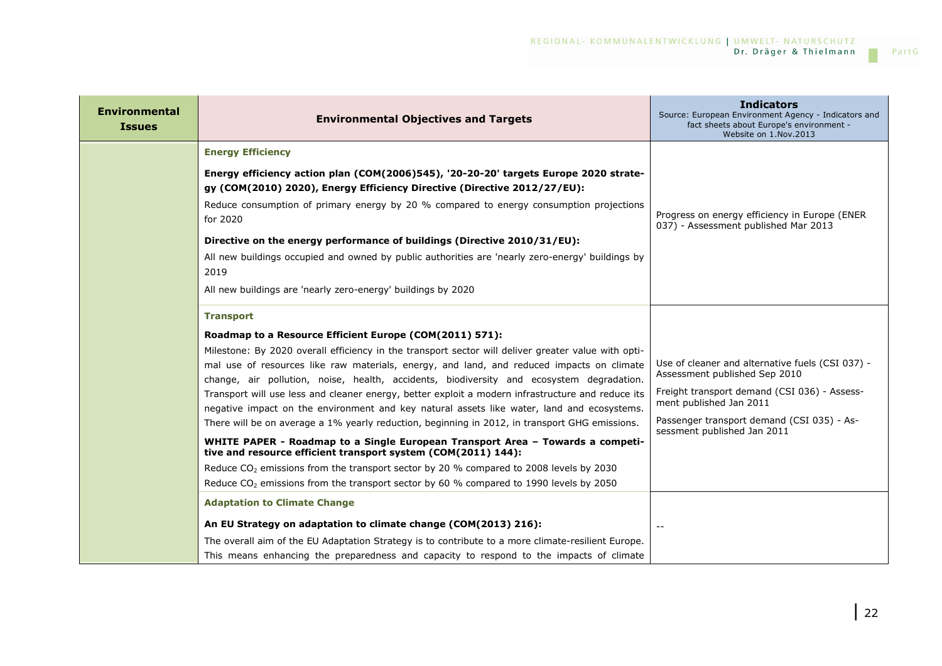# REGIONAL- KOMMUNALENTWICKLUNG | UMWELT- NATURSCHUTZ<br>Dr. Dräger & Thielmann

 $\mathcal{L}_{\mathcal{A}}$ 

| <b>Environmental</b><br><b>Issues</b> | <b>Environmental Objectives and Targets</b>                                                                                                                                                                                                                                                                                                                                                                                                                                                                                                                                                       | <b>Indicators</b><br>Source: European Environment Agency - Indicators and<br>fact sheets about Europe's environment -<br>Website on 1.Nov.2013                                                             |
|---------------------------------------|---------------------------------------------------------------------------------------------------------------------------------------------------------------------------------------------------------------------------------------------------------------------------------------------------------------------------------------------------------------------------------------------------------------------------------------------------------------------------------------------------------------------------------------------------------------------------------------------------|------------------------------------------------------------------------------------------------------------------------------------------------------------------------------------------------------------|
|                                       | <b>Energy Efficiency</b>                                                                                                                                                                                                                                                                                                                                                                                                                                                                                                                                                                          |                                                                                                                                                                                                            |
|                                       | Energy efficiency action plan (COM(2006)545), '20-20-20' targets Europe 2020 strate-<br>gy (COM(2010) 2020), Energy Efficiency Directive (Directive 2012/27/EU):<br>Reduce consumption of primary energy by 20 % compared to energy consumption projections<br>for 2020                                                                                                                                                                                                                                                                                                                           | Progress on energy efficiency in Europe (ENER<br>037) - Assessment published Mar 2013                                                                                                                      |
|                                       | Directive on the energy performance of buildings (Directive 2010/31/EU):                                                                                                                                                                                                                                                                                                                                                                                                                                                                                                                          |                                                                                                                                                                                                            |
|                                       | All new buildings occupied and owned by public authorities are 'nearly zero-energy' buildings by<br>2019                                                                                                                                                                                                                                                                                                                                                                                                                                                                                          |                                                                                                                                                                                                            |
|                                       | All new buildings are 'nearly zero-energy' buildings by 2020                                                                                                                                                                                                                                                                                                                                                                                                                                                                                                                                      |                                                                                                                                                                                                            |
|                                       | <b>Transport</b>                                                                                                                                                                                                                                                                                                                                                                                                                                                                                                                                                                                  |                                                                                                                                                                                                            |
|                                       | Roadmap to a Resource Efficient Europe (COM(2011) 571):                                                                                                                                                                                                                                                                                                                                                                                                                                                                                                                                           |                                                                                                                                                                                                            |
|                                       | Milestone: By 2020 overall efficiency in the transport sector will deliver greater value with opti-<br>mal use of resources like raw materials, energy, and land, and reduced impacts on climate<br>change, air pollution, noise, health, accidents, biodiversity and ecosystem degradation.<br>Transport will use less and cleaner energy, better exploit a modern infrastructure and reduce its<br>negative impact on the environment and key natural assets like water, land and ecosystems.<br>There will be on average a 1% yearly reduction, beginning in 2012, in transport GHG emissions. | Use of cleaner and alternative fuels (CSI 037) -<br>Assessment published Sep 2010<br>Freight transport demand (CSI 036) - Assess-<br>ment published Jan 2011<br>Passenger transport demand (CSI 035) - As- |
|                                       | WHITE PAPER - Roadmap to a Single European Transport Area - Towards a competi-<br>tive and resource efficient transport system (COM(2011) 144):                                                                                                                                                                                                                                                                                                                                                                                                                                                   | sessment published Jan 2011                                                                                                                                                                                |
|                                       | Reduce $CO2$ emissions from the transport sector by 20 % compared to 2008 levels by 2030<br>Reduce CO <sub>2</sub> emissions from the transport sector by 60 % compared to 1990 levels by 2050                                                                                                                                                                                                                                                                                                                                                                                                    |                                                                                                                                                                                                            |
|                                       | <b>Adaptation to Climate Change</b>                                                                                                                                                                                                                                                                                                                                                                                                                                                                                                                                                               |                                                                                                                                                                                                            |
|                                       | An EU Strategy on adaptation to climate change (COM(2013) 216):                                                                                                                                                                                                                                                                                                                                                                                                                                                                                                                                   |                                                                                                                                                                                                            |
|                                       | The overall aim of the EU Adaptation Strategy is to contribute to a more climate-resilient Europe.<br>This means enhancing the preparedness and capacity to respond to the impacts of climate                                                                                                                                                                                                                                                                                                                                                                                                     |                                                                                                                                                                                                            |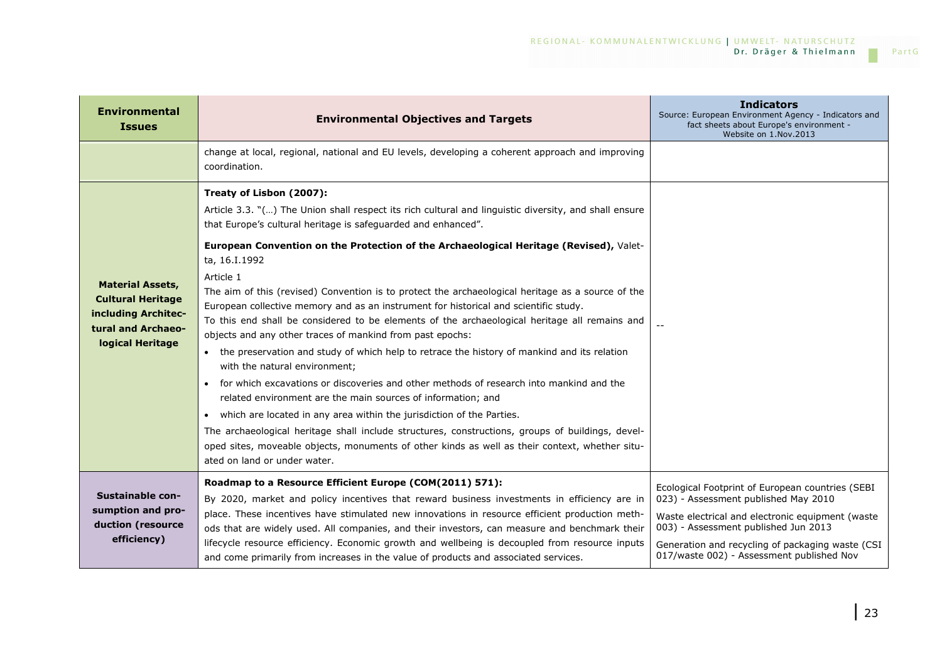| <b>Environmental</b><br><b>Issues</b>                                                                                | <b>Environmental Objectives and Targets</b>                                                                                                                                                                                                                                                                                                                                                                                                                                                                                                                                                                                                                                                                                                                                                                                                                                                                                                                                                                                                                                                                                                                                                                                                                                                                  | <b>Indicators</b><br>Source: European Environment Agency - Indicators and<br>fact sheets about Europe's environment -<br>Website on 1.Nov.2013                                                                                                                                        |
|----------------------------------------------------------------------------------------------------------------------|--------------------------------------------------------------------------------------------------------------------------------------------------------------------------------------------------------------------------------------------------------------------------------------------------------------------------------------------------------------------------------------------------------------------------------------------------------------------------------------------------------------------------------------------------------------------------------------------------------------------------------------------------------------------------------------------------------------------------------------------------------------------------------------------------------------------------------------------------------------------------------------------------------------------------------------------------------------------------------------------------------------------------------------------------------------------------------------------------------------------------------------------------------------------------------------------------------------------------------------------------------------------------------------------------------------|---------------------------------------------------------------------------------------------------------------------------------------------------------------------------------------------------------------------------------------------------------------------------------------|
|                                                                                                                      | change at local, regional, national and EU levels, developing a coherent approach and improving<br>coordination.                                                                                                                                                                                                                                                                                                                                                                                                                                                                                                                                                                                                                                                                                                                                                                                                                                                                                                                                                                                                                                                                                                                                                                                             |                                                                                                                                                                                                                                                                                       |
| <b>Material Assets,</b><br><b>Cultural Heritage</b><br>including Architec-<br>tural and Archaeo-<br>logical Heritage | Treaty of Lisbon (2007):<br>Article 3.3. "() The Union shall respect its rich cultural and linguistic diversity, and shall ensure<br>that Europe's cultural heritage is safeguarded and enhanced".<br>European Convention on the Protection of the Archaeological Heritage (Revised), Valet-<br>ta, 16.I.1992<br>Article 1<br>The aim of this (revised) Convention is to protect the archaeological heritage as a source of the<br>European collective memory and as an instrument for historical and scientific study.<br>To this end shall be considered to be elements of the archaeological heritage all remains and<br>objects and any other traces of mankind from past epochs:<br>the preservation and study of which help to retrace the history of mankind and its relation<br>with the natural environment:<br>for which excavations or discoveries and other methods of research into mankind and the<br>related environment are the main sources of information; and<br>which are located in any area within the jurisdiction of the Parties.<br>$\bullet$<br>The archaeological heritage shall include structures, constructions, groups of buildings, devel-<br>oped sites, moveable objects, monuments of other kinds as well as their context, whether situ-<br>ated on land or under water. |                                                                                                                                                                                                                                                                                       |
| Sustainable con-<br>sumption and pro-<br>duction (resource<br>efficiency)                                            | Roadmap to a Resource Efficient Europe (COM(2011) 571):<br>By 2020, market and policy incentives that reward business investments in efficiency are in<br>place. These incentives have stimulated new innovations in resource efficient production meth-<br>ods that are widely used. All companies, and their investors, can measure and benchmark their<br>lifecycle resource efficiency. Economic growth and wellbeing is decoupled from resource inputs<br>and come primarily from increases in the value of products and associated services.                                                                                                                                                                                                                                                                                                                                                                                                                                                                                                                                                                                                                                                                                                                                                           | Ecological Footprint of European countries (SEBI<br>023) - Assessment published May 2010<br>Waste electrical and electronic equipment (waste<br>003) - Assessment published Jun 2013<br>Generation and recycling of packaging waste (CSI<br>017/waste 002) - Assessment published Nov |

|

 $\mathcal{L}^{\mathcal{L}}$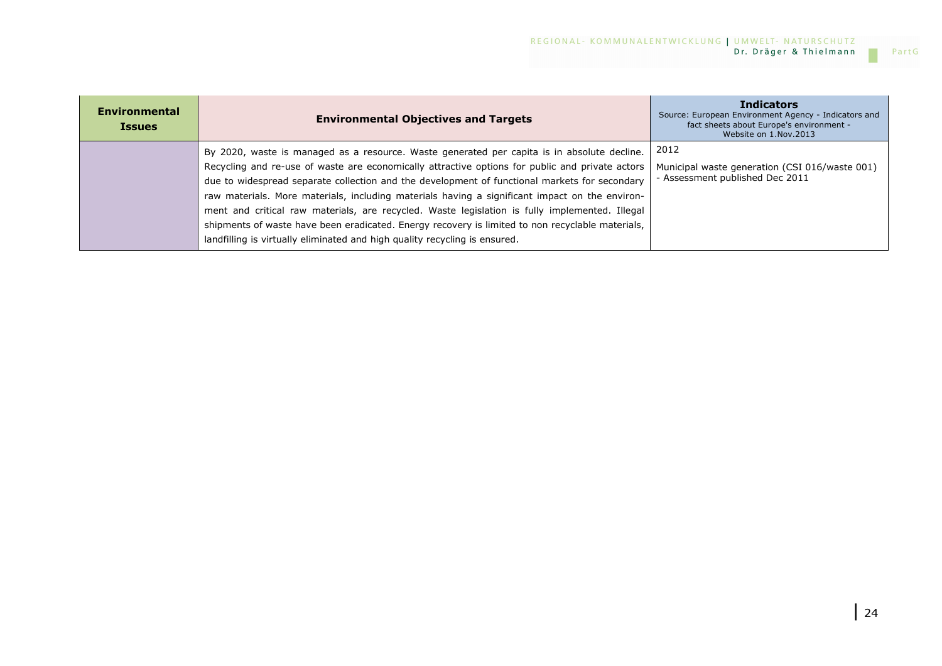| <b>Environmental</b><br><b>Issues</b> | <b>Environmental Objectives and Targets</b>                                                                                                                                                                                                                                                                                                                                                                                                                                                                                                                                                                                                                                           | <b>Indicators</b><br>Source: European Environment Agency - Indicators and<br>fact sheets about Europe's environment -<br>Website on 1.Nov.2013 |
|---------------------------------------|---------------------------------------------------------------------------------------------------------------------------------------------------------------------------------------------------------------------------------------------------------------------------------------------------------------------------------------------------------------------------------------------------------------------------------------------------------------------------------------------------------------------------------------------------------------------------------------------------------------------------------------------------------------------------------------|------------------------------------------------------------------------------------------------------------------------------------------------|
|                                       | By 2020, waste is managed as a resource. Waste generated per capita is in absolute decline.<br>Recycling and re-use of waste are economically attractive options for public and private actors<br>due to widespread separate collection and the development of functional markets for secondary<br>raw materials. More materials, including materials having a significant impact on the environ-<br>ment and critical raw materials, are recycled. Waste legislation is fully implemented. Illegal<br>shipments of waste have been eradicated. Energy recovery is limited to non recyclable materials,<br>landfilling is virtually eliminated and high quality recycling is ensured. | 2012<br>Municipal waste generation (CSI 016/waste 001)<br>- Assessment published Dec 2011                                                      |

 $\mathcal{C}^{\mathcal{A}}$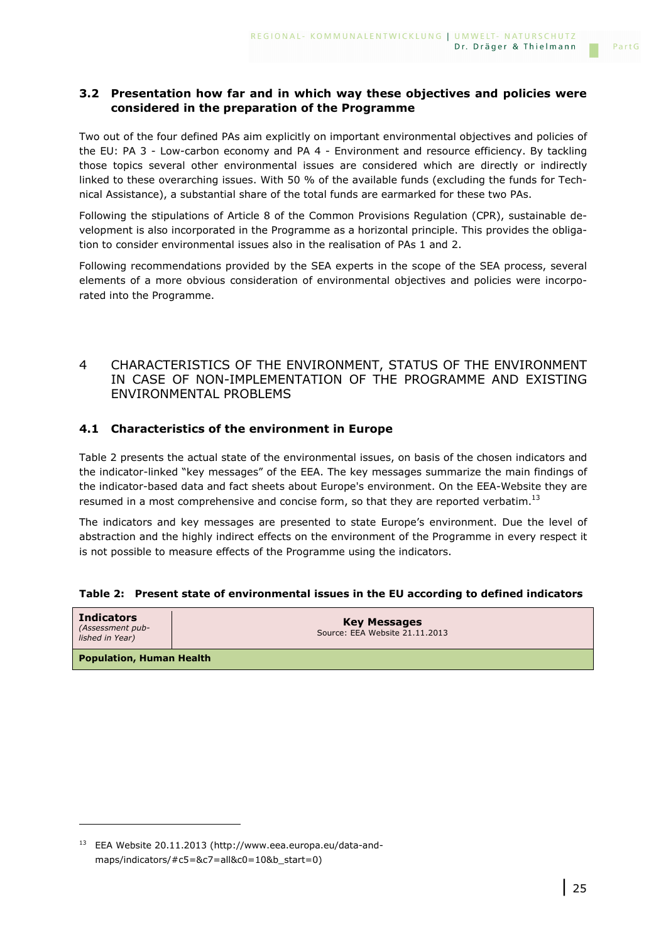### **3.2 Presentation how far and in which way these objectives and policies were considered in the preparation of the Programme**

Two out of the four defined PAs aim explicitly on important environmental objectives and policies of the EU: PA 3 - Low-carbon economy and PA 4 - Environment and resource efficiency. By tackling those topics several other environmental issues are considered which are directly or indirectly linked to these overarching issues. With 50 % of the available funds (excluding the funds for Technical Assistance), a substantial share of the total funds are earmarked for these two PAs.

Following the stipulations of Article 8 of the Common Provisions Regulation (CPR), sustainable development is also incorporated in the Programme as a horizontal principle. This provides the obligation to consider environmental issues also in the realisation of PAs 1 and 2.

Following recommendations provided by the SEA experts in the scope of the SEA process, several elements of a more obvious consideration of environmental objectives and policies were incorporated into the Programme.

### 4 CHARACTERISTICS OF THE ENVIRONMENT, STATUS OF THE ENVIRONMENT IN CASE OF NON-IMPLEMENTATION OF THE PROGRAMME AND EXISTING ENVIRONMENTAL PROBLEMS

### **4.1 Characteristics of the environment in Europe**

Table 2 presents the actual state of the environmental issues, on basis of the chosen indicators and the indicator-linked "key messages" of the EEA. The key messages summarize the main findings of the indicator-based data and fact sheets about Europe's environment. On the EEA-Website they are resumed in a most comprehensive and concise form, so that they are reported verbatim.<sup>13</sup>

The indicators and key messages are presented to state Europe's environment. Due the level of abstraction and the highly indirect effects on the environment of the Programme in every respect it is not possible to measure effects of the Programme using the indicators.

|  |  |  | Table 2: Present state of environmental issues in the EU according to defined indicators |
|--|--|--|------------------------------------------------------------------------------------------|
|  |  |  |                                                                                          |

| <b>Indicators</b><br>(Assessment pub-<br>lished in Year) | <b>Key Messages</b><br>Source: EEA Website 21.11.2013 |  |  |  |
|----------------------------------------------------------|-------------------------------------------------------|--|--|--|
| <b>Population, Human Health</b>                          |                                                       |  |  |  |

<sup>13</sup> EEA Website 20.11.2013 (http://www.eea.europa.eu/data-andmaps/indicators/#c5=&c7=all&c0=10&b\_start=0)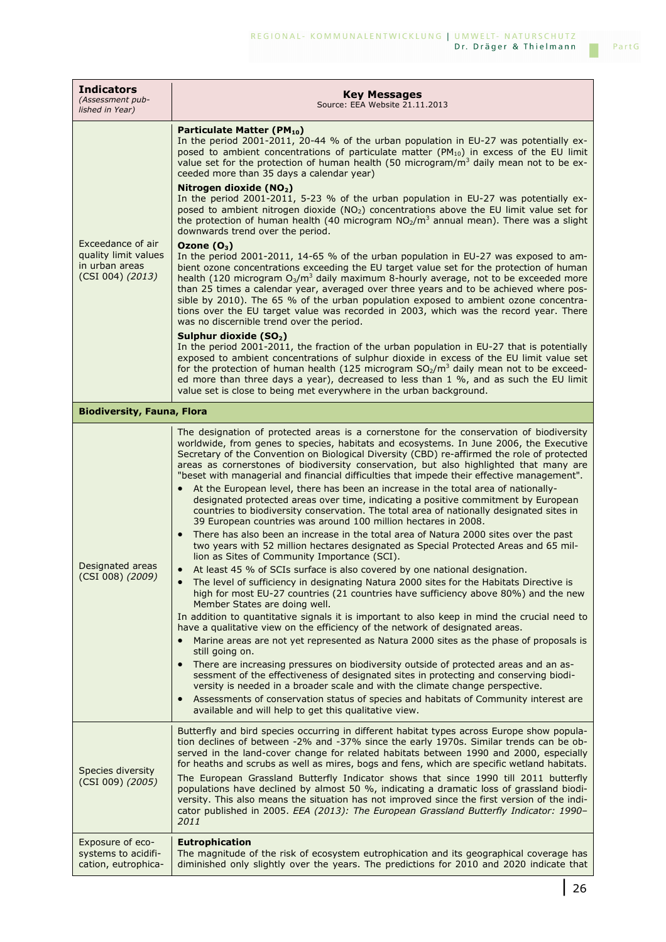| <b>Indicators</b><br>(Assessment pub-<br>lished in Year)                        | <b>Key Messages</b><br>Source: EEA Website 21.11.2013                                                                                                                                                                                                                                                                                                                                                                                                                                                                                                                                                                                                                                                                                                                                                                                                                                                                                                                                                                                                                                                                                                                                                                                                                                                                                                                                                                                                                                                                                                                                                                                                                                                                                                                                                                                                                                                                                                                                                                                                                              |
|---------------------------------------------------------------------------------|------------------------------------------------------------------------------------------------------------------------------------------------------------------------------------------------------------------------------------------------------------------------------------------------------------------------------------------------------------------------------------------------------------------------------------------------------------------------------------------------------------------------------------------------------------------------------------------------------------------------------------------------------------------------------------------------------------------------------------------------------------------------------------------------------------------------------------------------------------------------------------------------------------------------------------------------------------------------------------------------------------------------------------------------------------------------------------------------------------------------------------------------------------------------------------------------------------------------------------------------------------------------------------------------------------------------------------------------------------------------------------------------------------------------------------------------------------------------------------------------------------------------------------------------------------------------------------------------------------------------------------------------------------------------------------------------------------------------------------------------------------------------------------------------------------------------------------------------------------------------------------------------------------------------------------------------------------------------------------------------------------------------------------------------------------------------------------|
|                                                                                 | Particulate Matter (PM <sub>10</sub> )<br>In the period 2001-2011, 20-44 % of the urban population in EU-27 was potentially ex-<br>posed to ambient concentrations of particulate matter (PM <sub>10</sub> ) in excess of the EU limit<br>value set for the protection of human health (50 microgram/ $m3$ daily mean not to be ex-<br>ceeded more than 35 days a calendar year)                                                                                                                                                                                                                                                                                                                                                                                                                                                                                                                                                                                                                                                                                                                                                                                                                                                                                                                                                                                                                                                                                                                                                                                                                                                                                                                                                                                                                                                                                                                                                                                                                                                                                                   |
| Exceedance of air<br>quality limit values<br>in urban areas<br>(CSI 004) (2013) | Nitrogen dioxide (NO2)<br>In the period 2001-2011, 5-23 % of the urban population in EU-27 was potentially ex-<br>posed to ambient nitrogen dioxide (NO <sub>2</sub> ) concentrations above the EU limit value set for<br>the protection of human health (40 microgram $NO2/m3$ annual mean). There was a slight<br>downwards trend over the period.                                                                                                                                                                                                                                                                                                                                                                                                                                                                                                                                                                                                                                                                                                                                                                                                                                                                                                                                                                                                                                                                                                                                                                                                                                                                                                                                                                                                                                                                                                                                                                                                                                                                                                                               |
|                                                                                 | Ozone $(O_3)$<br>In the period 2001-2011, 14-65 % of the urban population in EU-27 was exposed to am-<br>bient ozone concentrations exceeding the EU target value set for the protection of human<br>health (120 microgram $O_3/m^3$ daily maximum 8-hourly average, not to be exceeded more<br>than 25 times a calendar year, averaged over three years and to be achieved where pos-<br>sible by 2010). The 65 % of the urban population exposed to ambient ozone concentra-<br>tions over the EU target value was recorded in 2003, which was the record year. There<br>was no discernible trend over the period.                                                                                                                                                                                                                                                                                                                                                                                                                                                                                                                                                                                                                                                                                                                                                                                                                                                                                                                                                                                                                                                                                                                                                                                                                                                                                                                                                                                                                                                               |
|                                                                                 | Sulphur dioxide (SO <sub>2</sub> )<br>In the period 2001-2011, the fraction of the urban population in EU-27 that is potentially<br>exposed to ambient concentrations of sulphur dioxide in excess of the EU limit value set<br>for the protection of human health (125 microgram $SO2/m3$ daily mean not to be exceed-<br>ed more than three days a year), decreased to less than 1 %, and as such the EU limit<br>value set is close to being met everywhere in the urban background.                                                                                                                                                                                                                                                                                                                                                                                                                                                                                                                                                                                                                                                                                                                                                                                                                                                                                                                                                                                                                                                                                                                                                                                                                                                                                                                                                                                                                                                                                                                                                                                            |
| <b>Biodiversity, Fauna, Flora</b>                                               |                                                                                                                                                                                                                                                                                                                                                                                                                                                                                                                                                                                                                                                                                                                                                                                                                                                                                                                                                                                                                                                                                                                                                                                                                                                                                                                                                                                                                                                                                                                                                                                                                                                                                                                                                                                                                                                                                                                                                                                                                                                                                    |
| Designated areas<br>(CSI 008) (2009)                                            | The designation of protected areas is a cornerstone for the conservation of biodiversity<br>worldwide, from genes to species, habitats and ecosystems. In June 2006, the Executive<br>Secretary of the Convention on Biological Diversity (CBD) re-affirmed the role of protected<br>areas as cornerstones of biodiversity conservation, but also highlighted that many are<br>"beset with managerial and financial difficulties that impede their effective management".<br>At the European level, there has been an increase in the total area of nationally-<br>designated protected areas over time, indicating a positive commitment by European<br>countries to biodiversity conservation. The total area of nationally designated sites in<br>39 European countries was around 100 million hectares in 2008.<br>There has also been an increase in the total area of Natura 2000 sites over the past<br>two years with 52 million hectares designated as Special Protected Areas and 65 mil-<br>lion as Sites of Community Importance (SCI).<br>At least 45 % of SCIs surface is also covered by one national designation.<br>The level of sufficiency in designating Natura 2000 sites for the Habitats Directive is<br>high for most EU-27 countries (21 countries have sufficiency above 80%) and the new<br>Member States are doing well.<br>In addition to quantitative signals it is important to also keep in mind the crucial need to<br>have a qualitative view on the efficiency of the network of designated areas.<br>Marine areas are not yet represented as Natura 2000 sites as the phase of proposals is<br>still going on.<br>There are increasing pressures on biodiversity outside of protected areas and an as-<br>sessment of the effectiveness of designated sites in protecting and conserving biodi-<br>versity is needed in a broader scale and with the climate change perspective.<br>Assessments of conservation status of species and habitats of Community interest are<br>$\bullet$<br>available and will help to get this qualitative view. |
| Species diversity<br>(CSI 009) (2005)                                           | Butterfly and bird species occurring in different habitat types across Europe show popula-<br>tion declines of between -2% and -37% since the early 1970s. Similar trends can be ob-<br>served in the land-cover change for related habitats between 1990 and 2000, especially<br>for heaths and scrubs as well as mires, bogs and fens, which are specific wetland habitats.<br>The European Grassland Butterfly Indicator shows that since 1990 till 2011 butterfly<br>populations have declined by almost 50 %, indicating a dramatic loss of grassland biodi-<br>versity. This also means the situation has not improved since the first version of the indi-<br>cator published in 2005. EEA (2013): The European Grassland Butterfly Indicator: 1990-<br>2011                                                                                                                                                                                                                                                                                                                                                                                                                                                                                                                                                                                                                                                                                                                                                                                                                                                                                                                                                                                                                                                                                                                                                                                                                                                                                                                |
| Exposure of eco-<br>systems to acidifi-<br>cation, eutrophica-                  | <b>Eutrophication</b><br>The magnitude of the risk of ecosystem eutrophication and its geographical coverage has<br>diminished only slightly over the years. The predictions for 2010 and 2020 indicate that                                                                                                                                                                                                                                                                                                                                                                                                                                                                                                                                                                                                                                                                                                                                                                                                                                                                                                                                                                                                                                                                                                                                                                                                                                                                                                                                                                                                                                                                                                                                                                                                                                                                                                                                                                                                                                                                       |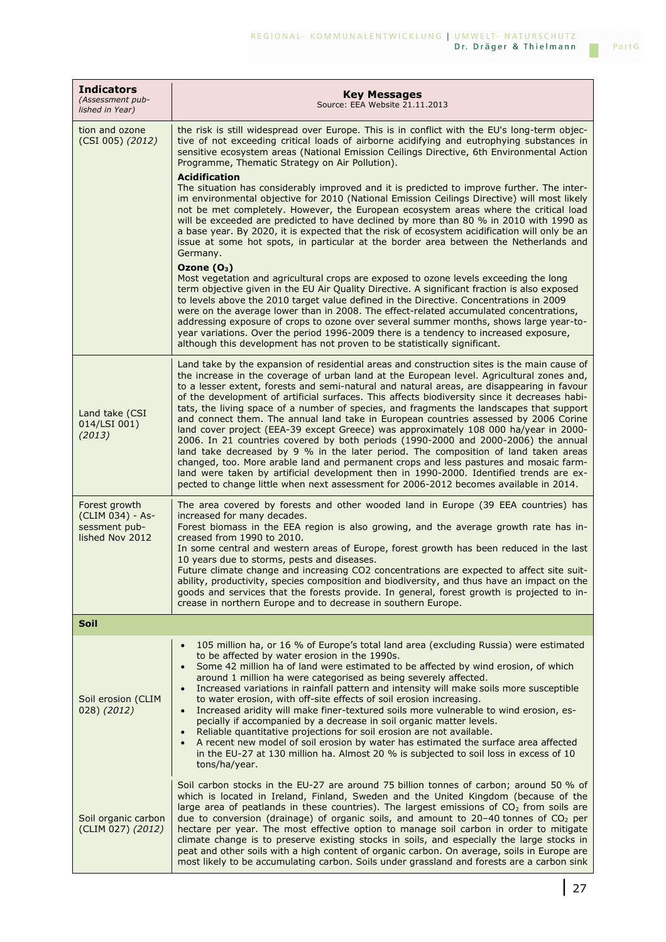| <b>Indicators</b><br>(Assessment pub-<br>lished in Year)              | <b>Key Messages</b><br>Source: EEA Website 21.11.2013                                                                                                                                                                                                                                                                                                                                                                                                                                                                                                                                                                                                                                                                                                                                                                                                                                                                                                                                                                                                                                                                                                                                                                                                                                                                                                                                                                                                                                                                                                                                                                |
|-----------------------------------------------------------------------|----------------------------------------------------------------------------------------------------------------------------------------------------------------------------------------------------------------------------------------------------------------------------------------------------------------------------------------------------------------------------------------------------------------------------------------------------------------------------------------------------------------------------------------------------------------------------------------------------------------------------------------------------------------------------------------------------------------------------------------------------------------------------------------------------------------------------------------------------------------------------------------------------------------------------------------------------------------------------------------------------------------------------------------------------------------------------------------------------------------------------------------------------------------------------------------------------------------------------------------------------------------------------------------------------------------------------------------------------------------------------------------------------------------------------------------------------------------------------------------------------------------------------------------------------------------------------------------------------------------------|
| tion and ozone<br>(CSI 005) (2012)                                    | the risk is still widespread over Europe. This is in conflict with the EU's long-term objec-<br>tive of not exceeding critical loads of airborne acidifying and eutrophying substances in<br>sensitive ecosystem areas (National Emission Ceilings Directive, 6th Environmental Action<br>Programme, Thematic Strategy on Air Pollution).<br><b>Acidification</b><br>The situation has considerably improved and it is predicted to improve further. The inter-<br>im environmental objective for 2010 (National Emission Ceilings Directive) will most likely<br>not be met completely. However, the European ecosystem areas where the critical load<br>will be exceeded are predicted to have declined by more than 80 % in 2010 with 1990 as<br>a base year. By 2020, it is expected that the risk of ecosystem acidification will only be an<br>issue at some hot spots, in particular at the border area between the Netherlands and<br>Germany.<br>Ozone $(O_3)$<br>Most vegetation and agricultural crops are exposed to ozone levels exceeding the long<br>term objective given in the EU Air Quality Directive. A significant fraction is also exposed<br>to levels above the 2010 target value defined in the Directive. Concentrations in 2009<br>were on the average lower than in 2008. The effect-related accumulated concentrations,<br>addressing exposure of crops to ozone over several summer months, shows large year-to-<br>year variations. Over the period 1996-2009 there is a tendency to increased exposure,<br>although this development has not proven to be statistically significant. |
| Land take (CSI<br>014/LSI 001)<br>(2013)                              | Land take by the expansion of residential areas and construction sites is the main cause of<br>the increase in the coverage of urban land at the European level. Agricultural zones and,<br>to a lesser extent, forests and semi-natural and natural areas, are disappearing in favour<br>of the development of artificial surfaces. This affects biodiversity since it decreases habi-<br>tats, the living space of a number of species, and fragments the landscapes that support<br>and connect them. The annual land take in European countries assessed by 2006 Corine<br>land cover project (EEA-39 except Greece) was approximately 108 000 ha/year in 2000-<br>2006. In 21 countries covered by both periods (1990-2000 and 2000-2006) the annual<br>land take decreased by 9 % in the later period. The composition of land taken areas<br>changed, too. More arable land and permanent crops and less pastures and mosaic farm-<br>land were taken by artificial development then in 1990-2000. Identified trends are ex-<br>pected to change little when next assessment for 2006-2012 becomes available in 2014.                                                                                                                                                                                                                                                                                                                                                                                                                                                                                         |
| Forest growth<br>(CLIM 034) - As-<br>sessment pub-<br>lished Nov 2012 | The area covered by forests and other wooded land in Europe (39 EEA countries) has<br>increased for many decades.<br>Forest biomass in the EEA region is also growing, and the average growth rate has in-<br>creased from 1990 to 2010.<br>In some central and western areas of Europe, forest growth has been reduced in the last<br>10 years due to storms, pests and diseases.<br>Future climate change and increasing CO2 concentrations are expected to affect site suit-<br>ability, productivity, species composition and biodiversity, and thus have an impact on the<br>goods and services that the forests provide. In general, forest growth is projected to in-<br>crease in northern Europe and to decrease in southern Europe.                                                                                                                                                                                                                                                                                                                                                                                                                                                                                                                                                                                                                                                                                                                                                                                                                                                                        |
| Soil                                                                  |                                                                                                                                                                                                                                                                                                                                                                                                                                                                                                                                                                                                                                                                                                                                                                                                                                                                                                                                                                                                                                                                                                                                                                                                                                                                                                                                                                                                                                                                                                                                                                                                                      |
| Soil erosion (CLIM<br>028) (2012)                                     | 105 million ha, or 16 % of Europe's total land area (excluding Russia) were estimated<br>$\bullet$<br>to be affected by water erosion in the 1990s.<br>Some 42 million ha of land were estimated to be affected by wind erosion, of which<br>$\bullet$<br>around 1 million ha were categorised as being severely affected.<br>Increased variations in rainfall pattern and intensity will make soils more susceptible<br>$\bullet$<br>to water erosion, with off-site effects of soil erosion increasing.<br>Increased aridity will make finer-textured soils more vulnerable to wind erosion, es-<br>$\bullet$<br>pecially if accompanied by a decrease in soil organic matter levels.<br>Reliable quantitative projections for soil erosion are not available.<br>$\bullet$<br>A recent new model of soil erosion by water has estimated the surface area affected<br>$\bullet$<br>in the EU-27 at 130 million ha. Almost 20 % is subjected to soil loss in excess of 10<br>tons/ha/year.                                                                                                                                                                                                                                                                                                                                                                                                                                                                                                                                                                                                                          |
| Soil organic carbon<br>(CLIM 027) (2012)                              | Soil carbon stocks in the EU-27 are around 75 billion tonnes of carbon; around 50 % of<br>which is located in Ireland, Finland, Sweden and the United Kingdom (because of the<br>large area of peatlands in these countries). The largest emissions of $CO2$ from soils are<br>due to conversion (drainage) of organic soils, and amount to 20-40 tonnes of CO <sub>2</sub> per<br>hectare per year. The most effective option to manage soil carbon in order to mitigate<br>climate change is to preserve existing stocks in soils, and especially the large stocks in<br>peat and other soils with a high content of organic carbon. On average, soils in Europe are<br>most likely to be accumulating carbon. Soils under grassland and forests are a carbon sink                                                                                                                                                                                                                                                                                                                                                                                                                                                                                                                                                                                                                                                                                                                                                                                                                                                 |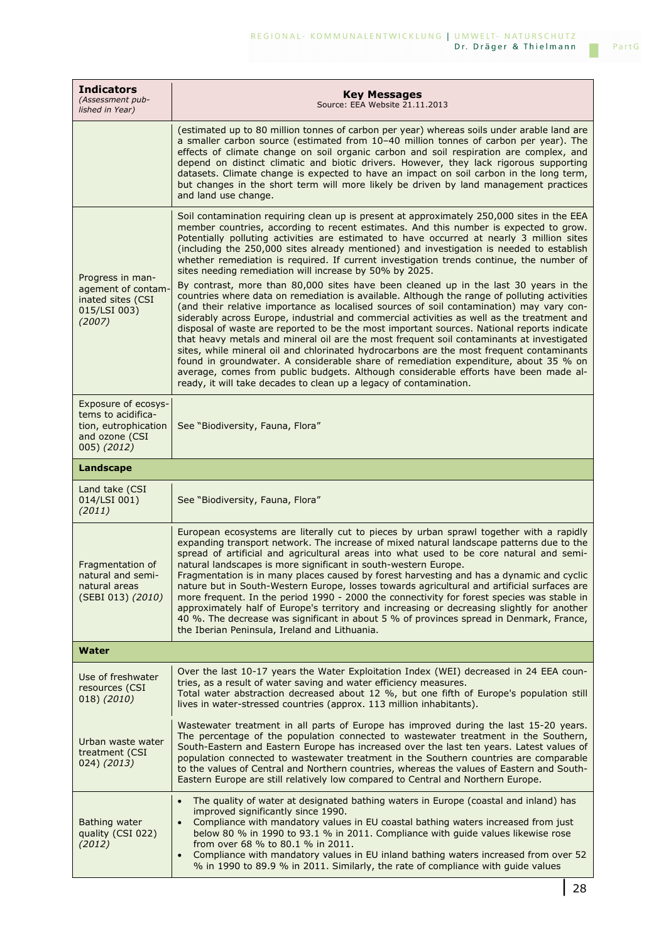| <b>Indicators</b><br>(Assessment pub-<br>lished in Year)                                           | <b>Key Messages</b><br>Source: EEA Website 21.11.2013                                                                                                                                                                                                                                                                                                                                                                                                                                                                                                                                                                                                                                                                                                                                                                                                                                                                                                                                                                                                                                                                                                                                                                                                                                                                                                                                                                                                              |
|----------------------------------------------------------------------------------------------------|--------------------------------------------------------------------------------------------------------------------------------------------------------------------------------------------------------------------------------------------------------------------------------------------------------------------------------------------------------------------------------------------------------------------------------------------------------------------------------------------------------------------------------------------------------------------------------------------------------------------------------------------------------------------------------------------------------------------------------------------------------------------------------------------------------------------------------------------------------------------------------------------------------------------------------------------------------------------------------------------------------------------------------------------------------------------------------------------------------------------------------------------------------------------------------------------------------------------------------------------------------------------------------------------------------------------------------------------------------------------------------------------------------------------------------------------------------------------|
|                                                                                                    | (estimated up to 80 million tonnes of carbon per year) whereas soils under arable land are<br>a smaller carbon source (estimated from 10-40 million tonnes of carbon per year). The<br>effects of climate change on soil organic carbon and soil respiration are complex, and<br>depend on distinct climatic and biotic drivers. However, they lack rigorous supporting<br>datasets. Climate change is expected to have an impact on soil carbon in the long term,<br>but changes in the short term will more likely be driven by land management practices<br>and land use change.                                                                                                                                                                                                                                                                                                                                                                                                                                                                                                                                                                                                                                                                                                                                                                                                                                                                                |
| Progress in man-<br>agement of contam-<br>inated sites (CSI<br>015/LSI 003)<br>(2007)              | Soil contamination requiring clean up is present at approximately 250,000 sites in the EEA<br>member countries, according to recent estimates. And this number is expected to grow.<br>Potentially polluting activities are estimated to have occurred at nearly 3 million sites<br>(including the 250,000 sites already mentioned) and investigation is needed to establish<br>whether remediation is required. If current investigation trends continue, the number of<br>sites needing remediation will increase by 50% by 2025.<br>By contrast, more than 80,000 sites have been cleaned up in the last 30 years in the<br>countries where data on remediation is available. Although the range of polluting activities<br>(and their relative importance as localised sources of soil contamination) may vary con-<br>siderably across Europe, industrial and commercial activities as well as the treatment and<br>disposal of waste are reported to be the most important sources. National reports indicate<br>that heavy metals and mineral oil are the most frequent soil contaminants at investigated<br>sites, while mineral oil and chlorinated hydrocarbons are the most frequent contaminants<br>found in groundwater. A considerable share of remediation expenditure, about 35 % on<br>average, comes from public budgets. Although considerable efforts have been made al-<br>ready, it will take decades to clean up a legacy of contamination. |
| Exposure of ecosys-<br>tems to acidifica-<br>tion, eutrophication<br>and ozone (CSI<br>005) (2012) | See "Biodiversity, Fauna, Flora"                                                                                                                                                                                                                                                                                                                                                                                                                                                                                                                                                                                                                                                                                                                                                                                                                                                                                                                                                                                                                                                                                                                                                                                                                                                                                                                                                                                                                                   |
| Landscape                                                                                          |                                                                                                                                                                                                                                                                                                                                                                                                                                                                                                                                                                                                                                                                                                                                                                                                                                                                                                                                                                                                                                                                                                                                                                                                                                                                                                                                                                                                                                                                    |
| Land take (CSI<br>014/LSI 001)<br>(2011)                                                           | See "Biodiversity, Fauna, Flora"                                                                                                                                                                                                                                                                                                                                                                                                                                                                                                                                                                                                                                                                                                                                                                                                                                                                                                                                                                                                                                                                                                                                                                                                                                                                                                                                                                                                                                   |
| Fragmentation of<br>natural and semi-<br>natural areas<br>(SEBI 013) (2010)                        | European ecosystems are literally cut to pieces by urban sprawl together with a rapidly<br>expanding transport network. The increase of mixed natural landscape patterns due to the<br>spread of artificial and agricultural areas into what used to be core natural and semi-<br>natural landscapes is more significant in south-western Europe.<br>Fragmentation is in many places caused by forest harvesting and has a dynamic and cyclic<br>nature but in South-Western Europe, losses towards agricultural and artificial surfaces are<br>more frequent. In the period 1990 - 2000 the connectivity for forest species was stable in<br>approximately half of Europe's territory and increasing or decreasing slightly for another<br>40 %. The decrease was significant in about 5 % of provinces spread in Denmark, France,<br>the Iberian Peninsula, Ireland and Lithuania.                                                                                                                                                                                                                                                                                                                                                                                                                                                                                                                                                                               |
| Water                                                                                              |                                                                                                                                                                                                                                                                                                                                                                                                                                                                                                                                                                                                                                                                                                                                                                                                                                                                                                                                                                                                                                                                                                                                                                                                                                                                                                                                                                                                                                                                    |
| Use of freshwater<br>resources (CSI<br>018) (2010)                                                 | Over the last 10-17 years the Water Exploitation Index (WEI) decreased in 24 EEA coun-<br>tries, as a result of water saving and water efficiency measures.<br>Total water abstraction decreased about 12 %, but one fifth of Europe's population still<br>lives in water-stressed countries (approx. 113 million inhabitants).                                                                                                                                                                                                                                                                                                                                                                                                                                                                                                                                                                                                                                                                                                                                                                                                                                                                                                                                                                                                                                                                                                                                    |
| Urban waste water<br>treatment (CSI<br>024) (2013)                                                 | Wastewater treatment in all parts of Europe has improved during the last 15-20 years.<br>The percentage of the population connected to wastewater treatment in the Southern,<br>South-Eastern and Eastern Europe has increased over the last ten years. Latest values of<br>population connected to wastewater treatment in the Southern countries are comparable<br>to the values of Central and Northern countries, whereas the values of Eastern and South-<br>Eastern Europe are still relatively low compared to Central and Northern Europe.                                                                                                                                                                                                                                                                                                                                                                                                                                                                                                                                                                                                                                                                                                                                                                                                                                                                                                                 |
| Bathing water<br>quality (CSI 022)<br>(2012)                                                       | The quality of water at designated bathing waters in Europe (coastal and inland) has<br>$\bullet$<br>improved significantly since 1990.<br>Compliance with mandatory values in EU coastal bathing waters increased from just<br>$\bullet$<br>below 80 % in 1990 to 93.1 % in 2011. Compliance with guide values likewise rose<br>from over 68 % to 80.1 % in 2011.<br>Compliance with mandatory values in EU inland bathing waters increased from over 52<br>$\bullet$<br>% in 1990 to 89.9 % in 2011. Similarly, the rate of compliance with guide values                                                                                                                                                                                                                                                                                                                                                                                                                                                                                                                                                                                                                                                                                                                                                                                                                                                                                                         |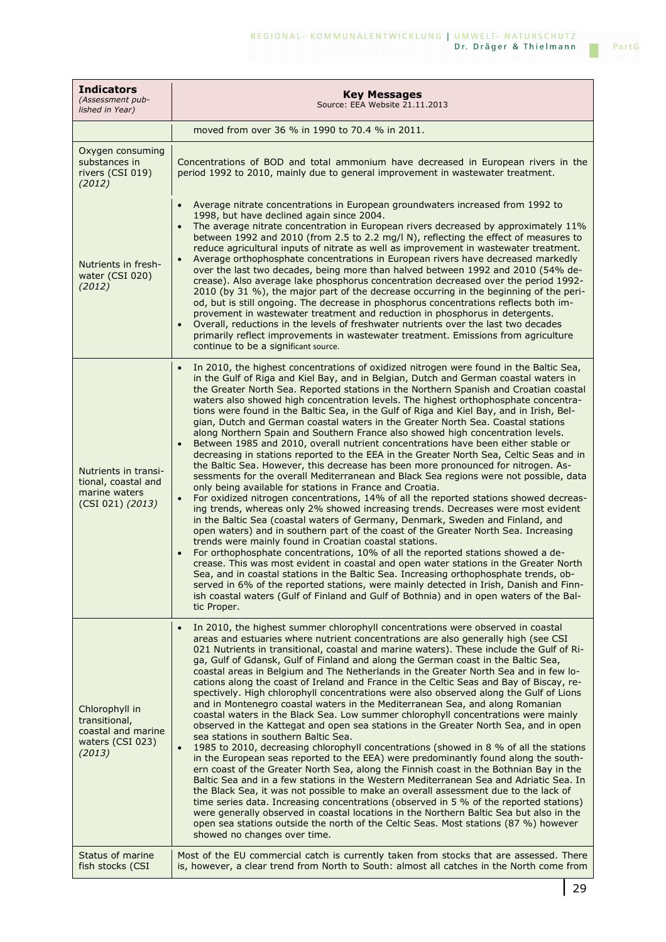| <b>Indicators</b><br>(Assessment pub-<br>lished in Year)                            | <b>Key Messages</b><br>Source: EEA Website 21.11.2013                                                                                                                                                                                                                                                                                                                                                                                                                                                                                                                                                                                                                                                                                                                                                                                                                                                                                                                                                                                                                                                                                                                                                                                                                                                                                                                                                                                                                                                                                                                                                                                                                                                                                                                                                                                                                                                                                                                             |
|-------------------------------------------------------------------------------------|-----------------------------------------------------------------------------------------------------------------------------------------------------------------------------------------------------------------------------------------------------------------------------------------------------------------------------------------------------------------------------------------------------------------------------------------------------------------------------------------------------------------------------------------------------------------------------------------------------------------------------------------------------------------------------------------------------------------------------------------------------------------------------------------------------------------------------------------------------------------------------------------------------------------------------------------------------------------------------------------------------------------------------------------------------------------------------------------------------------------------------------------------------------------------------------------------------------------------------------------------------------------------------------------------------------------------------------------------------------------------------------------------------------------------------------------------------------------------------------------------------------------------------------------------------------------------------------------------------------------------------------------------------------------------------------------------------------------------------------------------------------------------------------------------------------------------------------------------------------------------------------------------------------------------------------------------------------------------------------|
|                                                                                     | moved from over 36 % in 1990 to 70.4 % in 2011.                                                                                                                                                                                                                                                                                                                                                                                                                                                                                                                                                                                                                                                                                                                                                                                                                                                                                                                                                                                                                                                                                                                                                                                                                                                                                                                                                                                                                                                                                                                                                                                                                                                                                                                                                                                                                                                                                                                                   |
| Oxygen consuming<br>substances in<br>rivers (CSI 019)<br>(2012)                     | Concentrations of BOD and total ammonium have decreased in European rivers in the<br>period 1992 to 2010, mainly due to general improvement in wastewater treatment.                                                                                                                                                                                                                                                                                                                                                                                                                                                                                                                                                                                                                                                                                                                                                                                                                                                                                                                                                                                                                                                                                                                                                                                                                                                                                                                                                                                                                                                                                                                                                                                                                                                                                                                                                                                                              |
| Nutrients in fresh-<br>water (CSI 020)<br>(2012)                                    | Average nitrate concentrations in European groundwaters increased from 1992 to<br>$\bullet$<br>1998, but have declined again since 2004.<br>The average nitrate concentration in European rivers decreased by approximately 11%<br>$\bullet$<br>between 1992 and 2010 (from 2.5 to 2.2 mg/l N), reflecting the effect of measures to<br>reduce agricultural inputs of nitrate as well as improvement in wastewater treatment.<br>Average orthophosphate concentrations in European rivers have decreased markedly<br>$\bullet$<br>over the last two decades, being more than halved between 1992 and 2010 (54% de-<br>crease). Also average lake phosphorus concentration decreased over the period 1992-<br>2010 (by 31 %), the major part of the decrease occurring in the beginning of the peri-<br>od, but is still ongoing. The decrease in phosphorus concentrations reflects both im-<br>provement in wastewater treatment and reduction in phosphorus in detergents.<br>Overall, reductions in the levels of freshwater nutrients over the last two decades<br>primarily reflect improvements in wastewater treatment. Emissions from agriculture<br>continue to be a significant source.                                                                                                                                                                                                                                                                                                                                                                                                                                                                                                                                                                                                                                                                                                                                                                                 |
| Nutrients in transi-<br>tional, coastal and<br>marine waters<br>(CSI 021) (2013)    | In 2010, the highest concentrations of oxidized nitrogen were found in the Baltic Sea,<br>$\bullet$<br>in the Gulf of Riga and Kiel Bay, and in Belgian, Dutch and German coastal waters in<br>the Greater North Sea. Reported stations in the Northern Spanish and Croatian coastal<br>waters also showed high concentration levels. The highest orthophosphate concentra-<br>tions were found in the Baltic Sea, in the Gulf of Riga and Kiel Bay, and in Irish, Bel-<br>gian, Dutch and German coastal waters in the Greater North Sea. Coastal stations<br>along Northern Spain and Southern France also showed high concentration levels.<br>Between 1985 and 2010, overall nutrient concentrations have been either stable or<br>$\bullet$<br>decreasing in stations reported to the EEA in the Greater North Sea, Celtic Seas and in<br>the Baltic Sea. However, this decrease has been more pronounced for nitrogen. As-<br>sessments for the overall Mediterranean and Black Sea regions were not possible, data<br>only being available for stations in France and Croatia.<br>For oxidized nitrogen concentrations, 14% of all the reported stations showed decreas-<br>ing trends, whereas only 2% showed increasing trends. Decreases were most evident<br>in the Baltic Sea (coastal waters of Germany, Denmark, Sweden and Finland, and<br>open waters) and in southern part of the coast of the Greater North Sea. Increasing<br>trends were mainly found in Croatian coastal stations.<br>For orthophosphate concentrations, 10% of all the reported stations showed a de-<br>crease. This was most evident in coastal and open water stations in the Greater North<br>Sea, and in coastal stations in the Baltic Sea. Increasing orthophosphate trends, ob-<br>served in 6% of the reported stations, were mainly detected in Irish, Danish and Finn-<br>ish coastal waters (Gulf of Finland and Gulf of Bothnia) and in open waters of the Bal-<br>tic Proper. |
| Chlorophyll in<br>transitional,<br>coastal and marine<br>waters (CSI 023)<br>(2013) | In 2010, the highest summer chlorophyll concentrations were observed in coastal<br>$\bullet$<br>areas and estuaries where nutrient concentrations are also generally high (see CSI<br>021 Nutrients in transitional, coastal and marine waters). These include the Gulf of Ri-<br>ga, Gulf of Gdansk, Gulf of Finland and along the German coast in the Baltic Sea,<br>coastal areas in Belgium and The Netherlands in the Greater North Sea and in few lo-<br>cations along the coast of Ireland and France in the Celtic Seas and Bay of Biscay, re-<br>spectively. High chlorophyll concentrations were also observed along the Gulf of Lions<br>and in Montenegro coastal waters in the Mediterranean Sea, and along Romanian<br>coastal waters in the Black Sea. Low summer chlorophyll concentrations were mainly<br>observed in the Kattegat and open sea stations in the Greater North Sea, and in open<br>sea stations in southern Baltic Sea.<br>1985 to 2010, decreasing chlorophyll concentrations (showed in 8 % of all the stations<br>in the European seas reported to the EEA) were predominantly found along the south-<br>ern coast of the Greater North Sea, along the Finnish coast in the Bothnian Bay in the<br>Baltic Sea and in a few stations in the Western Mediterranean Sea and Adriatic Sea. In<br>the Black Sea, it was not possible to make an overall assessment due to the lack of<br>time series data. Increasing concentrations (observed in 5 % of the reported stations)<br>were generally observed in coastal locations in the Northern Baltic Sea but also in the<br>open sea stations outside the north of the Celtic Seas. Most stations (87 %) however<br>showed no changes over time.                                                                                                                                                                                                                                                  |
| Status of marine<br>fish stocks (CSI                                                | Most of the EU commercial catch is currently taken from stocks that are assessed. There<br>is, however, a clear trend from North to South: almost all catches in the North come from                                                                                                                                                                                                                                                                                                                                                                                                                                                                                                                                                                                                                                                                                                                                                                                                                                                                                                                                                                                                                                                                                                                                                                                                                                                                                                                                                                                                                                                                                                                                                                                                                                                                                                                                                                                              |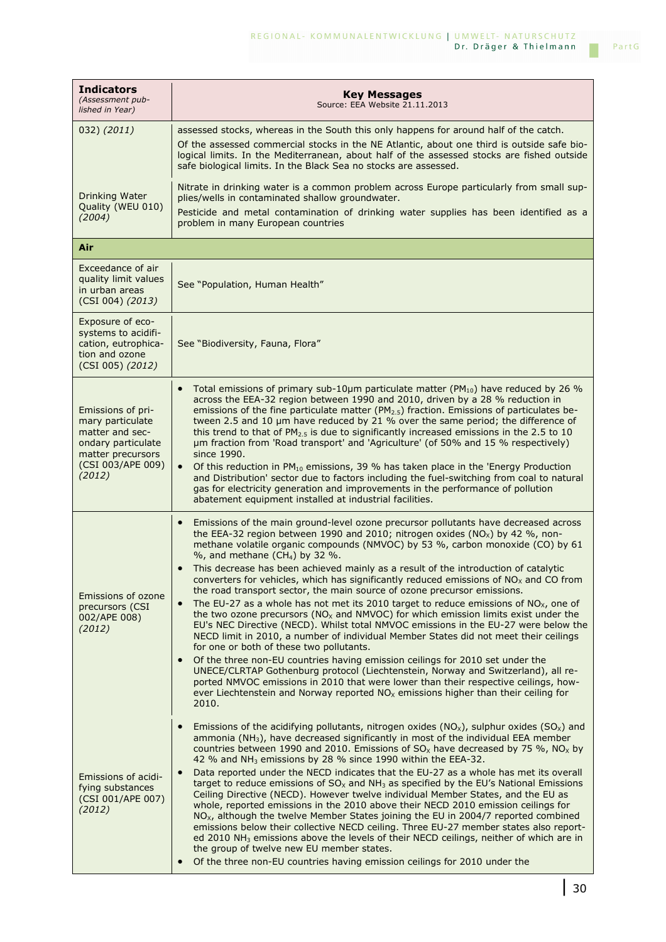| <b>Indicators</b><br>(Assessment pub-<br>lished in Year)                                                                           | <b>Key Messages</b><br>Source: EEA Website 21.11.2013                                                                                                                                                                                                                                                                                                                                                                                                                                                                                                                                                                                                                                                                                                                                                                                                                                                                                                                                                                                                                                                                                                                                                                                                                                                                                                                                                                  |
|------------------------------------------------------------------------------------------------------------------------------------|------------------------------------------------------------------------------------------------------------------------------------------------------------------------------------------------------------------------------------------------------------------------------------------------------------------------------------------------------------------------------------------------------------------------------------------------------------------------------------------------------------------------------------------------------------------------------------------------------------------------------------------------------------------------------------------------------------------------------------------------------------------------------------------------------------------------------------------------------------------------------------------------------------------------------------------------------------------------------------------------------------------------------------------------------------------------------------------------------------------------------------------------------------------------------------------------------------------------------------------------------------------------------------------------------------------------------------------------------------------------------------------------------------------------|
| 032) (2011)                                                                                                                        | assessed stocks, whereas in the South this only happens for around half of the catch.<br>Of the assessed commercial stocks in the NE Atlantic, about one third is outside safe bio-<br>logical limits. In the Mediterranean, about half of the assessed stocks are fished outside<br>safe biological limits. In the Black Sea no stocks are assessed.                                                                                                                                                                                                                                                                                                                                                                                                                                                                                                                                                                                                                                                                                                                                                                                                                                                                                                                                                                                                                                                                  |
| Drinking Water<br>Quality (WEU 010)<br>(2004)                                                                                      | Nitrate in drinking water is a common problem across Europe particularly from small sup-<br>plies/wells in contaminated shallow groundwater.<br>Pesticide and metal contamination of drinking water supplies has been identified as a<br>problem in many European countries                                                                                                                                                                                                                                                                                                                                                                                                                                                                                                                                                                                                                                                                                                                                                                                                                                                                                                                                                                                                                                                                                                                                            |
| Air                                                                                                                                |                                                                                                                                                                                                                                                                                                                                                                                                                                                                                                                                                                                                                                                                                                                                                                                                                                                                                                                                                                                                                                                                                                                                                                                                                                                                                                                                                                                                                        |
| Exceedance of air<br>quality limit values<br>in urban areas<br>(CSI 004) (2013)                                                    | See "Population, Human Health"                                                                                                                                                                                                                                                                                                                                                                                                                                                                                                                                                                                                                                                                                                                                                                                                                                                                                                                                                                                                                                                                                                                                                                                                                                                                                                                                                                                         |
| Exposure of eco-<br>systems to acidifi-<br>cation, eutrophica-<br>tion and ozone<br>(CSI 005) (2012)                               | See "Biodiversity, Fauna, Flora"                                                                                                                                                                                                                                                                                                                                                                                                                                                                                                                                                                                                                                                                                                                                                                                                                                                                                                                                                                                                                                                                                                                                                                                                                                                                                                                                                                                       |
| Emissions of pri-<br>mary particulate<br>matter and sec-<br>ondary particulate<br>matter precursors<br>(CSI 003/APE 009)<br>(2012) | Total emissions of primary sub-10µm particulate matter ( $PM_{10}$ ) have reduced by 26 %<br>$\bullet$<br>across the EEA-32 region between 1990 and 2010, driven by a 28 % reduction in<br>emissions of the fine particulate matter ( $PM_{2.5}$ ) fraction. Emissions of particulates be-<br>tween 2.5 and 10 $\mu$ m have reduced by 21 % over the same period; the difference of<br>this trend to that of $PM_{2.5}$ is due to significantly increased emissions in the 2.5 to 10<br>um fraction from 'Road transport' and 'Agriculture' (of 50% and 15 % respectively)<br>since 1990.<br>Of this reduction in PM <sub>10</sub> emissions, 39 % has taken place in the 'Energy Production<br>$\bullet$<br>and Distribution' sector due to factors including the fuel-switching from coal to natural<br>gas for electricity generation and improvements in the performance of pollution<br>abatement equipment installed at industrial facilities.                                                                                                                                                                                                                                                                                                                                                                                                                                                                   |
| Emissions of ozone<br>precursors (CSI<br>002/APE 008)<br>(2012)                                                                    | Emissions of the main ground-level ozone precursor pollutants have decreased across<br>$\bullet$<br>the EEA-32 region between 1990 and 2010; nitrogen oxides (NO <sub>x</sub> ) by 42 %, non-<br>methane volatile organic compounds (NMVOC) by 53 %, carbon monoxide (CO) by 61<br>$\%$ , and methane (CH <sub>4</sub> ) by 32 $\%$ .<br>This decrease has been achieved mainly as a result of the introduction of catalytic<br>converters for vehicles, which has significantly reduced emissions of NO <sub>x</sub> and CO from<br>the road transport sector, the main source of ozone precursor emissions.<br>The EU-27 as a whole has not met its 2010 target to reduce emissions of $NOx$ , one of<br>$\bullet$<br>the two ozone precursors ( $NOx$ and $NMVOC$ ) for which emission limits exist under the<br>EU's NEC Directive (NECD). Whilst total NMVOC emissions in the EU-27 were below the<br>NECD limit in 2010, a number of individual Member States did not meet their ceilings<br>for one or both of these two pollutants.<br>Of the three non-EU countries having emission ceilings for 2010 set under the<br>$\bullet$<br>UNECE/CLRTAP Gothenburg protocol (Liechtenstein, Norway and Switzerland), all re-<br>ported NMVOC emissions in 2010 that were lower than their respective ceilings, how-<br>ever Liechtenstein and Norway reported $NOx$ emissions higher than their ceiling for<br>2010. |
| Emissions of acidi-<br>fying substances<br>(CSI 001/APE 007)<br>(2012)                                                             | Emissions of the acidifying pollutants, nitrogen oxides $(NO_x)$ , sulphur oxides $(SO_x)$ and<br>$\bullet$<br>ammonia (NH <sub>3</sub> ), have decreased significantly in most of the individual EEA member<br>countries between 1990 and 2010. Emissions of $SO_{X}$ have decreased by 75 %, NO <sub>x</sub> by<br>42 % and $NH3$ emissions by 28 % since 1990 within the EEA-32.<br>Data reported under the NECD indicates that the EU-27 as a whole has met its overall<br>$\bullet$<br>target to reduce emissions of $SOx$ and NH <sub>3</sub> as specified by the EU's National Emissions<br>Ceiling Directive (NECD). However twelve individual Member States, and the EU as<br>whole, reported emissions in the 2010 above their NECD 2010 emission ceilings for<br>$NOx$ , although the twelve Member States joining the EU in 2004/7 reported combined<br>emissions below their collective NECD ceiling. Three EU-27 member states also report-<br>ed 2010 $NH3$ emissions above the levels of their NECD ceilings, neither of which are in<br>the group of twelve new EU member states.<br>Of the three non-EU countries having emission ceilings for 2010 under the<br>$\bullet$                                                                                                                                                                                                                           |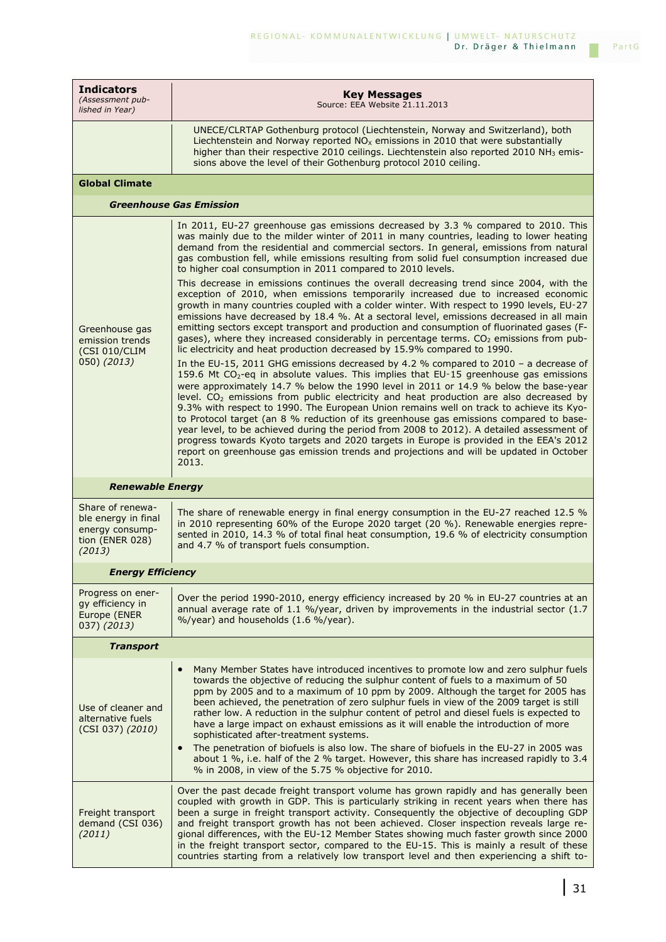| <b>Indicators</b><br>(Assessment pub-<br>lished in Year)                                | <b>Key Messages</b><br>Source: EEA Website 21.11.2013                                                                                                                                                                                                                                                                                                                                                                                                                                                                                                                                                                                                                                                                                                                                                                                                                                                                                                                                                                                                                                                                                                                                                                                                                                                                                                                                                                                                                                                                                                                                                                                                                                                                                                                                                                                        |
|-----------------------------------------------------------------------------------------|----------------------------------------------------------------------------------------------------------------------------------------------------------------------------------------------------------------------------------------------------------------------------------------------------------------------------------------------------------------------------------------------------------------------------------------------------------------------------------------------------------------------------------------------------------------------------------------------------------------------------------------------------------------------------------------------------------------------------------------------------------------------------------------------------------------------------------------------------------------------------------------------------------------------------------------------------------------------------------------------------------------------------------------------------------------------------------------------------------------------------------------------------------------------------------------------------------------------------------------------------------------------------------------------------------------------------------------------------------------------------------------------------------------------------------------------------------------------------------------------------------------------------------------------------------------------------------------------------------------------------------------------------------------------------------------------------------------------------------------------------------------------------------------------------------------------------------------------|
|                                                                                         | UNECE/CLRTAP Gothenburg protocol (Liechtenstein, Norway and Switzerland), both<br>Liechtenstein and Norway reported $NOx$ emissions in 2010 that were substantially<br>higher than their respective 2010 ceilings. Liechtenstein also reported 2010 NH <sub>3</sub> emis-<br>sions above the level of their Gothenburg protocol 2010 ceiling.                                                                                                                                                                                                                                                                                                                                                                                                                                                                                                                                                                                                                                                                                                                                                                                                                                                                                                                                                                                                                                                                                                                                                                                                                                                                                                                                                                                                                                                                                                |
| <b>Global Climate</b>                                                                   |                                                                                                                                                                                                                                                                                                                                                                                                                                                                                                                                                                                                                                                                                                                                                                                                                                                                                                                                                                                                                                                                                                                                                                                                                                                                                                                                                                                                                                                                                                                                                                                                                                                                                                                                                                                                                                              |
|                                                                                         | <b>Greenhouse Gas Emission</b>                                                                                                                                                                                                                                                                                                                                                                                                                                                                                                                                                                                                                                                                                                                                                                                                                                                                                                                                                                                                                                                                                                                                                                                                                                                                                                                                                                                                                                                                                                                                                                                                                                                                                                                                                                                                               |
| Greenhouse gas<br>emission trends<br>(CSI 010/CLIM<br>050) (2013)                       | In 2011, EU-27 greenhouse gas emissions decreased by 3.3 % compared to 2010. This<br>was mainly due to the milder winter of 2011 in many countries, leading to lower heating<br>demand from the residential and commercial sectors. In general, emissions from natural<br>gas combustion fell, while emissions resulting from solid fuel consumption increased due<br>to higher coal consumption in 2011 compared to 2010 levels.<br>This decrease in emissions continues the overall decreasing trend since 2004, with the<br>exception of 2010, when emissions temporarily increased due to increased economic<br>growth in many countries coupled with a colder winter. With respect to 1990 levels, EU-27<br>emissions have decreased by 18.4 %. At a sectoral level, emissions decreased in all main<br>emitting sectors except transport and production and consumption of fluorinated gases (F-<br>gases), where they increased considerably in percentage terms. $CO2$ emissions from pub-<br>lic electricity and heat production decreased by 15.9% compared to 1990.<br>In the EU-15, 2011 GHG emissions decreased by 4.2 % compared to 2010 - a decrease of<br>159.6 Mt CO <sub>2</sub> -eq in absolute values. This implies that EU-15 greenhouse gas emissions<br>were approximately 14.7 % below the 1990 level in 2011 or 14.9 % below the base-year<br>level. $CO2$ emissions from public electricity and heat production are also decreased by<br>9.3% with respect to 1990. The European Union remains well on track to achieve its Kyo-<br>to Protocol target (an 8 % reduction of its greenhouse gas emissions compared to base-<br>year level, to be achieved during the period from 2008 to 2012). A detailed assessment of<br>progress towards Kyoto targets and 2020 targets in Europe is provided in the EEA's 2012 |
|                                                                                         | report on greenhouse gas emission trends and projections and will be updated in October<br>2013.                                                                                                                                                                                                                                                                                                                                                                                                                                                                                                                                                                                                                                                                                                                                                                                                                                                                                                                                                                                                                                                                                                                                                                                                                                                                                                                                                                                                                                                                                                                                                                                                                                                                                                                                             |
| <b>Renewable Energy</b>                                                                 |                                                                                                                                                                                                                                                                                                                                                                                                                                                                                                                                                                                                                                                                                                                                                                                                                                                                                                                                                                                                                                                                                                                                                                                                                                                                                                                                                                                                                                                                                                                                                                                                                                                                                                                                                                                                                                              |
| Share of renewa-<br>ble energy in final<br>energy consump-<br>tion (ENER 028)<br>(2013) | The share of renewable energy in final energy consumption in the EU-27 reached 12.5 $%$<br>in 2010 representing 60% of the Europe 2020 target (20 %). Renewable energies repre-<br>sented in 2010, 14.3 % of total final heat consumption, 19.6 % of electricity consumption<br>and 4.7 % of transport fuels consumption.                                                                                                                                                                                                                                                                                                                                                                                                                                                                                                                                                                                                                                                                                                                                                                                                                                                                                                                                                                                                                                                                                                                                                                                                                                                                                                                                                                                                                                                                                                                    |
| <b>Energy Efficiency</b>                                                                |                                                                                                                                                                                                                                                                                                                                                                                                                                                                                                                                                                                                                                                                                                                                                                                                                                                                                                                                                                                                                                                                                                                                                                                                                                                                                                                                                                                                                                                                                                                                                                                                                                                                                                                                                                                                                                              |
| Progress on ener-<br>gy efficiency in<br>Europe (ENER<br>037) (2013)                    | Over the period 1990-2010, energy efficiency increased by 20 % in EU-27 countries at an<br>annual average rate of 1.1 %/year, driven by improvements in the industrial sector $(1.7)$<br>%/year) and households (1.6 %/year).                                                                                                                                                                                                                                                                                                                                                                                                                                                                                                                                                                                                                                                                                                                                                                                                                                                                                                                                                                                                                                                                                                                                                                                                                                                                                                                                                                                                                                                                                                                                                                                                                |
| <b>Transport</b>                                                                        |                                                                                                                                                                                                                                                                                                                                                                                                                                                                                                                                                                                                                                                                                                                                                                                                                                                                                                                                                                                                                                                                                                                                                                                                                                                                                                                                                                                                                                                                                                                                                                                                                                                                                                                                                                                                                                              |
| Use of cleaner and<br>alternative fuels<br>(CSI 037) (2010)                             | Many Member States have introduced incentives to promote low and zero sulphur fuels<br>towards the objective of reducing the sulphur content of fuels to a maximum of 50<br>ppm by 2005 and to a maximum of 10 ppm by 2009. Although the target for 2005 has<br>been achieved, the penetration of zero sulphur fuels in view of the 2009 target is still<br>rather low. A reduction in the sulphur content of petrol and diesel fuels is expected to<br>have a large impact on exhaust emissions as it will enable the introduction of more<br>sophisticated after-treatment systems.<br>The penetration of biofuels is also low. The share of biofuels in the EU-27 in 2005 was<br>$\bullet$<br>about 1 %, i.e. half of the 2 % target. However, this share has increased rapidly to 3.4<br>% in 2008, in view of the 5.75 % objective for 2010.                                                                                                                                                                                                                                                                                                                                                                                                                                                                                                                                                                                                                                                                                                                                                                                                                                                                                                                                                                                            |
| Freight transport<br>demand (CSI 036)<br>(2011)                                         | Over the past decade freight transport volume has grown rapidly and has generally been<br>coupled with growth in GDP. This is particularly striking in recent years when there has<br>been a surge in freight transport activity. Consequently the objective of decoupling GDP<br>and freight transport growth has not been achieved. Closer inspection reveals large re-<br>gional differences, with the EU-12 Member States showing much faster growth since 2000<br>in the freight transport sector, compared to the EU-15. This is mainly a result of these<br>countries starting from a relatively low transport level and then experiencing a shift to-                                                                                                                                                                                                                                                                                                                                                                                                                                                                                                                                                                                                                                                                                                                                                                                                                                                                                                                                                                                                                                                                                                                                                                                |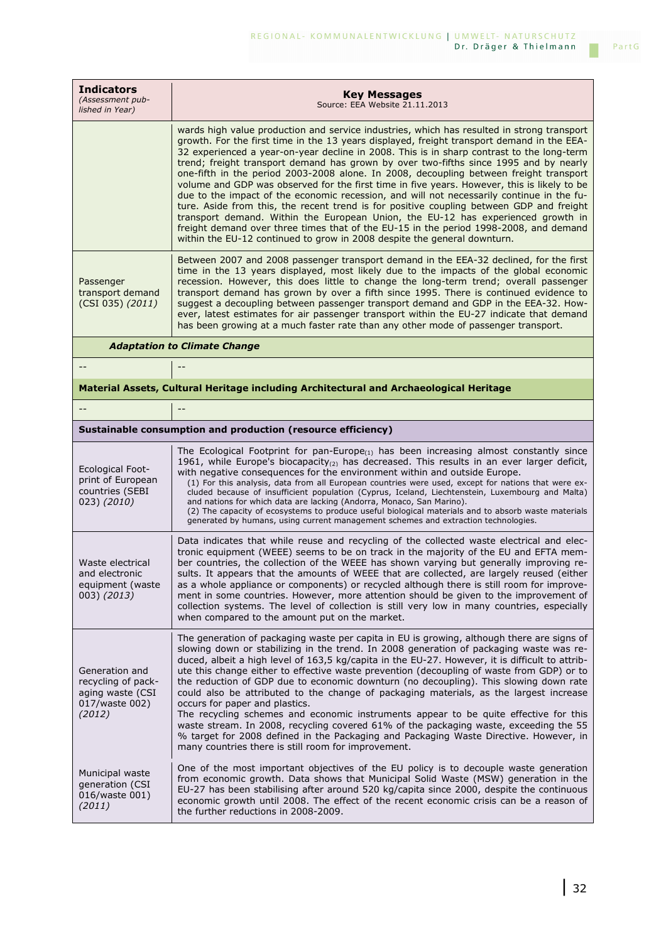| <b>Indicators</b><br>(Assessment pub-<br>lished in Year)                             | <b>Key Messages</b><br>Source: EEA Website 21.11.2013                                                                                                                                                                                                                                                                                                                                                                                                                                                                                                                                                                                                                                                                                                                                                                                                                                                                                                                                                                     |
|--------------------------------------------------------------------------------------|---------------------------------------------------------------------------------------------------------------------------------------------------------------------------------------------------------------------------------------------------------------------------------------------------------------------------------------------------------------------------------------------------------------------------------------------------------------------------------------------------------------------------------------------------------------------------------------------------------------------------------------------------------------------------------------------------------------------------------------------------------------------------------------------------------------------------------------------------------------------------------------------------------------------------------------------------------------------------------------------------------------------------|
|                                                                                      | wards high value production and service industries, which has resulted in strong transport<br>growth. For the first time in the 13 years displayed, freight transport demand in the EEA-<br>32 experienced a year-on-year decline in 2008. This is in sharp contrast to the long-term<br>trend; freight transport demand has grown by over two-fifths since 1995 and by nearly<br>one-fifth in the period 2003-2008 alone. In 2008, decoupling between freight transport<br>volume and GDP was observed for the first time in five years. However, this is likely to be<br>due to the impact of the economic recession, and will not necessarily continue in the fu-<br>ture. Aside from this, the recent trend is for positive coupling between GDP and freight<br>transport demand. Within the European Union, the EU-12 has experienced growth in<br>freight demand over three times that of the EU-15 in the period 1998-2008, and demand<br>within the EU-12 continued to grow in 2008 despite the general downturn. |
| Passenger<br>transport demand<br>(CSI 035) (2011)                                    | Between 2007 and 2008 passenger transport demand in the EEA-32 declined, for the first<br>time in the 13 years displayed, most likely due to the impacts of the global economic<br>recession. However, this does little to change the long-term trend; overall passenger<br>transport demand has grown by over a fifth since 1995. There is continued evidence to<br>suggest a decoupling between passenger transport demand and GDP in the EEA-32. How-<br>ever, latest estimates for air passenger transport within the EU-27 indicate that demand<br>has been growing at a much faster rate than any other mode of passenger transport.                                                                                                                                                                                                                                                                                                                                                                                |
|                                                                                      | <b>Adaptation to Climate Change</b>                                                                                                                                                                                                                                                                                                                                                                                                                                                                                                                                                                                                                                                                                                                                                                                                                                                                                                                                                                                       |
|                                                                                      |                                                                                                                                                                                                                                                                                                                                                                                                                                                                                                                                                                                                                                                                                                                                                                                                                                                                                                                                                                                                                           |
|                                                                                      | Material Assets, Cultural Heritage including Architectural and Archaeological Heritage                                                                                                                                                                                                                                                                                                                                                                                                                                                                                                                                                                                                                                                                                                                                                                                                                                                                                                                                    |
|                                                                                      |                                                                                                                                                                                                                                                                                                                                                                                                                                                                                                                                                                                                                                                                                                                                                                                                                                                                                                                                                                                                                           |
|                                                                                      | Sustainable consumption and production (resource efficiency)                                                                                                                                                                                                                                                                                                                                                                                                                                                                                                                                                                                                                                                                                                                                                                                                                                                                                                                                                              |
| <b>Ecological Foot-</b><br>print of European<br>countries (SEBI<br>023) (2010)       | The Ecological Footprint for pan-Europe <sub>(1)</sub> has been increasing almost constantly since<br>1961, while Europe's biocapacity <sub>(2)</sub> has decreased. This results in an ever larger deficit,<br>with negative consequences for the environment within and outside Europe.<br>(1) For this analysis, data from all European countries were used, except for nations that were ex-<br>cluded because of insufficient population (Cyprus, Iceland, Liechtenstein, Luxembourg and Malta)<br>and nations for which data are lacking (Andorra, Monaco, San Marino).<br>(2) The capacity of ecosystems to produce useful biological materials and to absorb waste materials<br>generated by humans, using current management schemes and extraction technologies.                                                                                                                                                                                                                                                |
| Waste electrical<br>and electronic<br>equipment (waste<br>003) (2013)                | Data indicates that while reuse and recycling of the collected waste electrical and elec-<br>tronic equipment (WEEE) seems to be on track in the majority of the EU and EFTA mem-<br>ber countries, the collection of the WEEE has shown varying but generally improving re-<br>sults. It appears that the amounts of WEEE that are collected, are largely reused (either<br>as a whole appliance or components) or recycled although there is still room for improve-<br>ment in some countries. However, more attention should be given to the improvement of<br>collection systems. The level of collection is still very low in many countries, especially<br>when compared to the amount put on the market.                                                                                                                                                                                                                                                                                                          |
| Generation and<br>recycling of pack-<br>aging waste (CSI<br>017/waste 002)<br>(2012) | The generation of packaging waste per capita in EU is growing, although there are signs of<br>slowing down or stabilizing in the trend. In 2008 generation of packaging waste was re-<br>duced, albeit a high level of 163,5 kg/capita in the EU-27. However, it is difficult to attrib-<br>ute this change either to effective waste prevention (decoupling of waste from GDP) or to<br>the reduction of GDP due to economic downturn (no decoupling). This slowing down rate<br>could also be attributed to the change of packaging materials, as the largest increase<br>occurs for paper and plastics.<br>The recycling schemes and economic instruments appear to be quite effective for this<br>waste stream. In 2008, recycling covered 61% of the packaging waste, exceeding the 55<br>% target for 2008 defined in the Packaging and Packaging Waste Directive. However, in<br>many countries there is still room for improvement.                                                                               |
| Municipal waste<br>generation (CSI<br>016/waste 001)<br>(2011)                       | One of the most important objectives of the EU policy is to decouple waste generation<br>from economic growth. Data shows that Municipal Solid Waste (MSW) generation in the<br>EU-27 has been stabilising after around 520 kg/capita since 2000, despite the continuous<br>economic growth until 2008. The effect of the recent economic crisis can be a reason of<br>the further reductions in 2008-2009.                                                                                                                                                                                                                                                                                                                                                                                                                                                                                                                                                                                                               |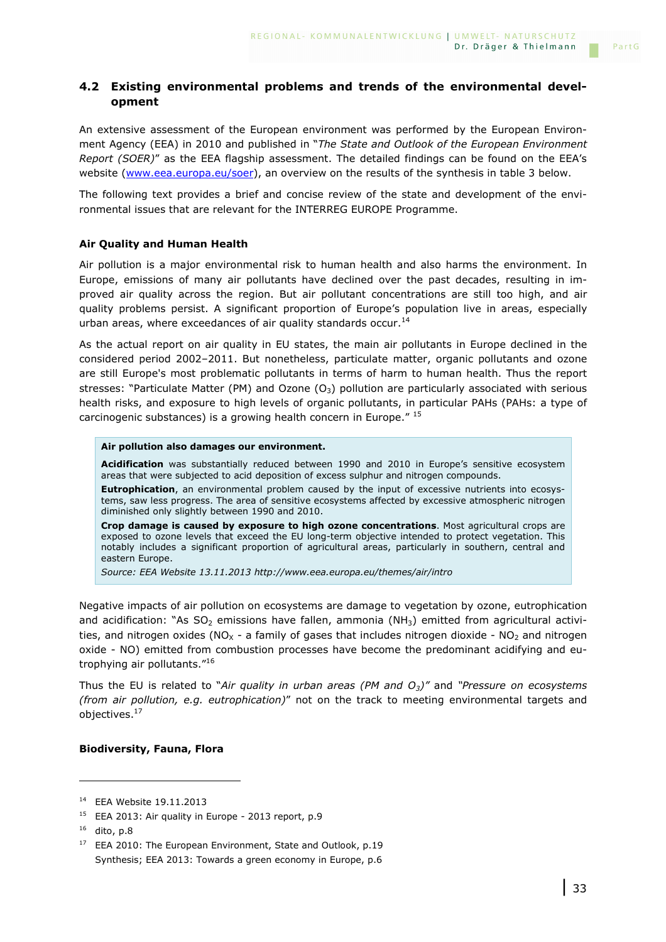## **4.2 Existing environmental problems and trends of the environmental development**

An extensive assessment of the European environment was performed by the European Environment Agency (EEA) in 2010 and published in "*The State and Outlook of the European Environment Report (SOER)*" as the EEA flagship assessment. The detailed findings can be found on the EEA's website (www.eea.europa.eu/soer), an overview on the results of the synthesis in table 3 below.

The following text provides a brief and concise review of the state and development of the environmental issues that are relevant for the INTERREG EUROPE Programme.

### **Air Quality and Human Health**

Air pollution is a major environmental risk to human health and also harms the environment. In Europe, emissions of many air pollutants have declined over the past decades, resulting in improved air quality across the region. But air pollutant concentrations are still too high, and air quality problems persist. A significant proportion of Europe's population live in areas, especially urban areas, where exceedances of air quality standards occur.<sup>14</sup>

As the actual report on air quality in EU states, the main air pollutants in Europe declined in the considered period 2002–2011. But nonetheless, particulate matter, organic pollutants and ozone are still Europe's most problematic pollutants in terms of harm to human health. Thus the report stresses: "Particulate Matter (PM) and Ozone (O<sub>3</sub>) pollution are particularly associated with serious health risks, and exposure to high levels of organic pollutants, in particular PAHs (PAHs: a type of carcinogenic substances) is a growing health concern in Europe."<sup>15</sup>

#### **Air pollution also damages our environment.**

**Acidification** was substantially reduced between 1990 and 2010 in Europe's sensitive ecosystem areas that were subjected to acid deposition of excess sulphur and nitrogen compounds.

**Eutrophication**, an environmental problem caused by the input of excessive nutrients into ecosystems, saw less progress. The area of sensitive ecosystems affected by excessive atmospheric nitrogen diminished only slightly between 1990 and 2010.

**Crop damage is caused by exposure to high ozone concentrations**. Most agricultural crops are exposed to ozone levels that exceed the EU long-term objective intended to protect vegetation. This notably includes a significant proportion of agricultural areas, particularly in southern, central and eastern Europe.

*Source: EEA Website 13.11.2013 http://www.eea.europa.eu/themes/air/intro* 

Negative impacts of air pollution on ecosystems are damage to vegetation by ozone, eutrophication and acidification: "As  $SO_2$  emissions have fallen, ammonia (NH<sub>3</sub>) emitted from agricultural activities, and nitrogen oxides ( $NO<sub>X</sub>$  - a family of gases that includes nitrogen dioxide -  $NO<sub>2</sub>$  and nitrogen oxide - NO) emitted from combustion processes have become the predominant acidifying and eutrophying air pollutants."<sup>16</sup>

Thus the EU is related to "*Air quality in urban areas (PM and O3)"* and *"Pressure on ecosystems (from air pollution, e.g. eutrophication)*" not on the track to meeting environmental targets and objectives.<sup>17</sup>

#### **Biodiversity, Fauna, Flora**

i<br>I

<sup>14</sup> EEA Website 19.11.2013

 $15$  EEA 2013: Air quality in Europe - 2013 report, p.9

<sup>16</sup> dito, p.8

<sup>&</sup>lt;sup>17</sup> EEA 2010: The European Environment, State and Outlook, p.19 Synthesis; EEA 2013: Towards a green economy in Europe, p.6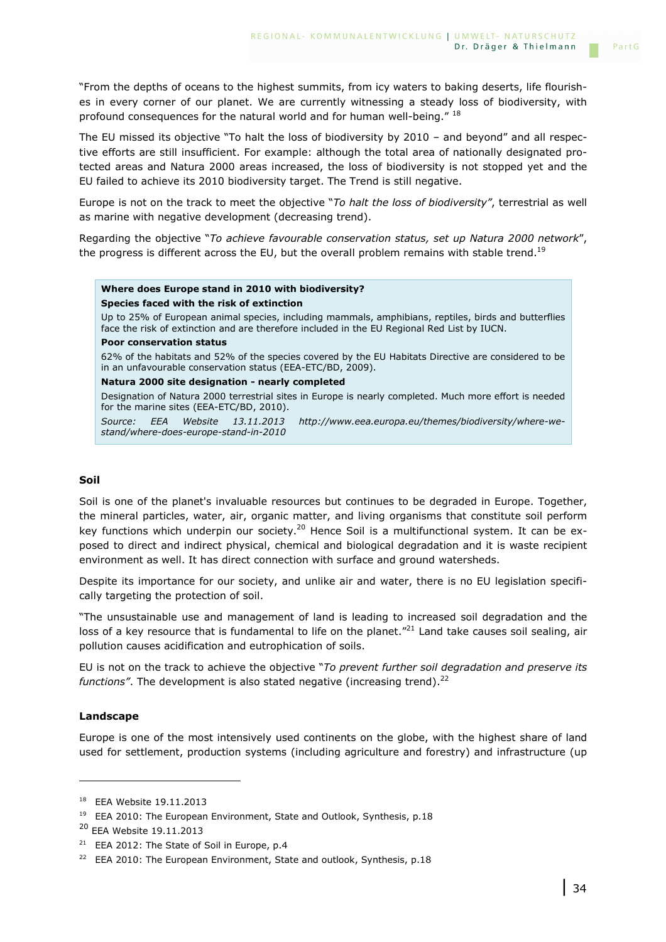"From the depths of oceans to the highest summits, from icy waters to baking deserts, life flourishes in every corner of our planet. We are currently witnessing a steady loss of biodiversity, with profound consequences for the natural world and for human well-being." <sup>18</sup>

The EU missed its objective "To halt the loss of biodiversity by 2010 – and beyond" and all respective efforts are still insufficient. For example: although the total area of nationally designated protected areas and Natura 2000 areas increased, the loss of biodiversity is not stopped yet and the EU failed to achieve its 2010 biodiversity target. The Trend is still negative.

Europe is not on the track to meet the objective "*To halt the loss of biodiversity"*, terrestrial as well as marine with negative development (decreasing trend).

Regarding the objective "*To achieve favourable conservation status, set up Natura 2000 network*", the progress is different across the EU, but the overall problem remains with stable trend.<sup>19</sup>

#### **Where does Europe stand in 2010 with biodiversity? Species faced with the risk of extinction**

Up to 25% of European animal species, including mammals, amphibians, reptiles, birds and butterflies face the risk of extinction and are therefore included in the EU Regional Red List by IUCN.

#### **Poor conservation status**

62% of the habitats and 52% of the species covered by the EU Habitats Directive are considered to be in an unfavourable conservation status (EEA-ETC/BD, 2009).

#### **Natura 2000 site designation - nearly completed**

Designation of Natura 2000 terrestrial sites in Europe is nearly completed. Much more effort is needed for the marine sites (EEA-ETC/BD, 2010).

*Source: EEA Website 13.11.2013 http://www.eea.europa.eu/themes/biodiversity/where-westand/where-does-europe-stand-in-2010* 

#### **Soil**

Soil is one of the planet's invaluable resources but continues to be degraded in Europe. Together, the mineral particles, water, air, organic matter, and living organisms that constitute soil perform key functions which underpin our society.<sup>20</sup> Hence Soil is a multifunctional system. It can be exposed to direct and indirect physical, chemical and biological degradation and it is waste recipient environment as well. It has direct connection with surface and ground watersheds.

Despite its importance for our society, and unlike air and water, there is no EU legislation specifically targeting the protection of soil.

"The unsustainable use and management of land is leading to increased soil degradation and the loss of a key resource that is fundamental to life on the planet."<sup>21</sup> Land take causes soil sealing, air pollution causes acidification and eutrophication of soils.

EU is not on the track to achieve the objective "*To prevent further soil degradation and preserve its functions"*. The development is also stated negative (increasing trend).<sup>22</sup>

#### **Landscape**

i<br>I

Europe is one of the most intensively used continents on the globe, with the highest share of land used for settlement, production systems (including agriculture and forestry) and infrastructure (up

<sup>18</sup> EEA Website 19.11.2013

<sup>&</sup>lt;sup>19</sup> EEA 2010: The European Environment, State and Outlook, Synthesis, p.18

<sup>20</sup> EEA Website 19.11.2013

<sup>&</sup>lt;sup>21</sup> EEA 2012: The State of Soil in Europe, p.4

<sup>&</sup>lt;sup>22</sup> EEA 2010: The European Environment, State and outlook, Synthesis, p.18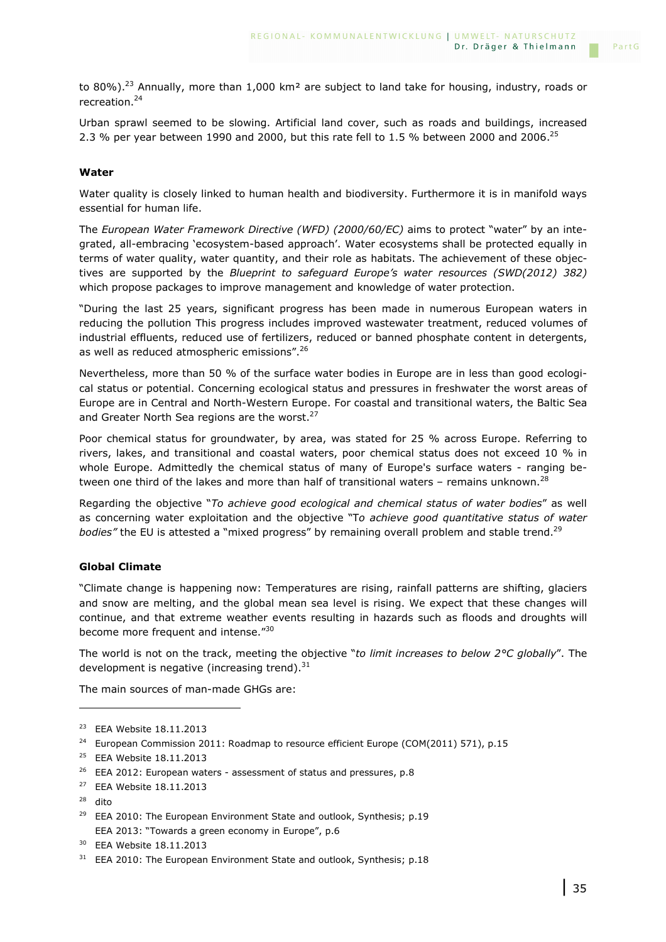to 80%).<sup>23</sup> Annually, more than 1,000 km<sup>2</sup> are subject to land take for housing, industry, roads or recreation.<sup>24</sup>

Urban sprawl seemed to be slowing. Artificial land cover, such as roads and buildings, increased 2.3 % per year between 1990 and 2000, but this rate fell to 1.5 % between 2000 and 2006.<sup>25</sup>

### **Water**

Water quality is closely linked to human health and biodiversity. Furthermore it is in manifold ways essential for human life.

The *European Water Framework Directive (WFD) (2000/60/EC)* aims to protect "water" by an integrated, all-embracing 'ecosystem-based approach'. Water ecosystems shall be protected equally in terms of water quality, water quantity, and their role as habitats. The achievement of these objectives are supported by the *Blueprint to safeguard Europe's water resources (SWD(2012) 382)* which propose packages to improve management and knowledge of water protection.

"During the last 25 years, significant progress has been made in numerous European waters in reducing the pollution This progress includes improved wastewater treatment, reduced volumes of industrial effluents, reduced use of fertilizers, reduced or banned phosphate content in detergents, as well as reduced atmospheric emissions". 26

Nevertheless, more than 50 % of the surface water bodies in Europe are in less than good ecological status or potential. Concerning ecological status and pressures in freshwater the worst areas of Europe are in Central and North-Western Europe. For coastal and transitional waters, the Baltic Sea and Greater North Sea regions are the worst.<sup>27</sup>

Poor chemical status for groundwater, by area, was stated for 25 % across Europe. Referring to rivers, lakes, and transitional and coastal waters, poor chemical status does not exceed 10 % in whole Europe. Admittedly the chemical status of many of Europe's surface waters - ranging between one third of the lakes and more than half of transitional waters – remains unknown.<sup>28</sup>

Regarding the objective "*To achieve good ecological and chemical status of water bodies*" as well as concerning water exploitation and the objective "T*o achieve good quantitative status of water bodies"* the EU is attested a "mixed progress" by remaining overall problem and stable trend.<sup>29</sup>

### **Global Climate**

"Climate change is happening now: Temperatures are rising, rainfall patterns are shifting, glaciers and snow are melting, and the global mean sea level is rising. We expect that these changes will continue, and that extreme weather events resulting in hazards such as floods and droughts will become more frequent and intense."30

The world is not on the track, meeting the objective "*to limit increases to below 2°C globally*". The development is negative (increasing trend). $31$ 

The main sources of man-made GHGs are:

<sup>28</sup> dito

i<br>I

<sup>&</sup>lt;sup>23</sup> EEA Website 18.11.2013

<sup>&</sup>lt;sup>24</sup> European Commission 2011: Roadmap to resource efficient Europe (COM(2011) 571), p.15

<sup>25</sup> EEA Website 18.11.2013

<sup>&</sup>lt;sup>26</sup> EEA 2012: European waters - assessment of status and pressures, p.8

<sup>27</sup> EEA Website 18.11.2013

<sup>&</sup>lt;sup>29</sup> EEA 2010: The European Environment State and outlook, Synthesis:  $p.19$ EEA 2013: "Towards a green economy in Europe", p.6

<sup>30</sup> EEA Website 18.11.2013

 $31$  EEA 2010: The European Environment State and outlook, Synthesis; p.18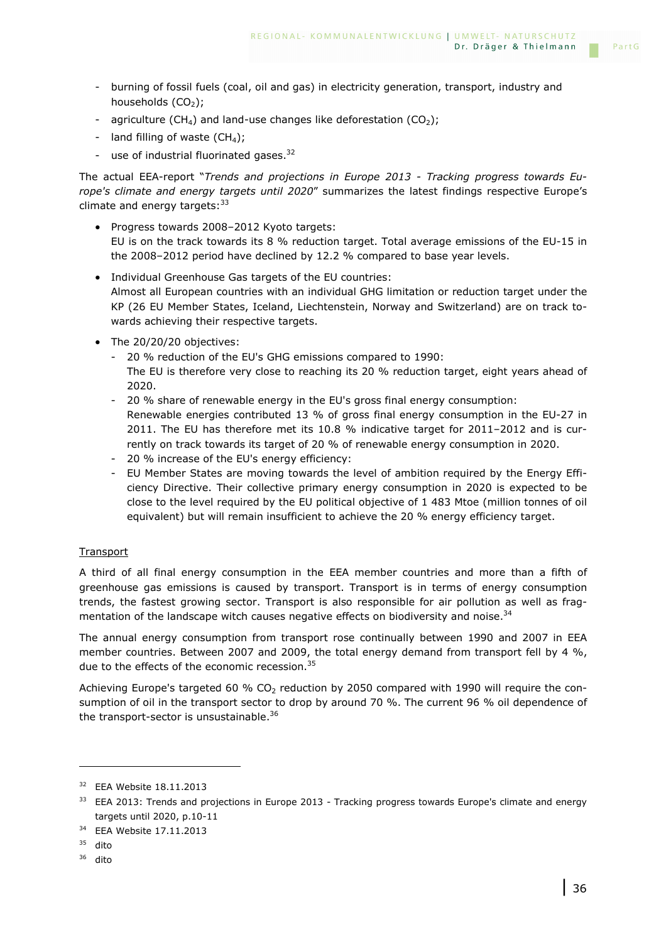- burning of fossil fuels (coal, oil and gas) in electricity generation, transport, industry and households  $(CO<sub>2</sub>)$ ;
- agriculture (CH<sub>4</sub>) and land-use changes like deforestation (CO<sub>2</sub>);
- land filling of waste  $(CH_4)$ ;
- use of industrial fluorinated gases.<sup>32</sup>

The actual EEA-report "*Trends and projections in Europe 2013 - Tracking progress towards Europe's climate and energy targets until 2020*" summarizes the latest findings respective Europe's climate and energy targets:  $33$ 

- Progress towards 2008–2012 Kyoto targets: EU is on the track towards its 8 % reduction target. Total average emissions of the EU-15 in the 2008–2012 period have declined by 12.2 % compared to base year levels.
- Individual Greenhouse Gas targets of the EU countries: Almost all European countries with an individual GHG limitation or reduction target under the KP (26 EU Member States, Iceland, Liechtenstein, Norway and Switzerland) are on track towards achieving their respective targets.
- The 20/20/20 objectives:
	- 20 % reduction of the EU's GHG emissions compared to 1990: The EU is therefore very close to reaching its 20 % reduction target, eight years ahead of 2020.
	- 20 % share of renewable energy in the EU's gross final energy consumption: Renewable energies contributed 13 % of gross final energy consumption in the EU-27 in 2011. The EU has therefore met its 10.8 % indicative target for 2011–2012 and is currently on track towards its target of 20 % of renewable energy consumption in 2020.
	- 20 % increase of the EU's energy efficiency:
	- EU Member States are moving towards the level of ambition required by the Energy Efficiency Directive. Their collective primary energy consumption in 2020 is expected to be close to the level required by the EU political objective of 1 483 Mtoe (million tonnes of oil equivalent) but will remain insufficient to achieve the 20 % energy efficiency target.

### **Transport**

A third of all final energy consumption in the EEA member countries and more than a fifth of greenhouse gas emissions is caused by transport. Transport is in terms of energy consumption trends, the fastest growing sector. Transport is also responsible for air pollution as well as fragmentation of the landscape witch causes negative effects on biodiversity and noise.<sup>34</sup>

The annual energy consumption from transport rose continually between 1990 and 2007 in EEA member countries. Between 2007 and 2009, the total energy demand from transport fell by 4 %, due to the effects of the economic recession.<sup>35</sup>

Achieving Europe's targeted 60 % CO<sub>2</sub> reduction by 2050 compared with 1990 will require the consumption of oil in the transport sector to drop by around 70 %. The current 96 % oil dependence of the transport-sector is unsustainable. $36$ 

i<br>I

 $36$  dito

<sup>32</sup> EEA Website 18.11.2013

<sup>&</sup>lt;sup>33</sup> EEA 2013: Trends and projections in Europe 2013 - Tracking progress towards Europe's climate and energy targets until 2020, p.10-11

<sup>34</sup> EEA Website 17.11.2013

<sup>35</sup> dito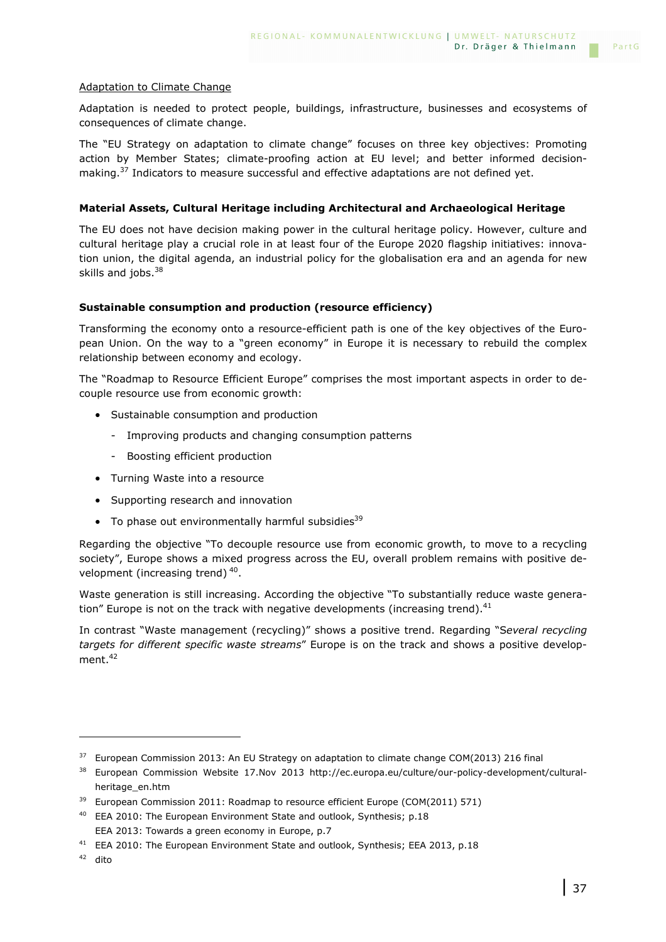### Adaptation to Climate Change

Adaptation is needed to protect people, buildings, infrastructure, businesses and ecosystems of consequences of climate change.

The "EU Strategy on adaptation to climate change" focuses on three key objectives: Promoting action by Member States; climate-proofing action at EU level; and better informed decisionmaking. $37$  Indicators to measure successful and effective adaptations are not defined yet.

### **Material Assets, Cultural Heritage including Architectural and Archaeological Heritage**

The EU does not have decision making power in the cultural heritage policy. However, culture and cultural heritage play a crucial role in at least four of the Europe 2020 flagship initiatives: innovation union, the digital agenda, an industrial policy for the globalisation era and an agenda for new skills and jobs. $38$ 

### **Sustainable consumption and production (resource efficiency)**

Transforming the economy onto a resource-efficient path is one of the key objectives of the European Union. On the way to a "green economy" in Europe it is necessary to rebuild the complex relationship between economy and ecology.

The "Roadmap to Resource Efficient Europe" comprises the most important aspects in order to decouple resource use from economic growth:

- Sustainable consumption and production
	- Improving products and changing consumption patterns
	- Boosting efficient production
- Turning Waste into a resource
- Supporting research and innovation
- $\bullet$  To phase out environmentally harmful subsidies<sup>39</sup>

Regarding the objective "To decouple resource use from economic growth, to move to a recycling society", Europe shows a mixed progress across the EU, overall problem remains with positive development (increasing trend)<sup>40</sup>.

Waste generation is still increasing. According the objective "To substantially reduce waste generation" Europe is not on the track with negative developments (increasing trend). $41$ 

In contrast "Waste management (recycling)" shows a positive trend. Regarding "S*everal recycling targets for different specific waste streams*" Europe is on the track and shows a positive development.<sup>42</sup>

i<br>I

<sup>&</sup>lt;sup>37</sup> European Commission 2013: An EU Strategy on adaptation to climate change COM(2013) 216 final

<sup>&</sup>lt;sup>38</sup> European Commission Website 17.Nov 2013 http://ec.europa.eu/culture/our-policy-development/culturalheritage\_en.htm

<sup>&</sup>lt;sup>39</sup> European Commission 2011: Roadmap to resource efficient Europe (COM(2011) 571)

<sup>&</sup>lt;sup>40</sup> EEA 2010: The European Environment State and outlook, Synthesis: p.18 EEA 2013: Towards a green economy in Europe, p.7

<sup>&</sup>lt;sup>41</sup> EEA 2010: The European Environment State and outlook, Synthesis; EEA 2013, p.18

<sup>42</sup> dito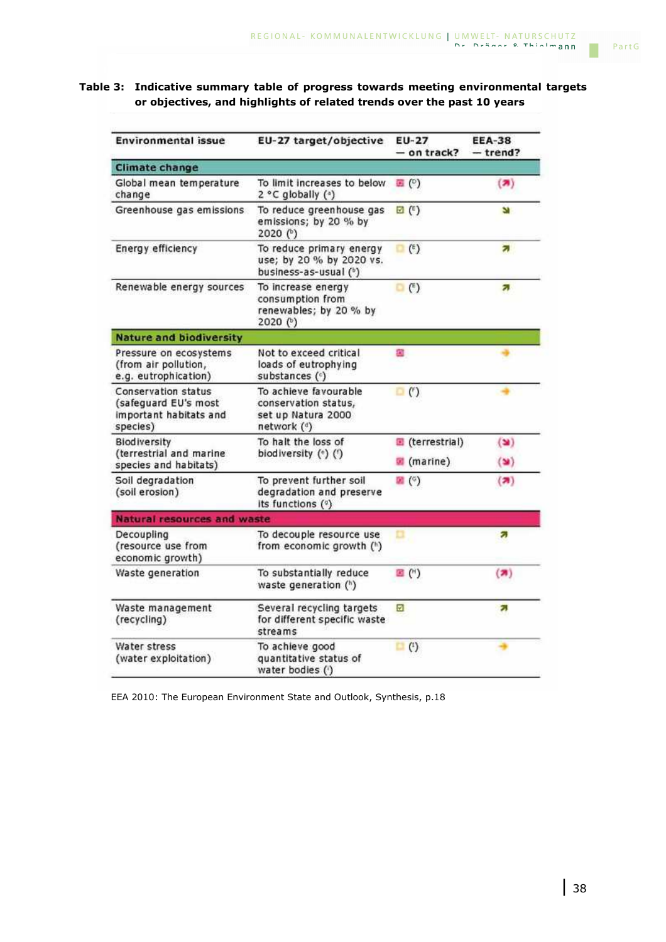## **Table 3: Indicative summary table of progress towards meeting environmental targets or objectives, and highlights of related trends over the past 10 years**

| <b>Environmental issue</b>                                                        | EU-27 target/objective                                                             | EU-27<br>- on track?                     | <b>EEA-38</b><br>$-$ trend?      |  |
|-----------------------------------------------------------------------------------|------------------------------------------------------------------------------------|------------------------------------------|----------------------------------|--|
| <b>Climate change</b>                                                             |                                                                                    |                                          |                                  |  |
| Global mean temperature<br>change                                                 | To limit increases to below<br>2 °C globally ( <sup>a</sup> )                      | 国(0)                                     | (2)                              |  |
| Greenhouse gas emissions                                                          | To reduce greenhouse gas<br>emissions; by 20 % by<br>2020 (b)                      | $\boxtimes$ (E)                          | m                                |  |
| <b>Energy efficiency</b>                                                          | To reduce primary energy<br>use; by 20 % by 2020 vs.<br>business-as-usual (b)      | $(\mathbf{f})$<br>o                      | z.                               |  |
| Renewable energy sources                                                          | To increase energy<br>consumption from<br>renewables; by 20 % by<br>2020 (b)       | $\Box$ (*)                               | а                                |  |
| <b>Nature and biodiversity</b>                                                    |                                                                                    |                                          |                                  |  |
| Pressure on ecosystems<br>(from air pollution,<br>e.g. eutrophication)            | Not to exceed critical<br>loads of eutrophying<br>substances (c)                   | 図                                        |                                  |  |
| Conservation status<br>(safeguard EU's most<br>important habitats and<br>species) | To achieve favourable<br>conservation status,<br>set up Natura 2000<br>network (4) | $\Box$ (')                               |                                  |  |
| Biodiversity<br>(terrestrial and marine<br>species and habitats)                  | To halt the loss of<br>biodiversity (*) (')                                        | (terrestrial)<br>$\blacksquare$ (marine) | $(\mathbf{w})$<br>$(\mathbf{v})$ |  |
| Soil degradation<br>(soil erosion)                                                | To prevent further soil<br>degradation and preserve<br>its functions (°)           | $\mathbb{Z}$ (°)                         | (7)                              |  |
| Natural resources and waste                                                       |                                                                                    |                                          |                                  |  |
| Decoupling<br>(resource use from<br>economic growth)                              | To decouple resource use<br>from economic growth (1)                               | □                                        | а                                |  |
| Waste generation                                                                  | To substantially reduce<br>waste generation (h)                                    | $\mathbb{E}(\mathfrak{m})$               | (2)                              |  |
| Waste management<br>(recycling)                                                   | Several recycling targets<br>for different specific waste<br>streams               | ☑                                        | а                                |  |
| Water stress<br>(water exploitation)                                              | To achieve good<br>quantitative status of<br>water bodies (')                      | (1)<br>α                                 |                                  |  |

EEA 2010: The European Environment State and Outlook, Synthesis, p.18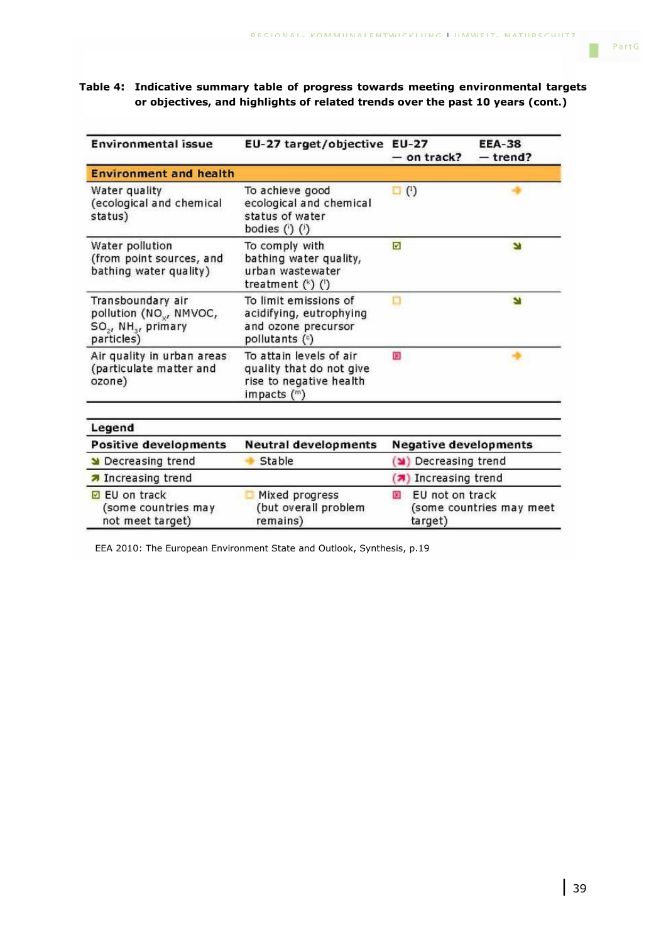Г

## **Table 4: Indicative summary table of progress towards meeting environmental targets or objectives, and highlights of related trends over the past 10 years (cont.)**

| <b>Environmental issue</b>                                                                                            | EU-27 target/objective EU-27                                                                    | - on track?                      | <b>EEA-38</b><br>$-$ trend? |
|-----------------------------------------------------------------------------------------------------------------------|-------------------------------------------------------------------------------------------------|----------------------------------|-----------------------------|
| <b>Environment and health</b>                                                                                         |                                                                                                 |                                  |                             |
| Water quality<br>(ecological and chemical<br>status)                                                                  | To achieve good<br>ecological and chemical<br>status of water<br>bodies $(')$ $(')$             | $\binom{1}{1}$<br>o              |                             |
| Water pollution<br>(from point sources, and<br>bathing water quality)                                                 | To comply with<br>bathing water quality,<br>urban wastewater<br>treatment $(*)$ $()$            | ø                                | N                           |
| Transboundary air<br>pollution (NO <sub>x</sub> , NMVOC,<br>SO <sub>2</sub> , NH <sub>3</sub> , primary<br>particles) | To limit emissions of<br>acidifying, eutrophying<br>and ozone precursor<br>pollutants $($ c)    | □                                | N                           |
| Air quality in urban areas<br>(particulate matter and<br>ozone)                                                       | To attain levels of air<br>quality that do not give<br>rise to negative health<br>impacts $(m)$ | 貂                                |                             |
| Legend                                                                                                                |                                                                                                 |                                  |                             |
| <b>Positive developments</b>                                                                                          | <b>Neutral developments</b>                                                                     | <b>Negative developments</b>     |                             |
| Decreasing trend                                                                                                      | Stable                                                                                          | Decreasing trend                 |                             |
| <b>7</b> Increasing trend                                                                                             |                                                                                                 | (7) Increasing trend             |                             |
| <b>EU</b> on track<br>(some countries may<br>not meet target)                                                         | Mixed progress<br>(but overall problem<br>remains)                                              | EU not on track<br>53<br>target) | (some countries may meet    |

EEA 2010: The European Environment State and Outlook, Synthesis, p.19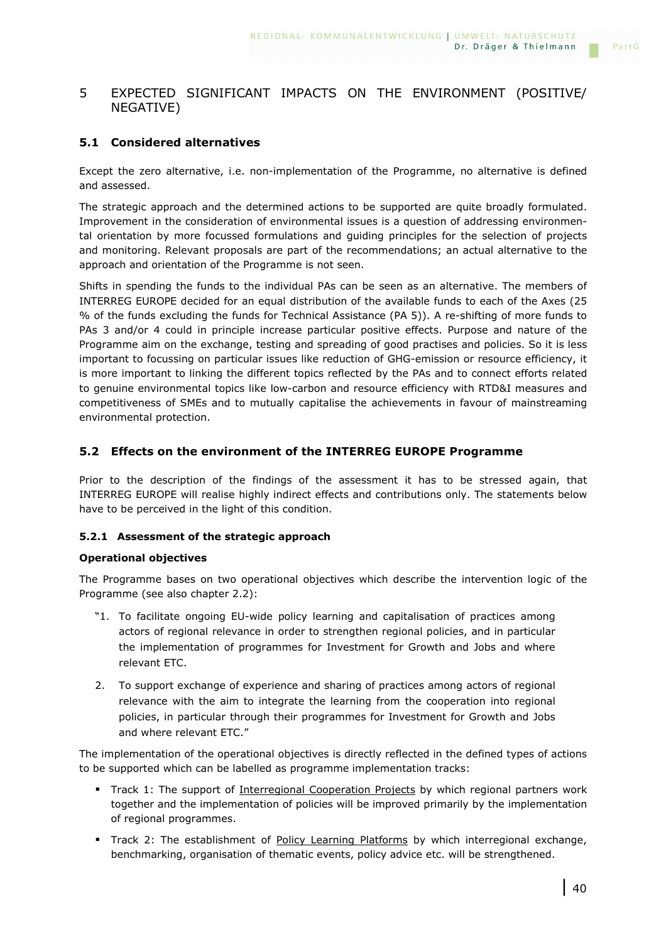# 5 EXPECTED SIGNIFICANT IMPACTS ON THE ENVIRONMENT (POSITIVE/ NEGATIVE)

# **5.1 Considered alternatives**

Except the zero alternative, i.e. non-implementation of the Programme, no alternative is defined and assessed.

The strategic approach and the determined actions to be supported are quite broadly formulated. Improvement in the consideration of environmental issues is a question of addressing environmental orientation by more focussed formulations and guiding principles for the selection of projects and monitoring. Relevant proposals are part of the recommendations; an actual alternative to the approach and orientation of the Programme is not seen.

Shifts in spending the funds to the individual PAs can be seen as an alternative. The members of INTERREG EUROPE decided for an equal distribution of the available funds to each of the Axes (25 % of the funds excluding the funds for Technical Assistance (PA 5)). A re-shifting of more funds to PAs 3 and/or 4 could in principle increase particular positive effects. Purpose and nature of the Programme aim on the exchange, testing and spreading of good practises and policies. So it is less important to focussing on particular issues like reduction of GHG-emission or resource efficiency, it is more important to linking the different topics reflected by the PAs and to connect efforts related to genuine environmental topics like low-carbon and resource efficiency with RTD&I measures and competitiveness of SMEs and to mutually capitalise the achievements in favour of mainstreaming environmental protection.

## **5.2 Effects on the environment of the INTERREG EUROPE Programme**

Prior to the description of the findings of the assessment it has to be stressed again, that INTERREG EUROPE will realise highly indirect effects and contributions only. The statements below have to be perceived in the light of this condition.

### **5.2.1 Assessment of the strategic approach**

### **Operational objectives**

The Programme bases on two operational objectives which describe the intervention logic of the Programme (see also chapter 2.2):

- "1. To facilitate ongoing EU-wide policy learning and capitalisation of practices among actors of regional relevance in order to strengthen regional policies, and in particular the implementation of programmes for Investment for Growth and Jobs and where relevant ETC.
- 2. To support exchange of experience and sharing of practices among actors of regional relevance with the aim to integrate the learning from the cooperation into regional policies, in particular through their programmes for Investment for Growth and Jobs and where relevant ETC."

The implementation of the operational objectives is directly reflected in the defined types of actions to be supported which can be labelled as programme implementation tracks:

- Track 1: The support of Interregional Cooperation Projects by which regional partners work together and the implementation of policies will be improved primarily by the implementation of regional programmes.
- Track 2: The establishment of Policy Learning Platforms by which interregional exchange, benchmarking, organisation of thematic events, policy advice etc. will be strengthened.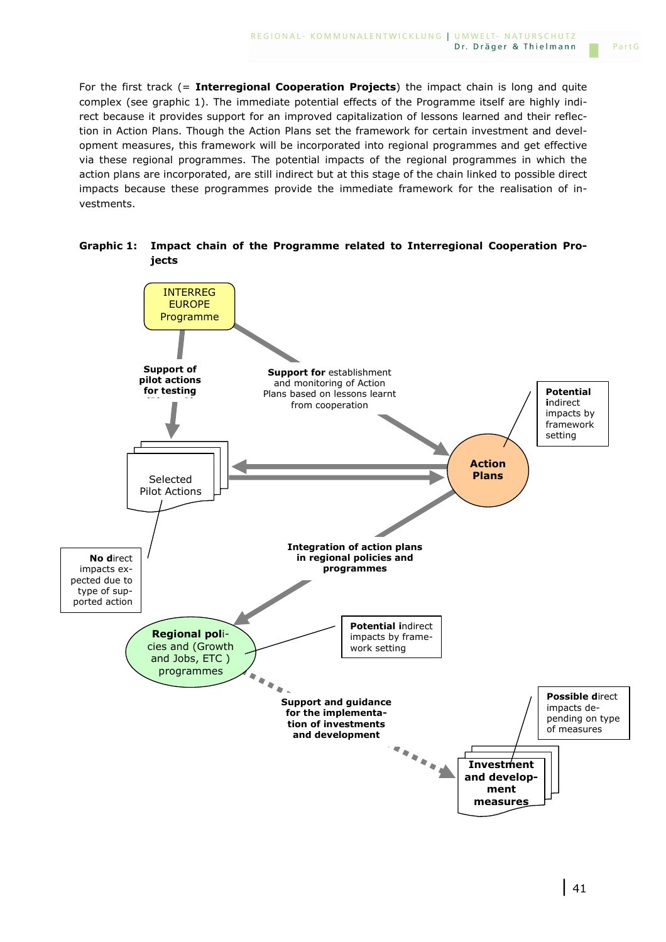For the first track (= **Interregional Cooperation Projects**) the impact chain is long and quite complex (see graphic 1). The immediate potential effects of the Programme itself are highly indirect because it provides support for an improved capitalization of lessons learned and their reflection in Action Plans. Though the Action Plans set the framework for certain investment and development measures, this framework will be incorporated into regional programmes and get effective via these regional programmes. The potential impacts of the regional programmes in which the action plans are incorporated, are still indirect but at this stage of the chain linked to possible direct impacts because these programmes provide the immediate framework for the realisation of investments.



**Graphic 1: Impact chain of the Programme related to Interregional Cooperation Projects**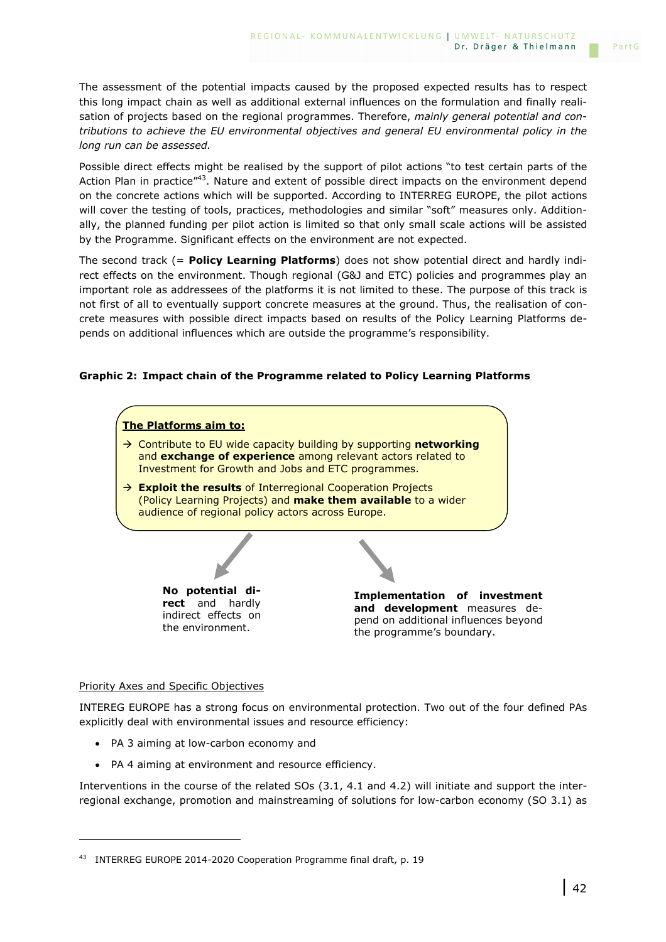The assessment of the potential impacts caused by the proposed expected results has to respect this long impact chain as well as additional external influences on the formulation and finally realisation of projects based on the regional programmes. Therefore, *mainly general potential and contributions to achieve the EU environmental objectives and general EU environmental policy in the long run can be assessed.*

Possible direct effects might be realised by the support of pilot actions "to test certain parts of the Action Plan in practice<sup>"43</sup>. Nature and extent of possible direct impacts on the environment depend on the concrete actions which will be supported. According to INTERREG EUROPE, the pilot actions will cover the testing of tools, practices, methodologies and similar "soft" measures only. Additionally, the planned funding per pilot action is limited so that only small scale actions will be assisted by the Programme. Significant effects on the environment are not expected.

The second track (= **Policy Learning Platforms**) does not show potential direct and hardly indirect effects on the environment. Though regional (G&J and ETC) policies and programmes play an important role as addressees of the platforms it is not limited to these. The purpose of this track is not first of all to eventually support concrete measures at the ground. Thus, the realisation of concrete measures with possible direct impacts based on results of the Policy Learning Platforms depends on additional influences which are outside the programme's responsibility.

### **Graphic 2: Impact chain of the Programme related to Policy Learning Platforms**



#### Priority Axes and Specific Objectives

i<br>I

INTEREG EUROPE has a strong focus on environmental protection. Two out of the four defined PAs explicitly deal with environmental issues and resource efficiency:

- PA 3 aiming at low-carbon economy and
- PA 4 aiming at environment and resource efficiency.

Interventions in the course of the related SOs (3.1, 4.1 and 4.2) will initiate and support the interregional exchange, promotion and mainstreaming of solutions for low-carbon economy (SO 3.1) as

<sup>&</sup>lt;sup>43</sup> INTERREG EUROPE 2014-2020 Cooperation Programme final draft, p. 19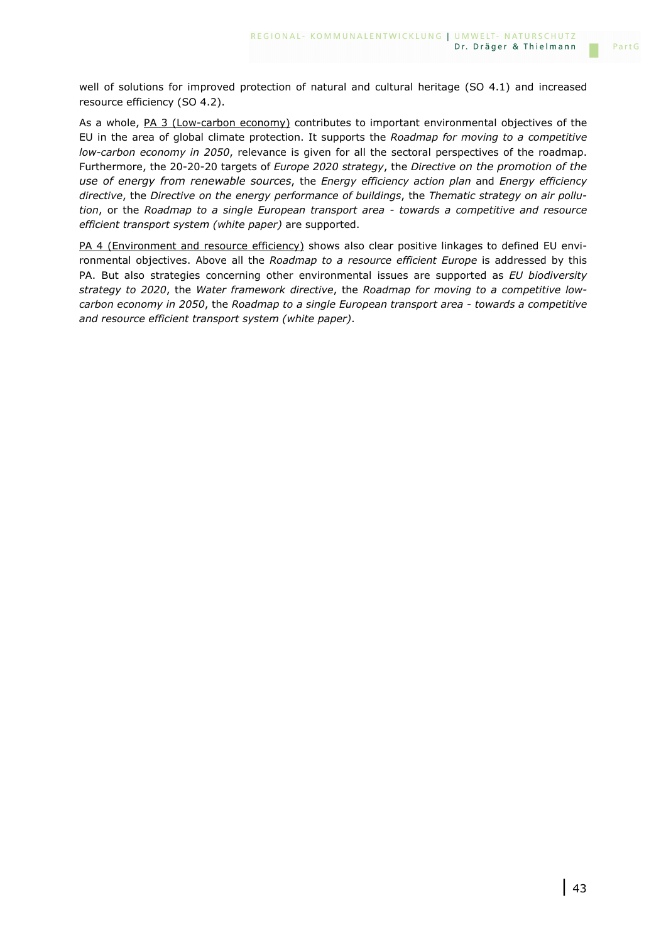well of solutions for improved protection of natural and cultural heritage (SO 4.1) and increased resource efficiency (SO 4.2).

As a whole, PA 3 (Low-carbon economy) contributes to important environmental objectives of the EU in the area of global climate protection. It supports the *Roadmap for moving to a competitive low-carbon economy in 2050*, relevance is given for all the sectoral perspectives of the roadmap. Furthermore, the 20-20-20 targets of *Europe 2020 strategy*, the *Directive on the promotion of the use of energy from renewable sources*, the *Energy efficiency action plan* and *Energy efficiency directive*, the *Directive on the energy performance of buildings*, the *Thematic strategy on air pollution*, or the *Roadmap to a single European transport area - towards a competitive and resource efficient transport system (white paper)* are supported.

PA 4 (Environment and resource efficiency) shows also clear positive linkages to defined EU environmental objectives. Above all the *Roadmap to a resource efficient Europe* is addressed by this PA. But also strategies concerning other environmental issues are supported as *EU biodiversity strategy to 2020*, the *Water framework directive*, the *Roadmap for moving to a competitive lowcarbon economy in 2050*, the *Roadmap to a single European transport area - towards a competitive and resource efficient transport system (white paper)*.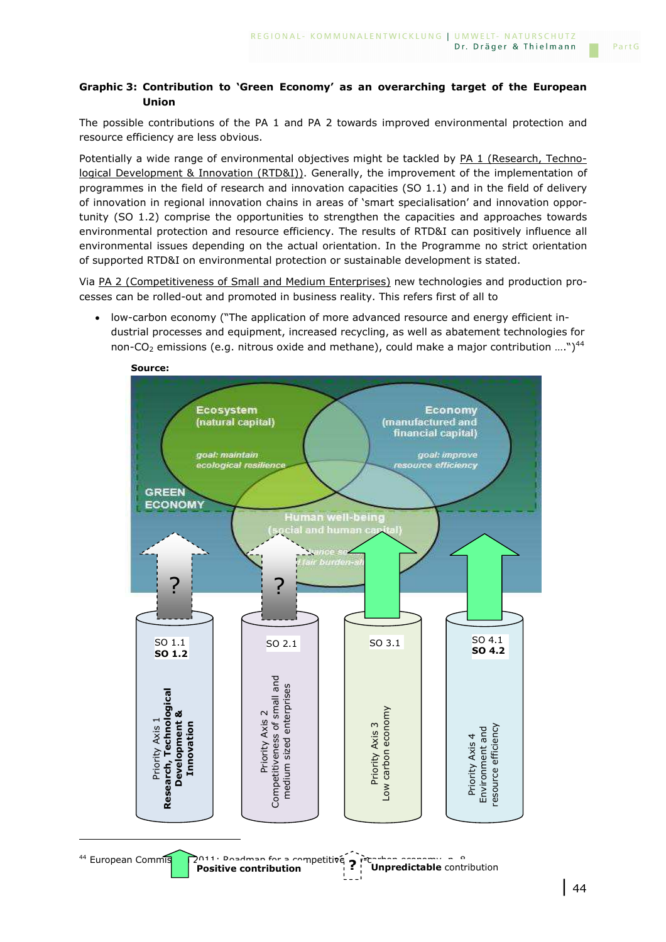### **Graphic 3: Contribution to 'Green Economy' as an overarching target of the European Union**

The possible contributions of the PA 1 and PA 2 towards improved environmental protection and resource efficiency are less obvious.

Potentially a wide range of environmental objectives might be tackled by PA 1 (Research, Technological Development & Innovation (RTD&I)). Generally, the improvement of the implementation of programmes in the field of research and innovation capacities (SO 1.1) and in the field of delivery of innovation in regional innovation chains in areas of 'smart specialisation' and innovation opportunity (SO 1.2) comprise the opportunities to strengthen the capacities and approaches towards environmental protection and resource efficiency. The results of RTD&I can positively influence all environmental issues depending on the actual orientation. In the Programme no strict orientation of supported RTD&I on environmental protection or sustainable development is stated.

Via PA 2 (Competitiveness of Small and Medium Enterprises) new technologies and production processes can be rolled-out and promoted in business reality. This refers first of all to

• low-carbon economy ("The application of more advanced resource and energy efficient industrial processes and equipment, increased recycling, as well as abatement technologies for non-CO<sub>2</sub> emissions (e.g. nitrous oxide and methane), could make a major contribution ....")<sup>44</sup>



i<br>I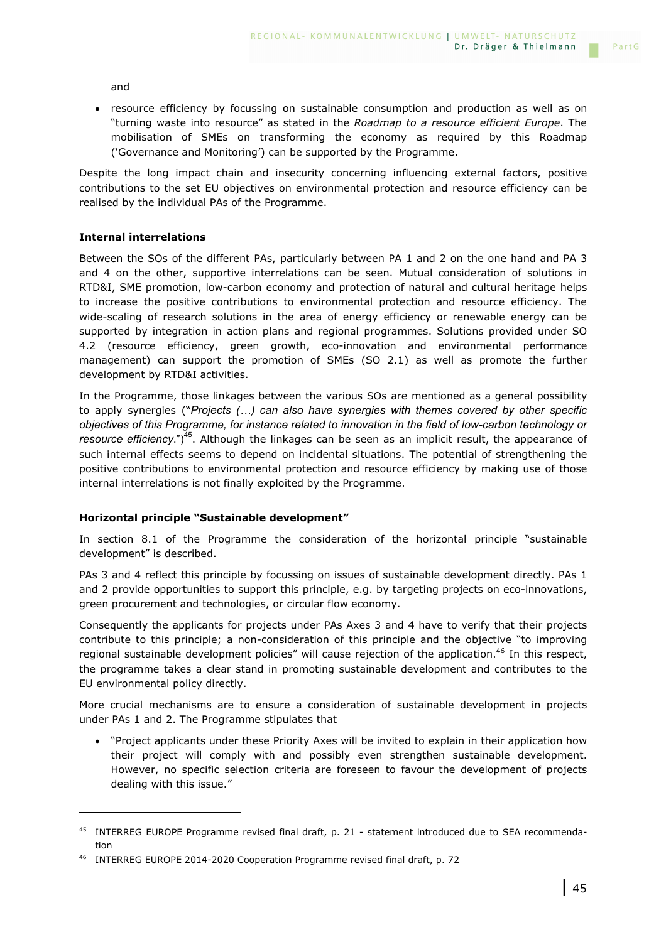and

• resource efficiency by focussing on sustainable consumption and production as well as on "turning waste into resource" as stated in the *Roadmap to a resource efficient Europe*. The mobilisation of SMEs on transforming the economy as required by this Roadmap ('Governance and Monitoring') can be supported by the Programme.

Despite the long impact chain and insecurity concerning influencing external factors, positive contributions to the set EU objectives on environmental protection and resource efficiency can be realised by the individual PAs of the Programme.

### **Internal interrelations**

i<br>I

Between the SOs of the different PAs, particularly between PA 1 and 2 on the one hand and PA 3 and 4 on the other, supportive interrelations can be seen. Mutual consideration of solutions in RTD&I, SME promotion, low-carbon economy and protection of natural and cultural heritage helps to increase the positive contributions to environmental protection and resource efficiency. The wide-scaling of research solutions in the area of energy efficiency or renewable energy can be supported by integration in action plans and regional programmes. Solutions provided under SO 4.2 (resource efficiency, green growth, eco-innovation and environmental performance management) can support the promotion of SMEs (SO 2.1) as well as promote the further development by RTD&I activities.

In the Programme, those linkages between the various SOs are mentioned as a general possibility to apply synergies ("Projects (...) can also have synergies with themes covered by other specific *objectives of this Programme, for instance related to innovation in the field of low-carbon technology or resource efficiency*.")<sup>45</sup>. Although the linkages can be seen as an implicit result, the appearance of such internal effects seems to depend on incidental situations. The potential of strengthening the positive contributions to environmental protection and resource efficiency by making use of those internal interrelations is not finally exploited by the Programme.

### **Horizontal principle "Sustainable development"**

In section 8.1 of the Programme the consideration of the horizontal principle "sustainable development" is described.

PAs 3 and 4 reflect this principle by focussing on issues of sustainable development directly. PAs 1 and 2 provide opportunities to support this principle, e.g. by targeting projects on eco-innovations, green procurement and technologies, or circular flow economy.

Consequently the applicants for projects under PAs Axes 3 and 4 have to verify that their projects contribute to this principle; a non-consideration of this principle and the objective "to improving regional sustainable development policies" will cause rejection of the application.<sup>46</sup> In this respect, the programme takes a clear stand in promoting sustainable development and contributes to the EU environmental policy directly.

More crucial mechanisms are to ensure a consideration of sustainable development in projects under PAs 1 and 2. The Programme stipulates that

• "Project applicants under these Priority Axes will be invited to explain in their application how their project will comply with and possibly even strengthen sustainable development. However, no specific selection criteria are foreseen to favour the development of projects dealing with this issue."

<sup>45</sup> INTERREG EUROPE Programme revised final draft, p. 21 - statement introduced due to SEA recommendation

<sup>&</sup>lt;sup>46</sup> INTERREG EUROPE 2014-2020 Cooperation Programme revised final draft, p. 72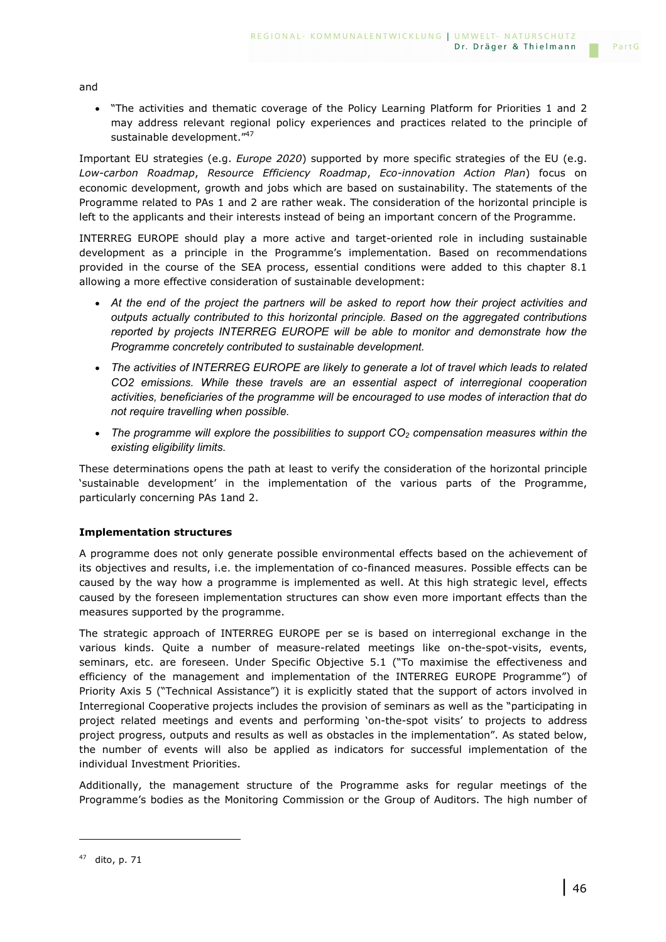and

• "The activities and thematic coverage of the Policy Learning Platform for Priorities 1 and 2 may address relevant regional policy experiences and practices related to the principle of sustainable development."<sup>47</sup>

Important EU strategies (e.g. *Europe 2020*) supported by more specific strategies of the EU (e.g. *Low-carbon Roadmap*, *Resource Efficiency Roadmap*, *Eco-innovation Action Plan*) focus on economic development, growth and jobs which are based on sustainability. The statements of the Programme related to PAs 1 and 2 are rather weak. The consideration of the horizontal principle is left to the applicants and their interests instead of being an important concern of the Programme.

INTERREG EUROPE should play a more active and target-oriented role in including sustainable development as a principle in the Programme's implementation. Based on recommendations provided in the course of the SEA process, essential conditions were added to this chapter 8.1 allowing a more effective consideration of sustainable development:

- *At the end of the project the partners will be asked to report how their project activities and outputs actually contributed to this horizontal principle. Based on the aggregated contributions reported by projects INTERREG EUROPE will be able to monitor and demonstrate how the Programme concretely contributed to sustainable development.*
- *The activities of INTERREG EUROPE are likely to generate a lot of travel which leads to related CO2 emissions. While these travels are an essential aspect of interregional cooperation activities, beneficiaries of the programme will be encouraged to use modes of interaction that do not require travelling when possible.*
- *The programme will explore the possibilities to support CO2 compensation measures within the existing eligibility limits.*

These determinations opens the path at least to verify the consideration of the horizontal principle 'sustainable development' in the implementation of the various parts of the Programme, particularly concerning PAs 1and 2.

### **Implementation structures**

A programme does not only generate possible environmental effects based on the achievement of its objectives and results, i.e. the implementation of co-financed measures. Possible effects can be caused by the way how a programme is implemented as well. At this high strategic level, effects caused by the foreseen implementation structures can show even more important effects than the measures supported by the programme.

The strategic approach of INTERREG EUROPE per se is based on interregional exchange in the various kinds. Quite a number of measure-related meetings like on-the-spot-visits, events, seminars, etc. are foreseen. Under Specific Objective 5.1 ("To maximise the effectiveness and efficiency of the management and implementation of the INTERREG EUROPE Programme") of Priority Axis 5 ("Technical Assistance") it is explicitly stated that the support of actors involved in Interregional Cooperative projects includes the provision of seminars as well as the "participating in project related meetings and events and performing 'on-the-spot visits' to projects to address project progress, outputs and results as well as obstacles in the implementation". As stated below, the number of events will also be applied as indicators for successful implementation of the individual Investment Priorities.

Additionally, the management structure of the Programme asks for regular meetings of the Programme's bodies as the Monitoring Commission or the Group of Auditors. The high number of

i<br>I

PartG

 $47$  dito, p. 71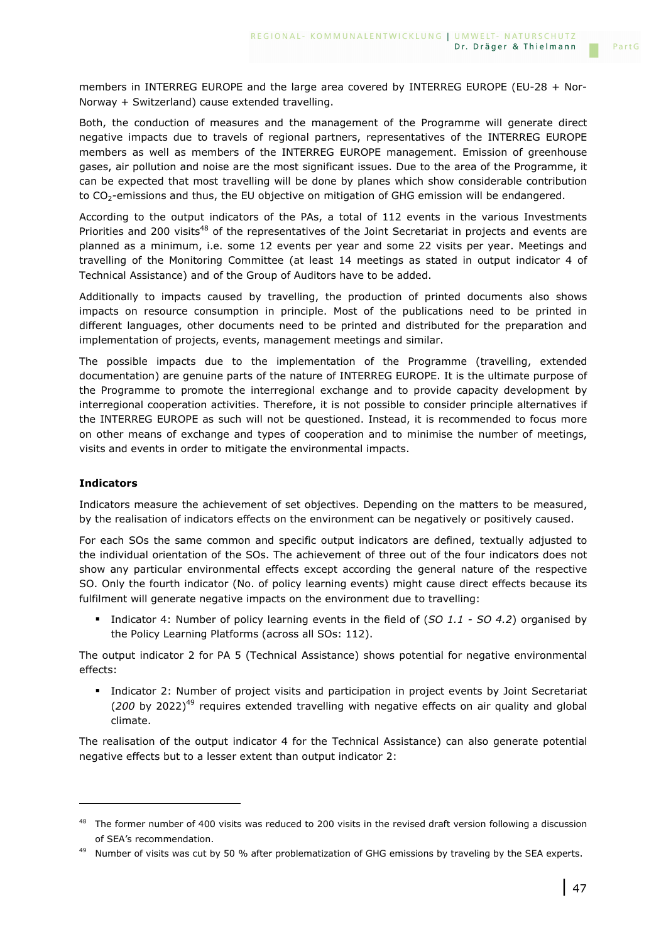members in INTERREG EUROPE and the large area covered by INTERREG EUROPE (EU-28 + Nor-Norway + Switzerland) cause extended travelling.

Both, the conduction of measures and the management of the Programme will generate direct negative impacts due to travels of regional partners, representatives of the INTERREG EUROPE members as well as members of the INTERREG EUROPE management. Emission of greenhouse gases, air pollution and noise are the most significant issues. Due to the area of the Programme, it can be expected that most travelling will be done by planes which show considerable contribution to CO<sub>2</sub>-emissions and thus, the EU objective on mitigation of GHG emission will be endangered.

According to the output indicators of the PAs, a total of 112 events in the various Investments Priorities and 200 visits<sup>48</sup> of the representatives of the Joint Secretariat in projects and events are planned as a minimum, i.e. some 12 events per year and some 22 visits per year. Meetings and travelling of the Monitoring Committee (at least 14 meetings as stated in output indicator 4 of Technical Assistance) and of the Group of Auditors have to be added.

Additionally to impacts caused by travelling, the production of printed documents also shows impacts on resource consumption in principle. Most of the publications need to be printed in different languages, other documents need to be printed and distributed for the preparation and implementation of projects, events, management meetings and similar.

The possible impacts due to the implementation of the Programme (travelling, extended documentation) are genuine parts of the nature of INTERREG EUROPE. It is the ultimate purpose of the Programme to promote the interregional exchange and to provide capacity development by interregional cooperation activities. Therefore, it is not possible to consider principle alternatives if the INTERREG EUROPE as such will not be questioned. Instead, it is recommended to focus more on other means of exchange and types of cooperation and to minimise the number of meetings, visits and events in order to mitigate the environmental impacts.

### **Indicators**

i<br>I

Indicators measure the achievement of set objectives. Depending on the matters to be measured, by the realisation of indicators effects on the environment can be negatively or positively caused.

For each SOs the same common and specific output indicators are defined, textually adjusted to the individual orientation of the SOs. The achievement of three out of the four indicators does not show any particular environmental effects except according the general nature of the respective SO. Only the fourth indicator (No. of policy learning events) might cause direct effects because its fulfilment will generate negative impacts on the environment due to travelling:

 Indicator 4: Number of policy learning events in the field of (*SO 1.1 - SO 4.2*) organised by the Policy Learning Platforms (across all SOs: 112).

The output indicator 2 for PA 5 (Technical Assistance) shows potential for negative environmental effects:

**Indicator 2: Number of project visits and participation in project events by Joint Secretariat** (200 by 2022)<sup>49</sup> requires extended travelling with negative effects on air quality and global climate.

The realisation of the output indicator 4 for the Technical Assistance) can also generate potential negative effects but to a lesser extent than output indicator 2:

PartG

<sup>&</sup>lt;sup>48</sup> The former number of 400 visits was reduced to 200 visits in the revised draft version following a discussion of SEA's recommendation.

 $49$  Number of visits was cut by 50 % after problematization of GHG emissions by traveling by the SEA experts.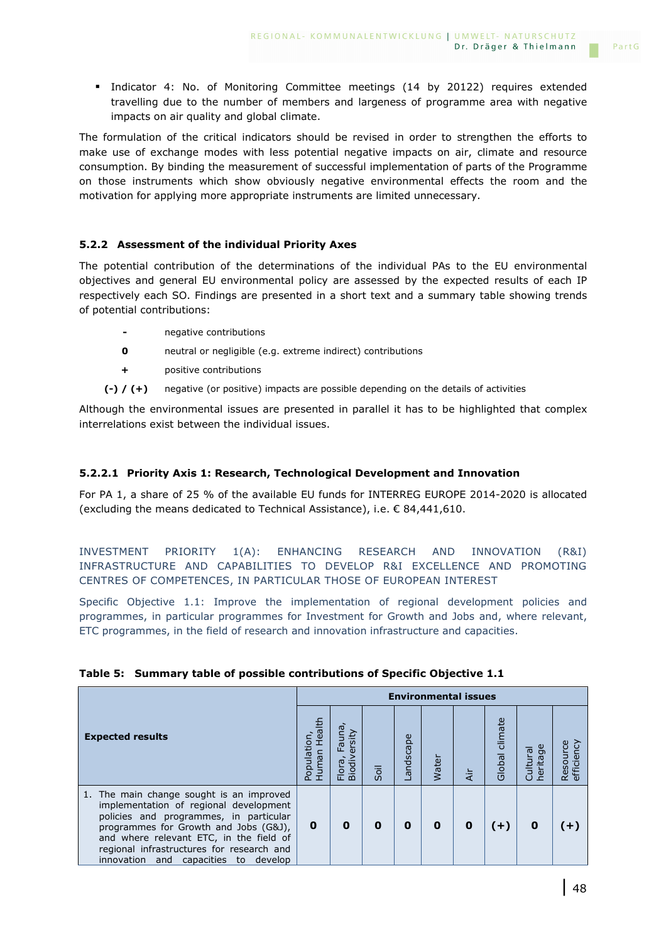Indicator 4: No. of Monitoring Committee meetings (14 by 20122) requires extended travelling due to the number of members and largeness of programme area with negative impacts on air quality and global climate.

The formulation of the critical indicators should be revised in order to strengthen the efforts to make use of exchange modes with less potential negative impacts on air, climate and resource consumption. By binding the measurement of successful implementation of parts of the Programme on those instruments which show obviously negative environmental effects the room and the motivation for applying more appropriate instruments are limited unnecessary.

## **5.2.2 Assessment of the individual Priority Axes**

The potential contribution of the determinations of the individual PAs to the EU environmental objectives and general EU environmental policy are assessed by the expected results of each IP respectively each SO. Findings are presented in a short text and a summary table showing trends of potential contributions:

- **-** negative contributions
- **0** neutral or negligible (e.g. extreme indirect) contributions
- **+** positive contributions
- **(-) / (+)** negative (or positive) impacts are possible depending on the details of activities

Although the environmental issues are presented in parallel it has to be highlighted that complex interrelations exist between the individual issues.

### **5.2.2.1 Priority Axis 1: Research, Technological Development and Innovation**

For PA 1, a share of 25 % of the available EU funds for INTERREG EUROPE 2014-2020 is allocated (excluding the means dedicated to Technical Assistance), i.e.  $\epsilon$  84,441,610.

INVESTMENT PRIORITY 1(A): ENHANCING RESEARCH AND INNOVATION (R&I) INFRASTRUCTURE AND CAPABILITIES TO DEVELOP R&I EXCELLENCE AND PROMOTING CENTRES OF COMPETENCES, IN PARTICULAR THOSE OF EUROPEAN INTEREST

Specific Objective 1.1: Improve the implementation of regional development policies and programmes, in particular programmes for Investment for Growth and Jobs and, where relevant, ETC programmes, in the field of research and innovation infrastructure and capacities.

| <b>Expected results</b>                                                                                                                                                                                                                                                                                  |   | <b>Environmental issues</b>                                 |      |           |              |   |                   |                                  |                                                 |
|----------------------------------------------------------------------------------------------------------------------------------------------------------------------------------------------------------------------------------------------------------------------------------------------------------|---|-------------------------------------------------------------|------|-----------|--------------|---|-------------------|----------------------------------|-------------------------------------------------|
|                                                                                                                                                                                                                                                                                                          |   | <b>Fauna</b><br>rsity<br>$\omega$<br><b>Biodiv</b><br>Flora | Soil | Landscape | <b>Water</b> | ä | climate<br>Global | Cultura<br>ᡡ<br>rita<br>$\omega$ | <b>Ticiency</b><br>Resou<br>$\overline{\omega}$ |
| 1. The main change sought is an improved<br>implementation of regional development<br>policies and programmes, in particular<br>programmes for Growth and Jobs (G&J),<br>and where relevant ETC, in the field of<br>regional infrastructures for research and<br>innovation and capacities<br>to develop | 0 | 0                                                           | 0    | 0         | 0            | 0 | $(+)$             | 0                                | Ð                                               |

### **Table 5: Summary table of possible contributions of Specific Objective 1.1**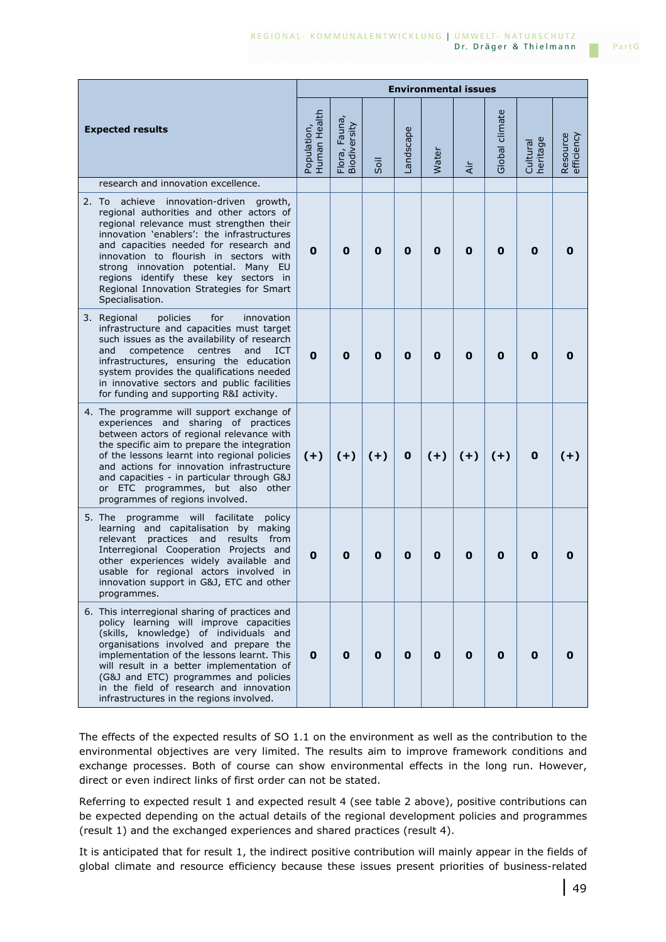|                                                                                                                                                                                                                                                                                                                                                                                                                      |                             | <b>Environmental issues</b>   |       |             |       |       |                |                      |                        |
|----------------------------------------------------------------------------------------------------------------------------------------------------------------------------------------------------------------------------------------------------------------------------------------------------------------------------------------------------------------------------------------------------------------------|-----------------------------|-------------------------------|-------|-------------|-------|-------|----------------|----------------------|------------------------|
| <b>Expected results</b>                                                                                                                                                                                                                                                                                                                                                                                              | Human Health<br>Population, | Flora, Fauna,<br>Biodiversity | Soil  | Landscape   | Water | Äίr   | Global climate | heritage<br>Cultural | Resource<br>efficiency |
| research and innovation excellence.                                                                                                                                                                                                                                                                                                                                                                                  |                             |                               |       |             |       |       |                |                      |                        |
| achieve innovation-driven growth,<br>2. To<br>regional authorities and other actors of<br>regional relevance must strengthen their<br>innovation 'enablers': the infrastructures<br>and capacities needed for research and<br>innovation to flourish in sectors with<br>strong innovation potential. Many EU<br>regions identify these key sectors in<br>Regional Innovation Strategies for Smart<br>Specialisation. | 0                           | 0                             | 0     | $\mathbf 0$ | 0     | 0     | 0              | 0                    |                        |
| for<br>3. Regional<br>policies<br>innovation<br>infrastructure and capacities must target<br>such issues as the availability of research<br>and<br>competence<br>centres<br>and<br><b>ICT</b><br>infrastructures, ensuring the education<br>system provides the qualifications needed<br>in innovative sectors and public facilities<br>for funding and supporting R&I activity.                                     | 0                           | 0                             | 0     | 0           | 0     | 0     | 0              | 0                    | O                      |
| 4. The programme will support exchange of<br>experiences and sharing of practices<br>between actors of regional relevance with<br>the specific aim to prepare the integration<br>of the lessons learnt into regional policies<br>and actions for innovation infrastructure<br>and capacities - in particular through G&J<br>or ETC programmes, but also other<br>programmes of regions involved.                     | $(+)$                       | $(+)$                         | $(+)$ | 0           | $(+)$ | $(+)$ | $(+)$          | 0                    | $(+)$                  |
| 5. The<br>programme will facilitate<br>policy<br>learning and capitalisation by making<br>practices<br>relevant<br>and<br>results<br>from<br>Interregional Cooperation Projects and<br>other experiences widely available and<br>usable for regional actors involved in<br>innovation support in G&J, ETC and other<br>programmes.                                                                                   | 0                           | 0                             | 0     | 0           | 0     | 0     | $\mathbf 0$    | 0                    |                        |
| 6. This interregional sharing of practices and<br>policy learning will improve capacities<br>(skills, knowledge) of individuals and<br>organisations involved and prepare the<br>implementation of the lessons learnt. This<br>will result in a better implementation of<br>(G&J and ETC) programmes and policies<br>in the field of research and innovation<br>infrastructures in the regions involved.             | 0                           | 0                             | 0     | $\mathbf 0$ | 0     | 0     | 0              | 0                    | o                      |

The effects of the expected results of SO 1.1 on the environment as well as the contribution to the environmental objectives are very limited. The results aim to improve framework conditions and exchange processes. Both of course can show environmental effects in the long run. However, direct or even indirect links of first order can not be stated.

Referring to expected result 1 and expected result 4 (see table 2 above), positive contributions can be expected depending on the actual details of the regional development policies and programmes (result 1) and the exchanged experiences and shared practices (result 4).

It is anticipated that for result 1, the indirect positive contribution will mainly appear in the fields of global climate and resource efficiency because these issues present priorities of business-related PartG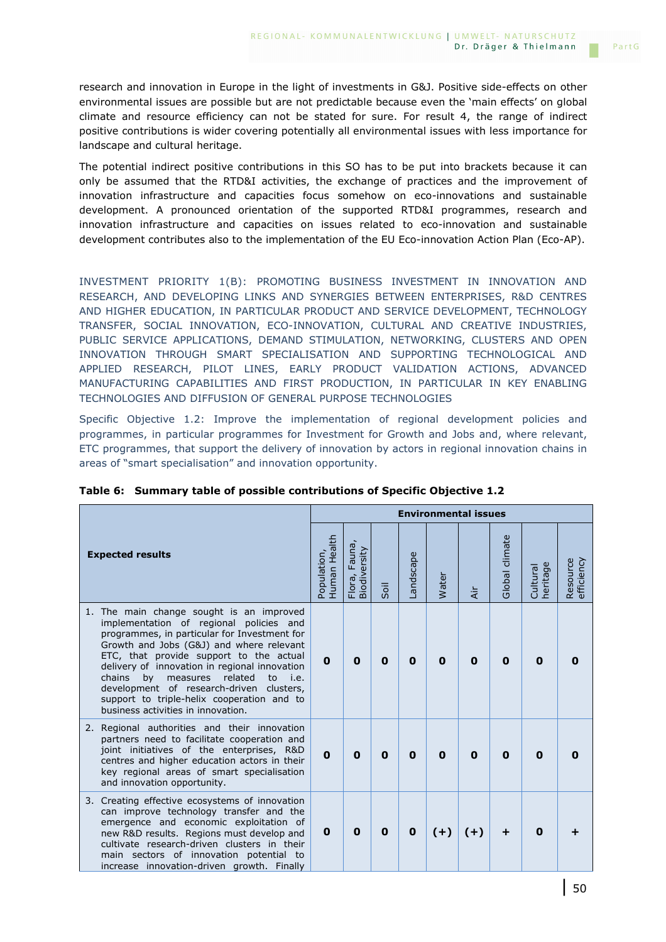research and innovation in Europe in the light of investments in G&J. Positive side-effects on other environmental issues are possible but are not predictable because even the 'main effects' on global climate and resource efficiency can not be stated for sure. For result 4, the range of indirect positive contributions is wider covering potentially all environmental issues with less importance for landscape and cultural heritage.

The potential indirect positive contributions in this SO has to be put into brackets because it can only be assumed that the RTD&I activities, the exchange of practices and the improvement of innovation infrastructure and capacities focus somehow on eco-innovations and sustainable development. A pronounced orientation of the supported RTD&I programmes, research and innovation infrastructure and capacities on issues related to eco-innovation and sustainable development contributes also to the implementation of the EU Eco-innovation Action Plan (Eco-AP).

INVESTMENT PRIORITY 1(B): PROMOTING BUSINESS INVESTMENT IN INNOVATION AND RESEARCH, AND DEVELOPING LINKS AND SYNERGIES BETWEEN ENTERPRISES, R&D CENTRES AND HIGHER EDUCATION, IN PARTICULAR PRODUCT AND SERVICE DEVELOPMENT, TECHNOLOGY TRANSFER, SOCIAL INNOVATION, ECO-INNOVATION, CULTURAL AND CREATIVE INDUSTRIES, PUBLIC SERVICE APPLICATIONS, DEMAND STIMULATION, NETWORKING, CLUSTERS AND OPEN INNOVATION THROUGH SMART SPECIALISATION AND SUPPORTING TECHNOLOGICAL AND APPLIED RESEARCH, PILOT LINES, EARLY PRODUCT VALIDATION ACTIONS, ADVANCED MANUFACTURING CAPABILITIES AND FIRST PRODUCTION, IN PARTICULAR IN KEY ENABLING TECHNOLOGIES AND DIFFUSION OF GENERAL PURPOSE TECHNOLOGIES

Specific Objective 1.2: Improve the implementation of regional development policies and programmes, in particular programmes for Investment for Growth and Jobs and, where relevant, ETC programmes, that support the delivery of innovation by actors in regional innovation chains in areas of "smart specialisation" and innovation opportunity.

|                                                                                                                                                                                                                                                                                                                                                                                                                                                                  |              |                                        |             |             |              | <b>Environmental issues</b> |                |                           |                        |
|------------------------------------------------------------------------------------------------------------------------------------------------------------------------------------------------------------------------------------------------------------------------------------------------------------------------------------------------------------------------------------------------------------------------------------------------------------------|--------------|----------------------------------------|-------------|-------------|--------------|-----------------------------|----------------|---------------------------|------------------------|
| <b>Expected results</b>                                                                                                                                                                                                                                                                                                                                                                                                                                          |              | Fauna,<br>Flora, Fauna<br>Biodiversity | Soil        | Landscape   | Water        | $\frac{1}{4}$               | Global climate | ge<br>Cultural<br>heritag | Resource<br>efficiency |
| 1. The main change sought is an improved<br>implementation of regional policies and<br>programmes, in particular for Investment for<br>Growth and Jobs (G&J) and where relevant<br>ETC, that provide support to the actual<br>delivery of innovation in regional innovation<br>chains<br>related<br>by<br>measures<br>to<br>i.e.<br>development of research-driven clusters,<br>support to triple-helix cooperation and to<br>business activities in innovation. | $\mathbf{0}$ | 0                                      | 0           | 0           | $\Omega$     | 0                           | 0              | O                         |                        |
| 2. Regional authorities and their innovation<br>partners need to facilitate cooperation and<br>joint initiatives of the enterprises, R&D<br>centres and higher education actors in their<br>key regional areas of smart specialisation<br>and innovation opportunity.                                                                                                                                                                                            | $\mathbf{0}$ | $\mathbf 0$                            | $\mathbf 0$ | $\mathbf 0$ | $\mathbf{0}$ | $\mathbf 0$                 | 0              | $\Omega$                  |                        |
| Creating effective ecosystems of innovation<br>3.<br>can improve technology transfer and the<br>emergence and economic exploitation of<br>new R&D results. Regions must develop and<br>cultivate research-driven clusters in their<br>main sectors of innovation potential to<br>increase innovation-driven growth. Finally                                                                                                                                      | $\mathbf 0$  | 0                                      | 0           | $\mathbf 0$ | $(+)$        | $(+)$                       | +              | O                         |                        |

|  |  |  |  | Table 6: Summary table of possible contributions of Specific Objective 1.2 |  |  |  |  |
|--|--|--|--|----------------------------------------------------------------------------|--|--|--|--|
|--|--|--|--|----------------------------------------------------------------------------|--|--|--|--|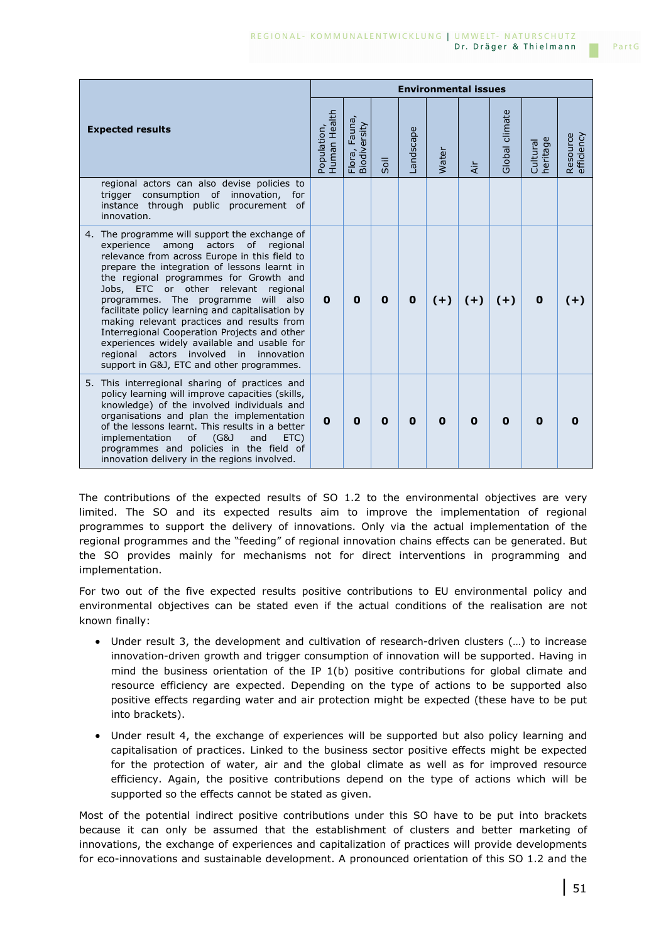|    |                                                                                                                                                                                                                                                                                                                                                                                                                                                                                                                                                                                                                    |                             |                                        |             |             | <b>Environmental issues</b> |                |                |                      |                        |
|----|--------------------------------------------------------------------------------------------------------------------------------------------------------------------------------------------------------------------------------------------------------------------------------------------------------------------------------------------------------------------------------------------------------------------------------------------------------------------------------------------------------------------------------------------------------------------------------------------------------------------|-----------------------------|----------------------------------------|-------------|-------------|-----------------------------|----------------|----------------|----------------------|------------------------|
|    | <b>Expected results</b>                                                                                                                                                                                                                                                                                                                                                                                                                                                                                                                                                                                            | Human Health<br>Population, | Fauna,<br>Flora, Fauna<br>Biodiversity | Soil        | Landscape   | Water                       | $\overline{4}$ | Global climate | heritage<br>Cultural | Resource<br>efficiency |
|    | regional actors can also devise policies to<br>trigger consumption of innovation, for<br>instance through public procurement of<br>innovation.                                                                                                                                                                                                                                                                                                                                                                                                                                                                     |                             |                                        |             |             |                             |                |                |                      |                        |
| 4. | The programme will support the exchange of<br>actors<br>of<br>regional<br>experience<br>among<br>relevance from across Europe in this field to<br>prepare the integration of lessons learnt in<br>the regional programmes for Growth and<br>Jobs, ETC or other relevant regional<br>programmes. The programme will also<br>facilitate policy learning and capitalisation by<br>making relevant practices and results from<br>Interregional Cooperation Projects and other<br>experiences widely available and usable for<br>regional actors involved in<br>innovation<br>support in G&J, ETC and other programmes. | $\mathbf{0}$                | $\mathbf 0$                            | $\mathbf 0$ | $\mathbf 0$ | $(+)$                       | $(+)$          | $(+)$          | $\mathbf 0$          | $(+)$                  |
|    | 5. This interregional sharing of practices and<br>policy learning will improve capacities (skills,<br>knowledge) of the involved individuals and<br>organisations and plan the implementation<br>of the lessons learnt. This results in a better<br>implementation<br>of<br>(G&J)<br>and<br>ETC)<br>programmes and policies in the field of<br>innovation delivery in the regions involved.                                                                                                                                                                                                                        | $\mathbf 0$                 | $\mathbf 0$                            | $\bf{0}$    | 0           | $\bf{0}$                    | 0              | 0              | $\mathbf{0}$         |                        |

The contributions of the expected results of SO 1.2 to the environmental objectives are very limited. The SO and its expected results aim to improve the implementation of regional programmes to support the delivery of innovations. Only via the actual implementation of the regional programmes and the "feeding" of regional innovation chains effects can be generated. But the SO provides mainly for mechanisms not for direct interventions in programming and implementation.

For two out of the five expected results positive contributions to EU environmental policy and environmental objectives can be stated even if the actual conditions of the realisation are not known finally:

- Under result 3, the development and cultivation of research-driven clusters (…) to increase innovation-driven growth and trigger consumption of innovation will be supported. Having in mind the business orientation of the IP  $1(b)$  positive contributions for global climate and resource efficiency are expected. Depending on the type of actions to be supported also positive effects regarding water and air protection might be expected (these have to be put into brackets).
- Under result 4, the exchange of experiences will be supported but also policy learning and capitalisation of practices. Linked to the business sector positive effects might be expected for the protection of water, air and the global climate as well as for improved resource efficiency. Again, the positive contributions depend on the type of actions which will be supported so the effects cannot be stated as given.

Most of the potential indirect positive contributions under this SO have to be put into brackets because it can only be assumed that the establishment of clusters and better marketing of innovations, the exchange of experiences and capitalization of practices will provide developments for eco-innovations and sustainable development. A pronounced orientation of this SO 1.2 and the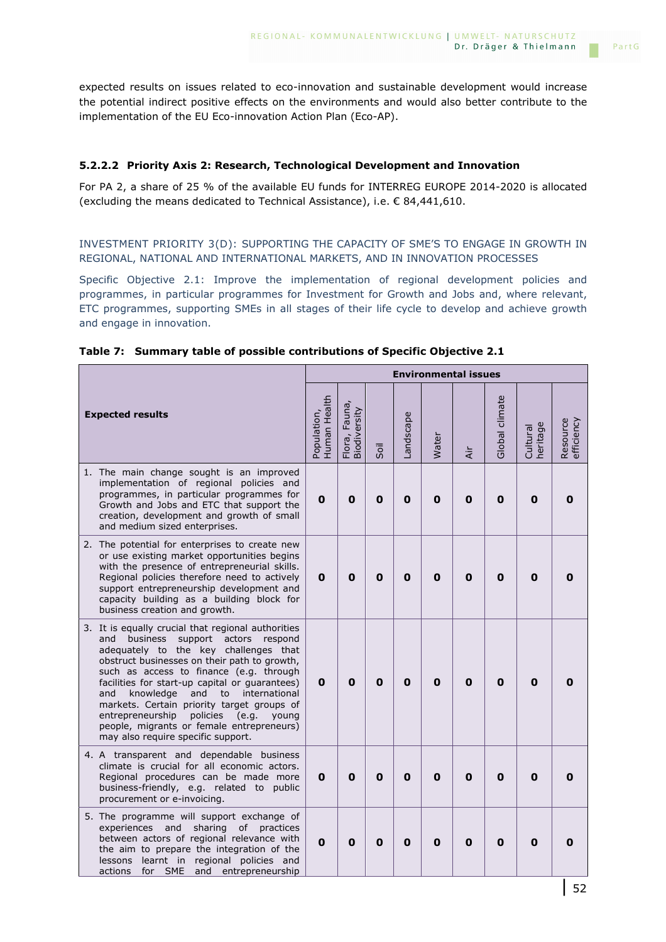expected results on issues related to eco-innovation and sustainable development would increase the potential indirect positive effects on the environments and would also better contribute to the implementation of the EU Eco-innovation Action Plan (Eco-AP).

## **5.2.2.2 Priority Axis 2: Research, Technological Development and Innovation**

For PA 2, a share of 25 % of the available EU funds for INTERREG EUROPE 2014-2020 is allocated (excluding the means dedicated to Technical Assistance), i.e. € 84,441,610.

INVESTMENT PRIORITY 3(D): SUPPORTING THE CAPACITY OF SME'S TO ENGAGE IN GROWTH IN REGIONAL, NATIONAL AND INTERNATIONAL MARKETS, AND IN INNOVATION PROCESSES

Specific Objective 2.1: Improve the implementation of regional development policies and programmes, in particular programmes for Investment for Growth and Jobs and, where relevant, ETC programmes, supporting SMEs in all stages of their life cycle to develop and achieve growth and engage in innovation.

|                                                                                                                                                                                                                                                                                                                                                                                                                                                                                                                                      |                             |                               |      |             |              | <b>Environmental issues</b> |                |                      |                        |
|--------------------------------------------------------------------------------------------------------------------------------------------------------------------------------------------------------------------------------------------------------------------------------------------------------------------------------------------------------------------------------------------------------------------------------------------------------------------------------------------------------------------------------------|-----------------------------|-------------------------------|------|-------------|--------------|-----------------------------|----------------|----------------------|------------------------|
| <b>Expected results</b>                                                                                                                                                                                                                                                                                                                                                                                                                                                                                                              | Human Health<br>Population, | Flora, Fauna,<br>Biodiversity | Soil | Landscape   | Water        | <b>Air</b>                  | Global climate | heritage<br>Cultural | Resource<br>efficiency |
| 1. The main change sought is an improved<br>implementation of regional policies and<br>programmes, in particular programmes for<br>Growth and Jobs and ETC that support the<br>creation, development and growth of small<br>and medium sized enterprises.                                                                                                                                                                                                                                                                            | $\mathbf 0$                 | 0                             | O    | $\mathbf 0$ | O            | $\mathbf 0$                 | $\mathbf 0$    | $\mathbf 0$          | 0                      |
| 2. The potential for enterprises to create new<br>or use existing market opportunities begins<br>with the presence of entrepreneurial skills.<br>Regional policies therefore need to actively<br>support entrepreneurship development and<br>capacity building as a building block for<br>business creation and growth.                                                                                                                                                                                                              | 0                           | 0                             | 0    | $\mathbf 0$ | $\mathbf 0$  | O                           | $\mathbf 0$    | $\mathbf 0$          | Ω                      |
| 3. It is equally crucial that regional authorities<br><b>business</b><br>support actors<br>and<br>respond<br>adequately to the key challenges that<br>obstruct businesses on their path to growth,<br>such as access to finance (e.g. through<br>facilities for start-up capital or quarantees)<br>international<br>and<br>knowledge<br>and<br>to<br>markets. Certain priority target groups of<br>entrepreneurship<br>policies<br>e.g.)<br>young<br>people, migrants or female entrepreneurs)<br>may also require specific support. | $\mathbf{0}$                | 0                             | 0    | O           | $\mathbf{0}$ | 0                           | $\mathbf 0$    | O                    | Ω                      |
| 4. A transparent and dependable business<br>climate is crucial for all economic actors.<br>Regional procedures can be made more<br>business-friendly, e.g. related to public<br>procurement or e-invoicing.                                                                                                                                                                                                                                                                                                                          | 0                           | 0                             | 0    | 0           | 0            | O                           | 0              | 0                    | 0                      |
| 5. The programme will support exchange of<br>sharing<br>of<br>experiences<br>and<br>practices<br>between actors of regional relevance with<br>the aim to prepare the integration of the<br>learnt in regional policies and<br><i>lessons</i><br>and entrepreneurship<br>actions for SME                                                                                                                                                                                                                                              | $\mathbf{0}$                | 0                             | 0    | 0           | 0            | 0                           | 0              | 0                    | Ω                      |

**Table 7: Summary table of possible contributions of Specific Objective 2.1**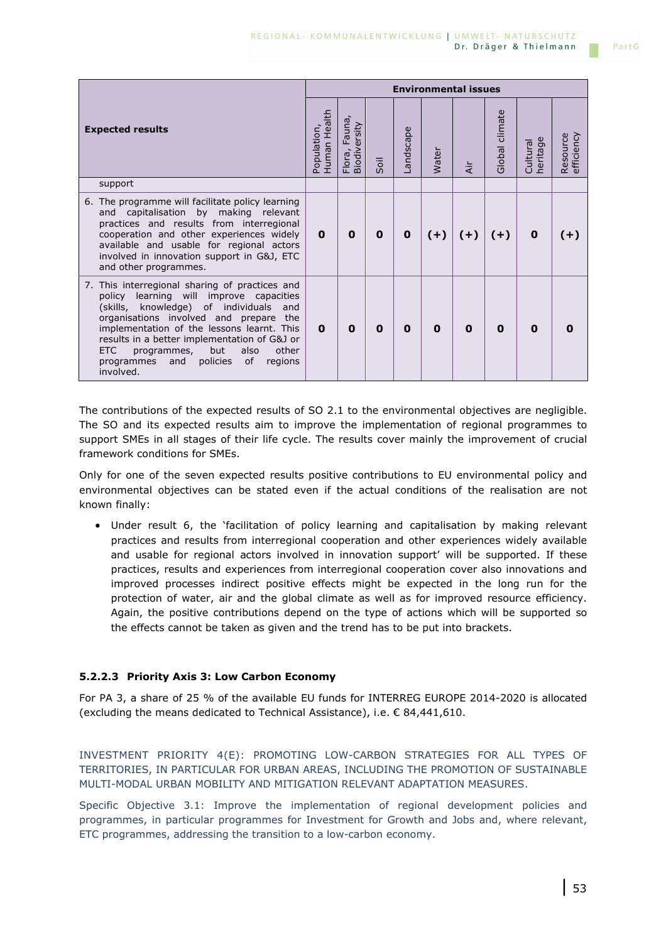|                                                                                                                                                                                                                                                                                                                                                                                                          |                             |                                  |      |           | <b>Environmental issues</b> |             |                |                               |                        |
|----------------------------------------------------------------------------------------------------------------------------------------------------------------------------------------------------------------------------------------------------------------------------------------------------------------------------------------------------------------------------------------------------------|-----------------------------|----------------------------------|------|-----------|-----------------------------|-------------|----------------|-------------------------------|------------------------|
| <b>Expected results</b>                                                                                                                                                                                                                                                                                                                                                                                  | Human Health<br>Population, | Fauna,<br>Biodiversity<br>Flora, | Soil | Landscape | Water                       | έř          | Global climate | ω<br>Cultural<br>ּס<br>herita | Resource<br>efficiency |
| support                                                                                                                                                                                                                                                                                                                                                                                                  |                             |                                  |      |           |                             |             |                |                               |                        |
| 6. The programme will facilitate policy learning<br>and capitalisation by making relevant<br>practices and results from interregional<br>cooperation and other experiences widely<br>available and usable for regional actors<br>involved in innovation support in G&J, ETC<br>and other programmes.                                                                                                     | $\mathbf{0}$                | 0                                | 0    | 0         | $(+)$                       | $(+)$       | $(+)$          | $\mathbf 0$                   | $(+)$                  |
| 7. This interregional sharing of practices and<br>learning will improve capacities<br>policy<br>(skills, knowledge) of individuals<br>and<br>organisations involved and prepare<br>the<br>implementation of the lessons learnt. This<br>results in a better implementation of G&J or<br>but<br><b>ETC</b><br>also<br>other<br>programmes,<br>of<br>and<br>policies<br>programmes<br>regions<br>involved. | $\mathbf{0}$                | 0                                | 0    | 0         | $\mathbf 0$                 | $\mathbf 0$ | 0              | $\Omega$                      |                        |

The contributions of the expected results of SO 2.1 to the environmental objectives are negligible. The SO and its expected results aim to improve the implementation of regional programmes to support SMEs in all stages of their life cycle. The results cover mainly the improvement of crucial framework conditions for SMEs.

Only for one of the seven expected results positive contributions to EU environmental policy and environmental objectives can be stated even if the actual conditions of the realisation are not known finally:

• Under result 6, the 'facilitation of policy learning and capitalisation by making relevant practices and results from interregional cooperation and other experiences widely available and usable for regional actors involved in innovation support' will be supported. If these practices, results and experiences from interregional cooperation cover also innovations and improved processes indirect positive effects might be expected in the long run for the protection of water, air and the global climate as well as for improved resource efficiency. Again, the positive contributions depend on the type of actions which will be supported so the effects cannot be taken as given and the trend has to be put into brackets.

## **5.2.2.3 Priority Axis 3: Low Carbon Economy**

For PA 3, a share of 25 % of the available EU funds for INTERREG EUROPE 2014-2020 is allocated (excluding the means dedicated to Technical Assistance), i.e. € 84,441,610.

INVESTMENT PRIORITY 4(E): PROMOTING LOW-CARBON STRATEGIES FOR ALL TYPES OF TERRITORIES, IN PARTICULAR FOR URBAN AREAS, INCLUDING THE PROMOTION OF SUSTAINABLE MULTI-MODAL URBAN MOBILITY AND MITIGATION RELEVANT ADAPTATION MEASURES.

Specific Objective 3.1: Improve the implementation of regional development policies and programmes, in particular programmes for Investment for Growth and Jobs and, where relevant, ETC programmes, addressing the transition to a low-carbon economy.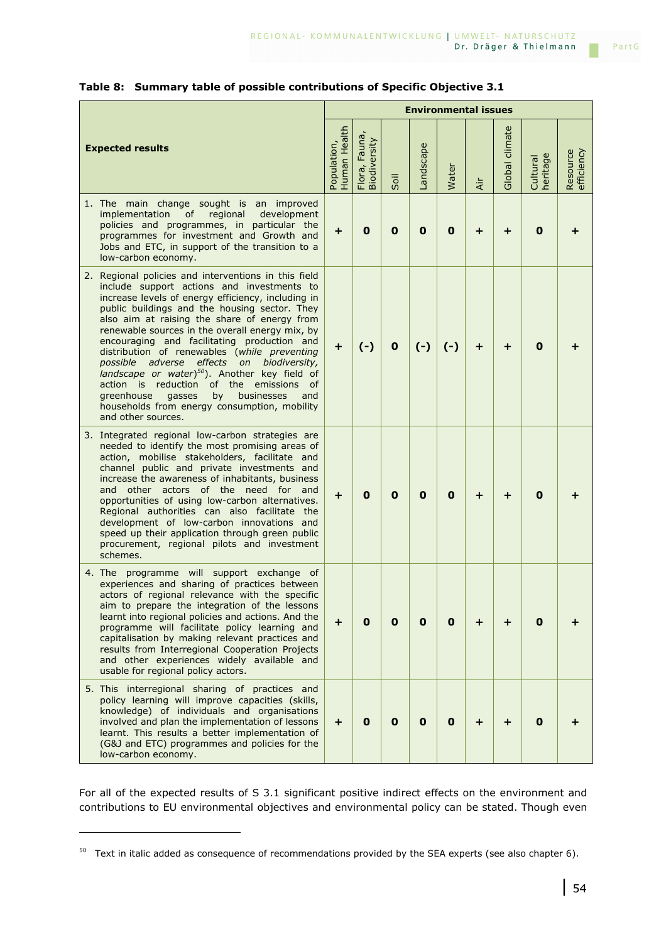|                                                                                                                                                                                                                                                                                                                                                                                                                                                                                                                                                                                                                                                                                        | <b>Environmental issues</b> |                               |             |             |             |           |                |                      |                        |
|----------------------------------------------------------------------------------------------------------------------------------------------------------------------------------------------------------------------------------------------------------------------------------------------------------------------------------------------------------------------------------------------------------------------------------------------------------------------------------------------------------------------------------------------------------------------------------------------------------------------------------------------------------------------------------------|-----------------------------|-------------------------------|-------------|-------------|-------------|-----------|----------------|----------------------|------------------------|
| <b>Expected results</b>                                                                                                                                                                                                                                                                                                                                                                                                                                                                                                                                                                                                                                                                | Human Health<br>Population, | Flora, Fauna,<br>Biodiversity | Soil        | Landscape   | Water       | Air       | Global climate | heritage<br>Cultural | Resource<br>efficiency |
| The main change sought is an improved<br>1.<br>implementation<br>of<br>regional<br>development<br>policies and programmes, in particular the<br>programmes for investment and Growth and<br>Jobs and ETC, in support of the transition to a<br>low-carbon economy.                                                                                                                                                                                                                                                                                                                                                                                                                     | $\ddot{}$                   | 0                             | $\mathbf 0$ | $\bf{0}$    | $\mathbf 0$ | +         | +              | 0                    |                        |
| 2. Regional policies and interventions in this field<br>include support actions and investments to<br>increase levels of energy efficiency, including in<br>public buildings and the housing sector. They<br>also aim at raising the share of energy from<br>renewable sources in the overall energy mix, by<br>encouraging and facilitating production and<br>distribution of renewables (while preventing<br>possible adverse effects<br>on biodiversity,<br>landscape or water) $50$ ). Another key field of<br>action is reduction of the emissions<br>of<br>greenhouse<br>gasses<br>by<br>businesses<br>and<br>households from energy consumption, mobility<br>and other sources. | $\ddot{}$                   | $(-)$                         | $\mathbf 0$ | $(-)$       | $(-)$       | $\ddot{}$ | ÷              | 0                    |                        |
| 3. Integrated regional low-carbon strategies are<br>needed to identify the most promising areas of<br>action, mobilise stakeholders, facilitate and<br>channel public and private investments and<br>increase the awareness of inhabitants, business<br>and other actors of the need for and<br>opportunities of using low-carbon alternatives.<br>Regional authorities can also facilitate the<br>development of low-carbon innovations and<br>speed up their application through green public<br>procurement, regional pilots and investment<br>schemes.                                                                                                                             | $\ddot{}$                   | 0                             | $\mathbf 0$ | $\mathbf 0$ | $\mathbf 0$ | $\ddot{}$ | ÷              | 0                    |                        |
| 4. The programme will support exchange of<br>experiences and sharing of practices between<br>actors of regional relevance with the specific<br>aim to prepare the integration of the lessons<br>learnt into regional policies and actions. And the<br>programme will facilitate policy learning and<br>capitalisation by making relevant practices and<br>results from Interregional Cooperation Projects<br>and other experiences widely available and<br>usable for regional policy actors.                                                                                                                                                                                          | $\ddot{}$                   | $\mathbf 0$                   | $\mathbf 0$ | $\mathbf 0$ | $\mathbf 0$ | $\ddot{}$ | $\ddot{}$      | 0                    |                        |
| 5. This interregional sharing of practices and<br>policy learning will improve capacities (skills,<br>knowledge) of individuals and organisations<br>involved and plan the implementation of lessons<br>learnt. This results a better implementation of<br>(G&J and ETC) programmes and policies for the<br>low-carbon economy.                                                                                                                                                                                                                                                                                                                                                        | $\pm$                       | $\mathbf 0$                   | $\mathbf 0$ | $\mathbf 0$ | $\mathbf 0$ | +         | ÷              | 0                    |                        |

### **Table 8: Summary table of possible contributions of Specific Objective 3.1**

For all of the expected results of S 3.1 significant positive indirect effects on the environment and contributions to EU environmental objectives and environmental policy can be stated. Though even

i<br>I

m.

 $50$  Text in italic added as consequence of recommendations provided by the SEA experts (see also chapter 6).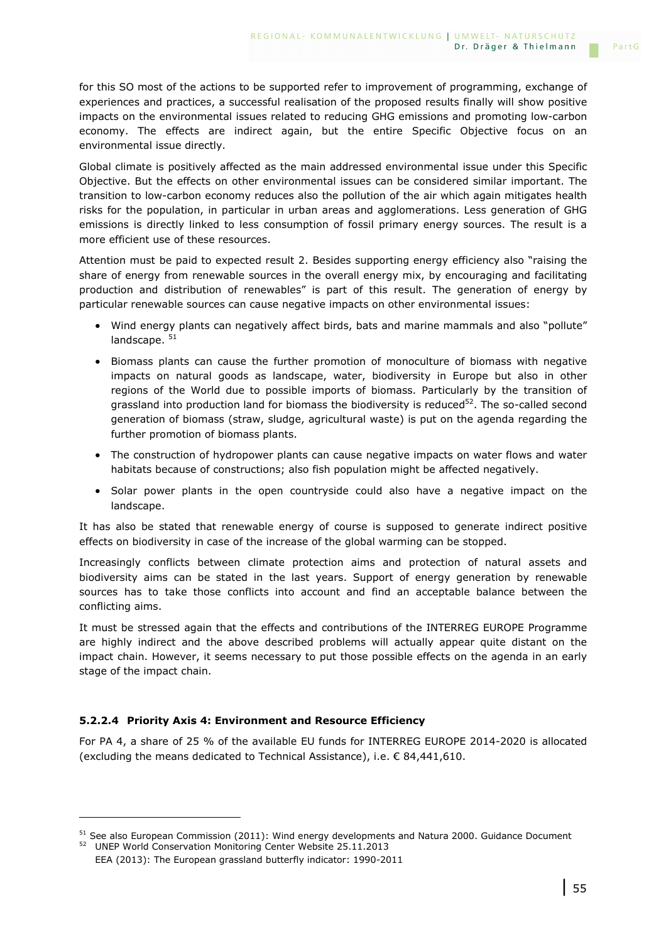for this SO most of the actions to be supported refer to improvement of programming, exchange of experiences and practices, a successful realisation of the proposed results finally will show positive impacts on the environmental issues related to reducing GHG emissions and promoting low-carbon economy. The effects are indirect again, but the entire Specific Objective focus on an environmental issue directly.

Global climate is positively affected as the main addressed environmental issue under this Specific Objective. But the effects on other environmental issues can be considered similar important. The transition to low-carbon economy reduces also the pollution of the air which again mitigates health risks for the population, in particular in urban areas and agglomerations. Less generation of GHG emissions is directly linked to less consumption of fossil primary energy sources. The result is a more efficient use of these resources.

Attention must be paid to expected result 2. Besides supporting energy efficiency also "raising the share of energy from renewable sources in the overall energy mix, by encouraging and facilitating production and distribution of renewables" is part of this result. The generation of energy by particular renewable sources can cause negative impacts on other environmental issues:

- Wind energy plants can negatively affect birds, bats and marine mammals and also "pollute" landscape.<sup>51</sup>
- Biomass plants can cause the further promotion of monoculture of biomass with negative impacts on natural goods as landscape, water, biodiversity in Europe but also in other regions of the World due to possible imports of biomass. Particularly by the transition of grassland into production land for biomass the biodiversity is reduced $52$ . The so-called second generation of biomass (straw, sludge, agricultural waste) is put on the agenda regarding the further promotion of biomass plants.
- The construction of hydropower plants can cause negative impacts on water flows and water habitats because of constructions; also fish population might be affected negatively.
- Solar power plants in the open countryside could also have a negative impact on the landscape.

It has also be stated that renewable energy of course is supposed to generate indirect positive effects on biodiversity in case of the increase of the global warming can be stopped.

Increasingly conflicts between climate protection aims and protection of natural assets and biodiversity aims can be stated in the last years. Support of energy generation by renewable sources has to take those conflicts into account and find an acceptable balance between the conflicting aims.

It must be stressed again that the effects and contributions of the INTERREG EUROPE Programme are highly indirect and the above described problems will actually appear quite distant on the impact chain. However, it seems necessary to put those possible effects on the agenda in an early stage of the impact chain.

## **5.2.2.4 Priority Axis 4: Environment and Resource Efficiency**

For PA 4, a share of 25 % of the available EU funds for INTERREG EUROPE 2014-2020 is allocated (excluding the means dedicated to Technical Assistance), i.e.  $\epsilon$  84,441,610.

i<br>I

PartG

<sup>&</sup>lt;sup>51</sup> See also European Commission (2011): Wind energy developments and Natura 2000. Guidance Document

<sup>52</sup> UNEP World Conservation Monitoring Center Website 25.11.2013 EEA (2013): The European grassland butterfly indicator: 1990-2011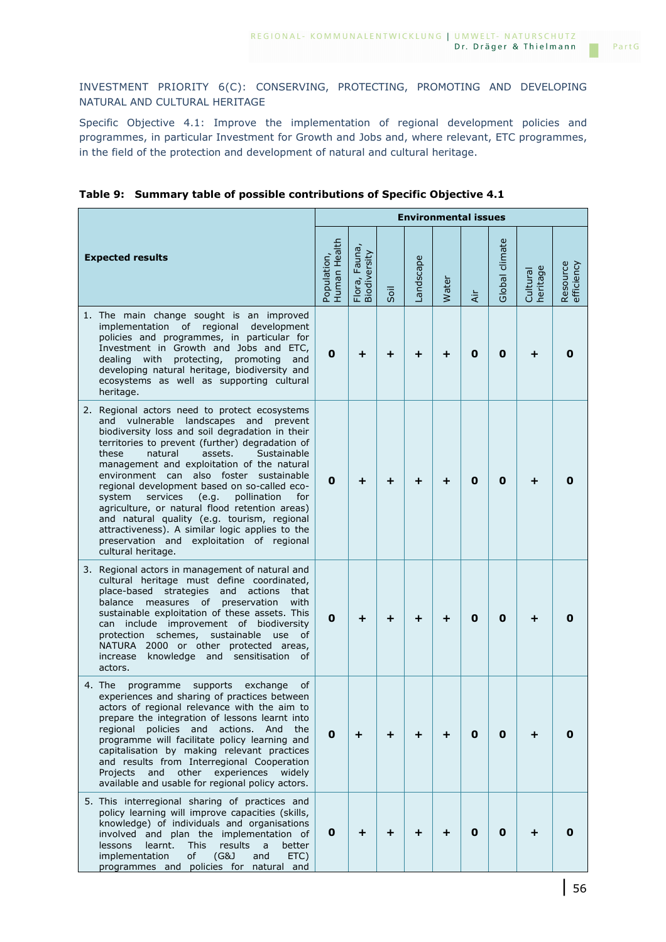INVESTMENT PRIORITY 6(C): CONSERVING, PROTECTING, PROMOTING AND DEVELOPING NATURAL AND CULTURAL HERITAGE

Specific Objective 4.1: Improve the implementation of regional development policies and programmes, in particular Investment for Growth and Jobs and, where relevant, ETC programmes, in the field of the protection and development of natural and cultural heritage.

|                                                                                                                                                                                                                                                                                                                                                                                                                                                                                                                                                                                                                                                                   |                             |                                        |      | <b>Environmental issues</b> |       |             |                |                      |                        |
|-------------------------------------------------------------------------------------------------------------------------------------------------------------------------------------------------------------------------------------------------------------------------------------------------------------------------------------------------------------------------------------------------------------------------------------------------------------------------------------------------------------------------------------------------------------------------------------------------------------------------------------------------------------------|-----------------------------|----------------------------------------|------|-----------------------------|-------|-------------|----------------|----------------------|------------------------|
| <b>Expected results</b>                                                                                                                                                                                                                                                                                                                                                                                                                                                                                                                                                                                                                                           | Human Health<br>Population, | Fauna,<br>Flora, Fauna<br>Biodiversity | Soil | andscape                    | Water | Air         | Global climate | heritage<br>Cultural | Resource<br>efficiency |
| 1. The main change sought is an improved<br>implementation of regional<br>development<br>policies and programmes, in particular for<br>Investment in Growth and Jobs and ETC,<br>with protecting,<br>promoting<br>dealing<br>and<br>developing natural heritage, biodiversity and<br>ecosystems as well as supporting cultural<br>heritage.                                                                                                                                                                                                                                                                                                                       | 0                           | $\ddot{}$                              | +    | ┿                           | +     | $\mathbf 0$ | $\mathbf 0$    |                      |                        |
| 2. Regional actors need to protect ecosystems<br>and vulnerable landscapes and<br>prevent<br>biodiversity loss and soil degradation in their<br>territories to prevent (further) degradation of<br>these<br>natural<br>assets.<br>Sustainable<br>management and exploitation of the natural<br>environment can also foster sustainable<br>regional development based on so-called eco-<br>system<br>services<br>e.g.<br>pollination<br>for<br>agriculture, or natural flood retention areas)<br>and natural quality (e.g. tourism, regional<br>attractiveness). A similar logic applies to the<br>preservation and exploitation of regional<br>cultural heritage. | 0                           | $\div$                                 | +    |                             | +     | 0           | 0              |                      |                        |
| 3. Regional actors in management of natural and<br>cultural heritage must define coordinated,<br>and actions<br>place-based strategies<br>that<br>balance<br>measures of<br>preservation<br>with<br>sustainable exploitation of these assets. This<br>can include improvement of biodiversity<br>protection schemes, sustainable<br>use<br>οf<br>NATURA 2000 or other protected areas,<br>knowledge and sensitisation<br>increase<br>οf<br>actors.                                                                                                                                                                                                                | 0                           | $\div$                                 | ٠    | ┿                           | +     | $\mathbf 0$ | 0              |                      |                        |
| 4. The<br>programme<br>supports<br>exchange<br>of<br>experiences and sharing of practices between<br>actors of regional relevance with the aim to<br>prepare the integration of lessons learnt into<br>regional<br>policies and<br>actions.<br>And<br>the<br>programme will facilitate policy learning and<br>capitalisation by making relevant practices<br>and results from Interregional Cooperation<br>other<br>experiences<br>Projects<br>and<br>widely<br>available and usable for regional policy actors.                                                                                                                                                  | 0                           | ÷                                      | ÷    | ٠                           | +     | 0           | 0              |                      | n                      |
| 5. This interregional sharing of practices and<br>policy learning will improve capacities (skills,<br>knowledge) of individuals and organisations<br>involved and plan the implementation of<br><b>This</b><br>results<br>lessons<br>learnt.<br>a<br>better<br>implementation<br>(G&J)<br>of<br>and<br>ETC)<br>programmes and policies for natural and                                                                                                                                                                                                                                                                                                            | 0                           | $\ddot{}$                              | +    | +                           | +     | 0           | 0              |                      |                        |

### **Table 9: Summary table of possible contributions of Specific Objective 4.1**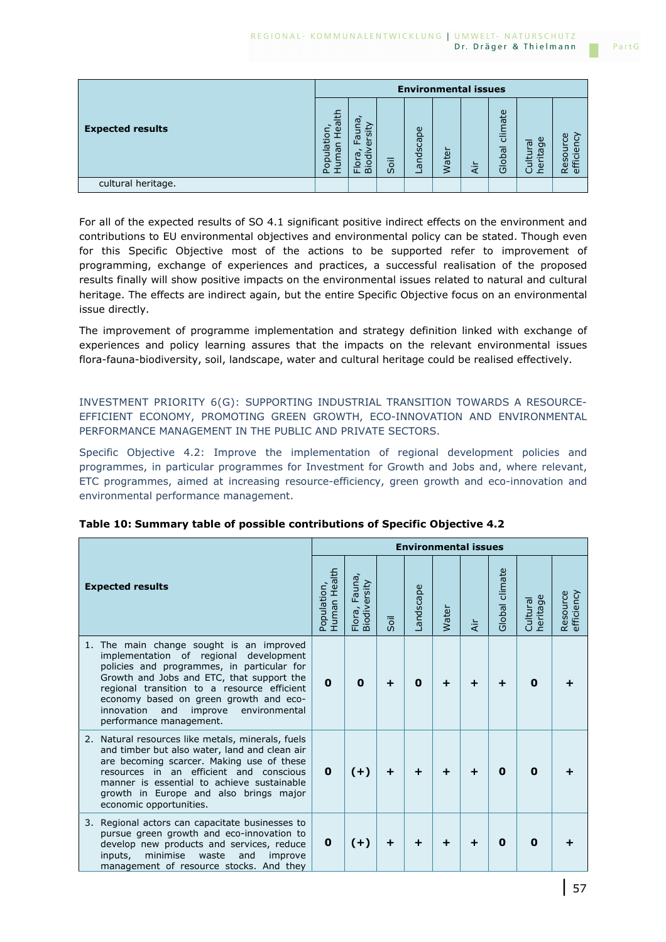|                         |                                                             |                                                                                                        |      | <b>Environmental issues</b> |       |    |                   |                                                                                    |                      |
|-------------------------|-------------------------------------------------------------|--------------------------------------------------------------------------------------------------------|------|-----------------------------|-------|----|-------------------|------------------------------------------------------------------------------------|----------------------|
| <b>Expected results</b> | ealth<br>$\overline{\mathsf{C}}$<br>opulat<br>nan<br>⋾<br>n | $\omega$<br>$\overline{u}$<br>ത<br>ш<br>Œ<br>w<br>ਹ<br><u>ୁ</u><br>$\circ$<br>$\Omega$<br>$\mathbf{H}$ | Soil | andscape<br>-               | Water | दं | climate<br>Global | $\omega$<br>$\overline{\sigma}$<br>$\sigma$<br>ica<br><br>言<br>ē<br>$\blacksquare$ | ပ္ပ<br>(I)<br>с<br>ഗ |
| cultural heritage.      |                                                             |                                                                                                        |      |                             |       |    |                   |                                                                                    |                      |

For all of the expected results of SO 4.1 significant positive indirect effects on the environment and contributions to EU environmental objectives and environmental policy can be stated. Though even for this Specific Objective most of the actions to be supported refer to improvement of programming, exchange of experiences and practices, a successful realisation of the proposed results finally will show positive impacts on the environmental issues related to natural and cultural heritage. The effects are indirect again, but the entire Specific Objective focus on an environmental issue directly.

The improvement of programme implementation and strategy definition linked with exchange of experiences and policy learning assures that the impacts on the relevant environmental issues flora-fauna-biodiversity, soil, landscape, water and cultural heritage could be realised effectively.

INVESTMENT PRIORITY 6(G): SUPPORTING INDUSTRIAL TRANSITION TOWARDS A RESOURCE-EFFICIENT ECONOMY, PROMOTING GREEN GROWTH, ECO-INNOVATION AND ENVIRONMENTAL PERFORMANCE MANAGEMENT IN THE PUBLIC AND PRIVATE SECTORS.

Specific Objective 4.2: Improve the implementation of regional development policies and programmes, in particular programmes for Investment for Growth and Jobs and, where relevant, ETC programmes, aimed at increasing resource-efficiency, green growth and eco-innovation and environmental performance management.

|                                                                                                                                                                                                                                                                                                                                                       |                             | <b>Environmental issues</b>            |      |          |       |        |                |                                 |                        |  |  |
|-------------------------------------------------------------------------------------------------------------------------------------------------------------------------------------------------------------------------------------------------------------------------------------------------------------------------------------------------------|-----------------------------|----------------------------------------|------|----------|-------|--------|----------------|---------------------------------|------------------------|--|--|
| <b>Expected results</b>                                                                                                                                                                                                                                                                                                                               | Population,<br>Human Health | Fauna,<br>Flora, Fauna<br>Biodiversity | Soil | andscape | Water | Αir    | Global climate | $\omega$<br>Cultural<br>heritag | Resource<br>efficiency |  |  |
| The main change sought is an improved<br>1.<br>implementation of regional development<br>policies and programmes, in particular for<br>Growth and Jobs and ETC, that support the<br>regional transition to a resource efficient<br>economy based on green growth and eco-<br>innovation<br>and<br>improve<br>environmental<br>performance management. | $\mathbf{0}$                | $\bf{0}$                               | ÷    | 0        | ÷     | ÷      | ÷              | O                               |                        |  |  |
| 2. Natural resources like metals, minerals, fuels<br>and timber but also water, land and clean air<br>are becoming scarcer. Making use of these<br>resources in an efficient and conscious<br>manner is essential to achieve sustainable<br>growth in Europe and also brings major<br>economic opportunities.                                         | $\mathbf{0}$                | $(+)$                                  | ÷    | ÷        | ÷     | ٠      | 0              | O                               |                        |  |  |
| 3. Regional actors can capacitate businesses to<br>pursue green growth and eco-innovation to<br>develop new products and services, reduce<br>minimise<br>inputs,<br>waste<br>and<br>improve<br>management of resource stocks. And they                                                                                                                | 0                           | $(+)$                                  | ÷    | ÷        | ÷     | $\div$ | 0              | 0                               |                        |  |  |

### **Table 10: Summary table of possible contributions of Specific Objective 4.2**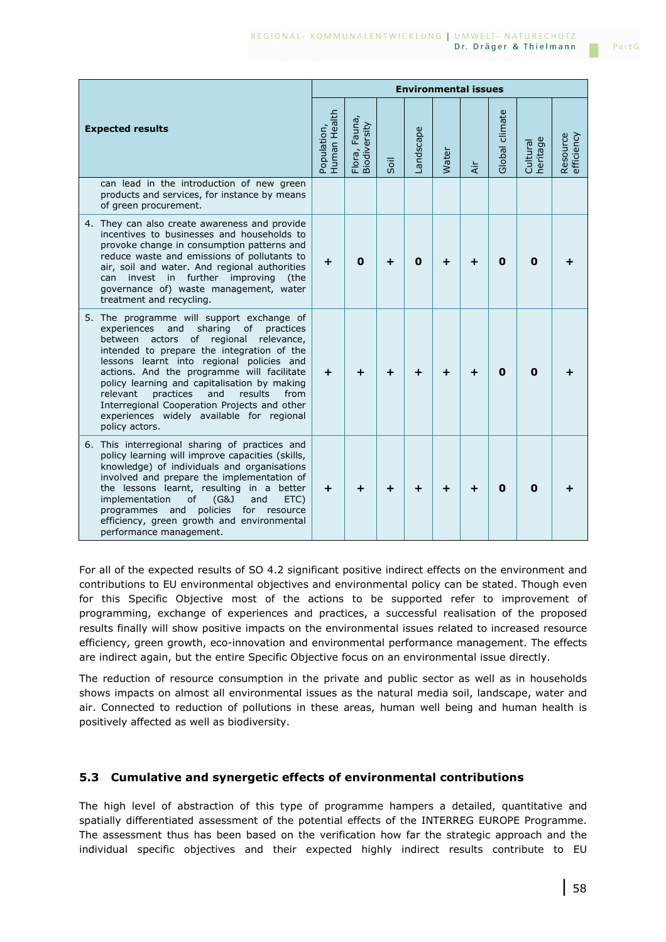|                                                                                                                                                                                                                                                                                                                                                                                                                                                                                                            |                             | <b>Environmental issues</b>   |      |             |       |               |                |                      |                        |  |  |
|------------------------------------------------------------------------------------------------------------------------------------------------------------------------------------------------------------------------------------------------------------------------------------------------------------------------------------------------------------------------------------------------------------------------------------------------------------------------------------------------------------|-----------------------------|-------------------------------|------|-------------|-------|---------------|----------------|----------------------|------------------------|--|--|
| <b>Expected results</b>                                                                                                                                                                                                                                                                                                                                                                                                                                                                                    | Human Health<br>Population, | Flora, Fauna,<br>Biodiversity | Soil | andscape    | Water | $\frac{1}{4}$ | Global climate | heritage<br>Cultural | Resource<br>efficiency |  |  |
| can lead in the introduction of new green<br>products and services, for instance by means<br>of green procurement.                                                                                                                                                                                                                                                                                                                                                                                         |                             |                               |      |             |       |               |                |                      |                        |  |  |
| 4. They can also create awareness and provide<br>incentives to businesses and households to<br>provoke change in consumption patterns and<br>reduce waste and emissions of pollutants to<br>air, soil and water. And regional authorities<br>invest in further improving<br>(the<br>can<br>governance of) waste management, water<br>treatment and recycling.                                                                                                                                              | ÷                           | 0                             | +    | $\mathbf 0$ | +     |               | O              | 0                    |                        |  |  |
| 5. The programme will support exchange of<br>experiences<br>sharing<br>of<br>practices<br>and<br>actors<br>of regional<br>relevance,<br>between<br>intended to prepare the integration of the<br>lessons learnt into regional policies and<br>actions. And the programme will facilitate<br>policy learning and capitalisation by making<br>practices<br>relevant<br>and<br>results<br>from<br>Interregional Cooperation Projects and other<br>experiences widely available for regional<br>policy actors. | ÷                           | ┿                             | +    | ┿           | ÷     | +             | $\mathbf 0$    | 0                    |                        |  |  |
| 6. This interregional sharing of practices and<br>policy learning will improve capacities (skills,<br>knowledge) of individuals and organisations<br>involved and prepare the implementation of<br>the lessons learnt, resulting in a better<br>of<br>implementation<br>(G&J)<br>and<br>ETC)<br>policies<br>programmes<br>and<br>for<br>resource<br>efficiency, green growth and environmental<br>performance management.                                                                                  | ÷                           | ┿                             | +    | ┿           | +     | +             | O              | O                    |                        |  |  |

For all of the expected results of SO 4.2 significant positive indirect effects on the environment and contributions to EU environmental objectives and environmental policy can be stated. Though even for this Specific Objective most of the actions to be supported refer to improvement of programming, exchange of experiences and practices, a successful realisation of the proposed results finally will show positive impacts on the environmental issues related to increased resource efficiency, green growth, eco-innovation and environmental performance management. The effects are indirect again, but the entire Specific Objective focus on an environmental issue directly.

The reduction of resource consumption in the private and public sector as well as in households shows impacts on almost all environmental issues as the natural media soil, landscape, water and air. Connected to reduction of pollutions in these areas, human well being and human health is positively affected as well as biodiversity.

## **5.3 Cumulative and synergetic effects of environmental contributions**

The high level of abstraction of this type of programme hampers a detailed, quantitative and spatially differentiated assessment of the potential effects of the INTERREG EUROPE Programme. The assessment thus has been based on the verification how far the strategic approach and the individual specific objectives and their expected highly indirect results contribute to EU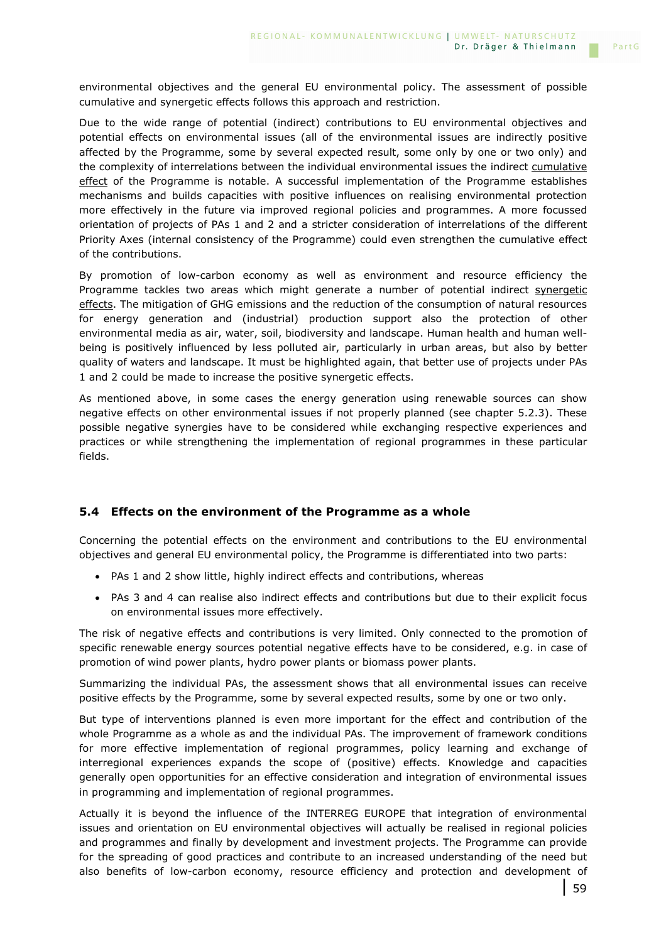environmental objectives and the general EU environmental policy. The assessment of possible cumulative and synergetic effects follows this approach and restriction.

Due to the wide range of potential (indirect) contributions to EU environmental objectives and potential effects on environmental issues (all of the environmental issues are indirectly positive affected by the Programme, some by several expected result, some only by one or two only) and the complexity of interrelations between the individual environmental issues the indirect cumulative effect of the Programme is notable. A successful implementation of the Programme establishes mechanisms and builds capacities with positive influences on realising environmental protection more effectively in the future via improved regional policies and programmes. A more focussed orientation of projects of PAs 1 and 2 and a stricter consideration of interrelations of the different Priority Axes (internal consistency of the Programme) could even strengthen the cumulative effect of the contributions.

By promotion of low-carbon economy as well as environment and resource efficiency the Programme tackles two areas which might generate a number of potential indirect synergetic effects. The mitigation of GHG emissions and the reduction of the consumption of natural resources for energy generation and (industrial) production support also the protection of other environmental media as air, water, soil, biodiversity and landscape. Human health and human wellbeing is positively influenced by less polluted air, particularly in urban areas, but also by better quality of waters and landscape. It must be highlighted again, that better use of projects under PAs 1 and 2 could be made to increase the positive synergetic effects.

As mentioned above, in some cases the energy generation using renewable sources can show negative effects on other environmental issues if not properly planned (see chapter 5.2.3). These possible negative synergies have to be considered while exchanging respective experiences and practices or while strengthening the implementation of regional programmes in these particular fields.

## **5.4 Effects on the environment of the Programme as a whole**

Concerning the potential effects on the environment and contributions to the EU environmental objectives and general EU environmental policy, the Programme is differentiated into two parts:

- PAs 1 and 2 show little, highly indirect effects and contributions, whereas
- PAs 3 and 4 can realise also indirect effects and contributions but due to their explicit focus on environmental issues more effectively.

The risk of negative effects and contributions is very limited. Only connected to the promotion of specific renewable energy sources potential negative effects have to be considered, e.g. in case of promotion of wind power plants, hydro power plants or biomass power plants.

Summarizing the individual PAs, the assessment shows that all environmental issues can receive positive effects by the Programme, some by several expected results, some by one or two only.

But type of interventions planned is even more important for the effect and contribution of the whole Programme as a whole as and the individual PAs. The improvement of framework conditions for more effective implementation of regional programmes, policy learning and exchange of interregional experiences expands the scope of (positive) effects. Knowledge and capacities generally open opportunities for an effective consideration and integration of environmental issues in programming and implementation of regional programmes.

Actually it is beyond the influence of the INTERREG EUROPE that integration of environmental issues and orientation on EU environmental objectives will actually be realised in regional policies and programmes and finally by development and investment projects. The Programme can provide for the spreading of good practices and contribute to an increased understanding of the need but also benefits of low-carbon economy, resource efficiency and protection and development of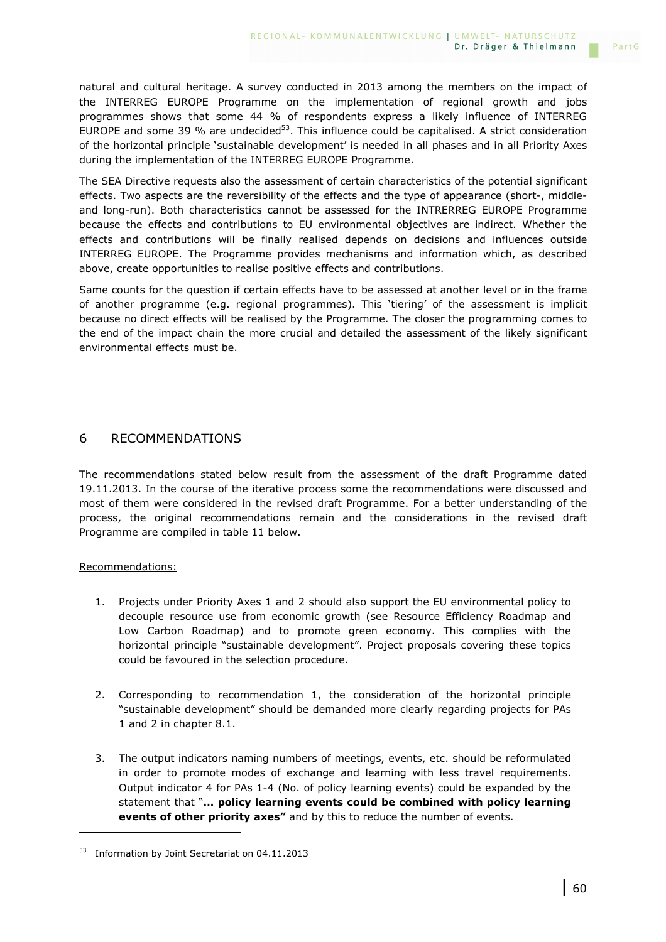natural and cultural heritage. A survey conducted in 2013 among the members on the impact of the INTERREG EUROPE Programme on the implementation of regional growth and jobs programmes shows that some 44 % of respondents express a likely influence of INTERREG EUROPE and some 39  $%$  are undecided<sup>53</sup>. This influence could be capitalised. A strict consideration of the horizontal principle 'sustainable development' is needed in all phases and in all Priority Axes during the implementation of the INTERREG EUROPE Programme.

The SEA Directive requests also the assessment of certain characteristics of the potential significant effects. Two aspects are the reversibility of the effects and the type of appearance (short-, middleand long-run). Both characteristics cannot be assessed for the INTRERREG EUROPE Programme because the effects and contributions to EU environmental objectives are indirect. Whether the effects and contributions will be finally realised depends on decisions and influences outside INTERREG EUROPE. The Programme provides mechanisms and information which, as described above, create opportunities to realise positive effects and contributions.

Same counts for the question if certain effects have to be assessed at another level or in the frame of another programme (e.g. regional programmes). This 'tiering' of the assessment is implicit because no direct effects will be realised by the Programme. The closer the programming comes to the end of the impact chain the more crucial and detailed the assessment of the likely significant environmental effects must be.

# 6 RECOMMENDATIONS

The recommendations stated below result from the assessment of the draft Programme dated 19.11.2013. In the course of the iterative process some the recommendations were discussed and most of them were considered in the revised draft Programme. For a better understanding of the process, the original recommendations remain and the considerations in the revised draft Programme are compiled in table 11 below.

### Recommendations:

i<br>I

- 1. Projects under Priority Axes 1 and 2 should also support the EU environmental policy to decouple resource use from economic growth (see Resource Efficiency Roadmap and Low Carbon Roadmap) and to promote green economy. This complies with the horizontal principle "sustainable development". Project proposals covering these topics could be favoured in the selection procedure.
- 2. Corresponding to recommendation 1, the consideration of the horizontal principle "sustainable development" should be demanded more clearly regarding projects for PAs 1 and 2 in chapter 8.1.
- 3. The output indicators naming numbers of meetings, events, etc. should be reformulated in order to promote modes of exchange and learning with less travel requirements. Output indicator 4 for PAs 1-4 (No. of policy learning events) could be expanded by the statement that "**… policy learning events could be combined with policy learning events of other priority axes"** and by this to reduce the number of events.

PartG

<sup>53</sup> Information by Joint Secretariat on 04.11.2013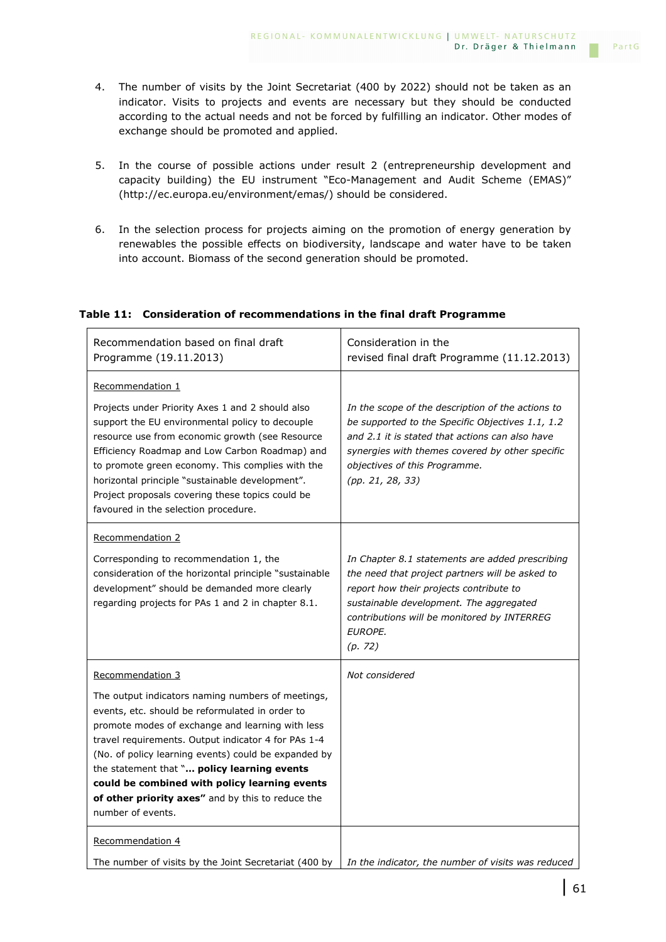- 4. The number of visits by the Joint Secretariat (400 by 2022) should not be taken as an indicator. Visits to projects and events are necessary but they should be conducted according to the actual needs and not be forced by fulfilling an indicator. Other modes of exchange should be promoted and applied.
- 5. In the course of possible actions under result 2 (entrepreneurship development and capacity building) the EU instrument "Eco-Management and Audit Scheme (EMAS)" (http://ec.europa.eu/environment/emas/) should be considered.
- 6. In the selection process for projects aiming on the promotion of energy generation by renewables the possible effects on biodiversity, landscape and water have to be taken into account. Biomass of the second generation should be promoted.

|  | Table 11: Consideration of recommendations in the final draft Programme |  |
|--|-------------------------------------------------------------------------|--|
|  |                                                                         |  |

| Recommendation based on final draft<br>Programme (19.11.2013)                                                                                                                                                                                                                                                                                                                                                                                     | Consideration in the<br>revised final draft Programme (11.12.2013)                                                                                                                                                                                               |
|---------------------------------------------------------------------------------------------------------------------------------------------------------------------------------------------------------------------------------------------------------------------------------------------------------------------------------------------------------------------------------------------------------------------------------------------------|------------------------------------------------------------------------------------------------------------------------------------------------------------------------------------------------------------------------------------------------------------------|
| Recommendation 1                                                                                                                                                                                                                                                                                                                                                                                                                                  |                                                                                                                                                                                                                                                                  |
| Projects under Priority Axes 1 and 2 should also<br>support the EU environmental policy to decouple<br>resource use from economic growth (see Resource<br>Efficiency Roadmap and Low Carbon Roadmap) and<br>to promote green economy. This complies with the<br>horizontal principle "sustainable development".<br>Project proposals covering these topics could be<br>favoured in the selection procedure.                                       | In the scope of the description of the actions to<br>be supported to the Specific Objectives 1.1, 1.2<br>and 2.1 it is stated that actions can also have<br>synergies with themes covered by other specific<br>objectives of this Programme.<br>(pp. 21, 28, 33) |
| Recommendation 2                                                                                                                                                                                                                                                                                                                                                                                                                                  |                                                                                                                                                                                                                                                                  |
| Corresponding to recommendation 1, the<br>consideration of the horizontal principle "sustainable<br>development" should be demanded more clearly<br>regarding projects for PAs 1 and 2 in chapter 8.1.                                                                                                                                                                                                                                            | In Chapter 8.1 statements are added prescribing<br>the need that project partners will be asked to<br>report how their projects contribute to<br>sustainable development. The aggregated<br>contributions will be monitored by INTERREG<br>EUROPE.<br>(p. 72)    |
| Recommendation 3                                                                                                                                                                                                                                                                                                                                                                                                                                  | Not considered                                                                                                                                                                                                                                                   |
| The output indicators naming numbers of meetings,<br>events, etc. should be reformulated in order to<br>promote modes of exchange and learning with less<br>travel requirements. Output indicator 4 for PAs 1-4<br>(No. of policy learning events) could be expanded by<br>the statement that " policy learning events<br>could be combined with policy learning events<br>of other priority axes" and by this to reduce the<br>number of events. |                                                                                                                                                                                                                                                                  |
| Recommendation 4                                                                                                                                                                                                                                                                                                                                                                                                                                  |                                                                                                                                                                                                                                                                  |
| The number of visits by the Joint Secretariat (400 by                                                                                                                                                                                                                                                                                                                                                                                             | In the indicator, the number of visits was reduced                                                                                                                                                                                                               |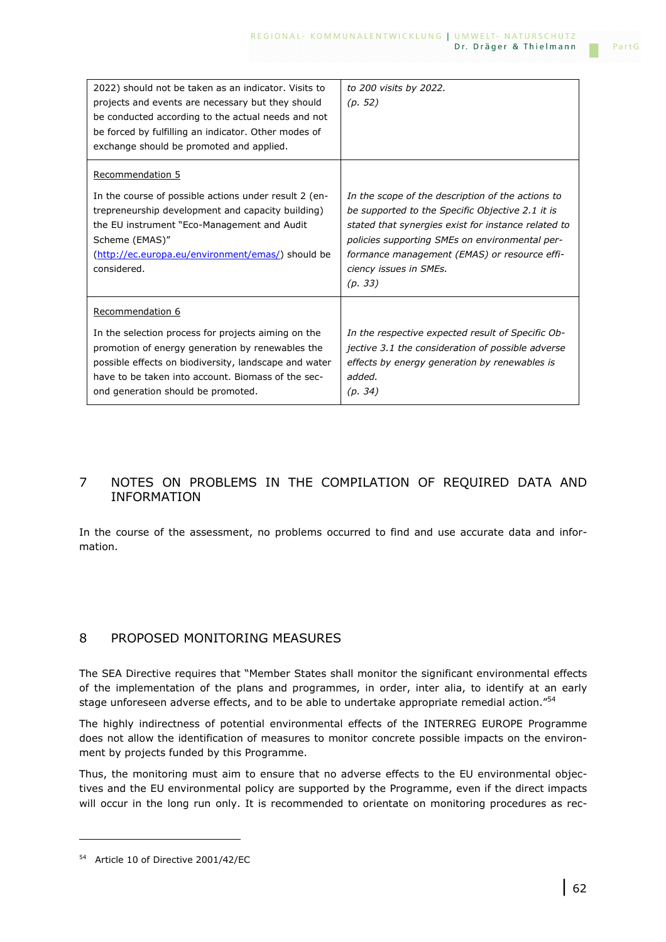| 2022) should not be taken as an indicator. Visits to<br>projects and events are necessary but they should<br>be conducted according to the actual needs and not<br>be forced by fulfilling an indicator. Other modes of<br>exchange should be promoted and applied.              | to 200 visits by 2022.<br>(p. 52)                                                                                                                                                                                                                                                                   |
|----------------------------------------------------------------------------------------------------------------------------------------------------------------------------------------------------------------------------------------------------------------------------------|-----------------------------------------------------------------------------------------------------------------------------------------------------------------------------------------------------------------------------------------------------------------------------------------------------|
| Recommendation 5<br>In the course of possible actions under result 2 (en-<br>trepreneurship development and capacity building)<br>the EU instrument "Eco-Management and Audit"<br>Scheme (EMAS)"<br>(http://ec.europa.eu/environment/emas/) should be<br>considered.             | In the scope of the description of the actions to<br>be supported to the Specific Objective 2.1 it is<br>stated that synergies exist for instance related to<br>policies supporting SMEs on environmental per-<br>formance management (EMAS) or resource effi-<br>ciency issues in SMEs.<br>(p. 33) |
| Recommendation 6<br>In the selection process for projects aiming on the<br>promotion of energy generation by renewables the<br>possible effects on biodiversity, landscape and water<br>have to be taken into account. Biomass of the sec-<br>ond generation should be promoted. | In the respective expected result of Specific Ob-<br>jective 3.1 the consideration of possible adverse<br>effects by energy generation by renewables is<br>added.<br>(p. 34)                                                                                                                        |

### 7 NOTES ON PROBLEMS IN THE COMPILATION OF REQUIRED DATA AND INFORMATION

In the course of the assessment, no problems occurred to find and use accurate data and information.

### 8 PROPOSED MONITORING MEASURES

The SEA Directive requires that "Member States shall monitor the significant environmental effects of the implementation of the plans and programmes, in order, inter alia, to identify at an early stage unforeseen adverse effects, and to be able to undertake appropriate remedial action."<sup>54</sup>

The highly indirectness of potential environmental effects of the INTERREG EUROPE Programme does not allow the identification of measures to monitor concrete possible impacts on the environment by projects funded by this Programme.

Thus, the monitoring must aim to ensure that no adverse effects to the EU environmental objectives and the EU environmental policy are supported by the Programme, even if the direct impacts will occur in the long run only. It is recommended to orientate on monitoring procedures as rec-

i<br>I

<sup>54</sup> Article 10 of Directive 2001/42/EC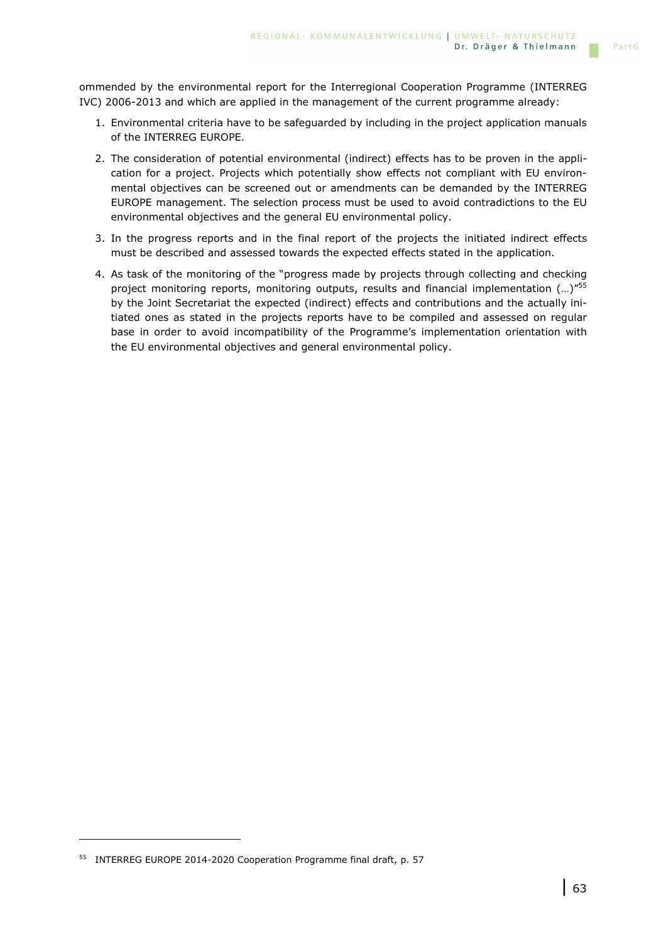ommended by the environmental report for the Interregional Cooperation Programme (INTERREG IVC) 2006-2013 and which are applied in the management of the current programme already:

- 1. Environmental criteria have to be safeguarded by including in the project application manuals of the INTERREG EUROPE.
- 2. The consideration of potential environmental (indirect) effects has to be proven in the application for a project. Projects which potentially show effects not compliant with EU environmental objectives can be screened out or amendments can be demanded by the INTERREG EUROPE management. The selection process must be used to avoid contradictions to the EU environmental objectives and the general EU environmental policy.
- 3. In the progress reports and in the final report of the projects the initiated indirect effects must be described and assessed towards the expected effects stated in the application.
- 4. As task of the monitoring of the "progress made by projects through collecting and checking project monitoring reports, monitoring outputs, results and financial implementation (...)"<sup>55</sup> by the Joint Secretariat the expected (indirect) effects and contributions and the actually initiated ones as stated in the projects reports have to be compiled and assessed on regular base in order to avoid incompatibility of the Programme's implementation orientation with the EU environmental objectives and general environmental policy.

i<br>I

<sup>&</sup>lt;sup>55</sup> INTERREG EUROPE 2014-2020 Cooperation Programme final draft, p. 57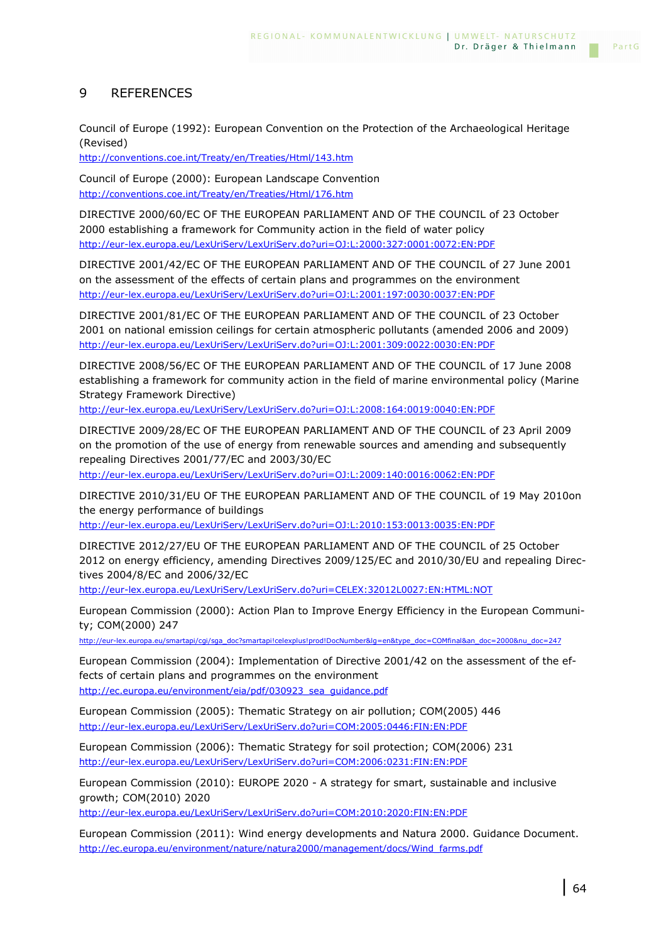### 9 REFERENCES

Council of Europe (1992): European Convention on the Protection of the Archaeological Heritage (Revised)

http://conventions.coe.int/Treaty/en/Treaties/Html/143.htm

Council of Europe (2000): European Landscape Convention http://conventions.coe.int/Treaty/en/Treaties/Html/176.htm

DIRECTIVE 2000/60/EC OF THE EUROPEAN PARLIAMENT AND OF THE COUNCIL of 23 October 2000 establishing a framework for Community action in the field of water policy http://eur-lex.europa.eu/LexUriServ/LexUriServ.do?uri=OJ:L:2000:327:0001:0072:EN:PDF

DIRECTIVE 2001/42/EC OF THE EUROPEAN PARLIAMENT AND OF THE COUNCIL of 27 June 2001 on the assessment of the effects of certain plans and programmes on the environment http://eur-lex.europa.eu/LexUriServ/LexUriServ.do?uri=OJ:L:2001:197:0030:0037:EN:PDF

DIRECTIVE 2001/81/EC OF THE EUROPEAN PARLIAMENT AND OF THE COUNCIL of 23 October 2001 on national emission ceilings for certain atmospheric pollutants (amended 2006 and 2009) http://eur-lex.europa.eu/LexUriServ/LexUriServ.do?uri=OJ:L:2001:309:0022:0030:EN:PDF

DIRECTIVE 2008/56/EC OF THE EUROPEAN PARLIAMENT AND OF THE COUNCIL of 17 June 2008 establishing a framework for community action in the field of marine environmental policy (Marine Strategy Framework Directive)

http://eur-lex.europa.eu/LexUriServ/LexUriServ.do?uri=OJ:L:2008:164:0019:0040:EN:PDF

DIRECTIVE 2009/28/EC OF THE EUROPEAN PARLIAMENT AND OF THE COUNCIL of 23 April 2009 on the promotion of the use of energy from renewable sources and amending and subsequently repealing Directives 2001/77/EC and 2003/30/EC

http://eur-lex.europa.eu/LexUriServ/LexUriServ.do?uri=OJ:L:2009:140:0016:0062:EN:PDF

DIRECTIVE 2010/31/EU OF THE EUROPEAN PARLIAMENT AND OF THE COUNCIL of 19 May 2010on the energy performance of buildings

http://eur-lex.europa.eu/LexUriServ/LexUriServ.do?uri=OJ:L:2010:153:0013:0035:EN:PDF

DIRECTIVE 2012/27/EU OF THE EUROPEAN PARLIAMENT AND OF THE COUNCIL of 25 October 2012 on energy efficiency, amending Directives 2009/125/EC and 2010/30/EU and repealing Directives 2004/8/EC and 2006/32/EC

http://eur-lex.europa.eu/LexUriServ/LexUriServ.do?uri=CELEX:32012L0027:EN:HTML:NOT

European Commission (2000): Action Plan to Improve Energy Efficiency in the European Community; COM(2000) 247

http://eur-lex.europa.eu/smartapi/cgi/sga\_doc?smartapi!celexplus!prod!DocNumber&lg=en&type\_doc=COMfinal&an\_doc=2000&nu\_doc=247

European Commission (2004): Implementation of Directive 2001/42 on the assessment of the effects of certain plans and programmes on the environment http://ec.europa.eu/environment/eia/pdf/030923\_sea\_guidance.pdf

European Commission (2005): Thematic Strategy on air pollution; COM(2005) 446 http://eur-lex.europa.eu/LexUriServ/LexUriServ.do?uri=COM:2005:0446:FIN:EN:PDF

European Commission (2006): Thematic Strategy for soil protection; COM(2006) 231 http://eur-lex.europa.eu/LexUriServ/LexUriServ.do?uri=COM:2006:0231:FIN:EN:PDF

European Commission (2010): EUROPE 2020 - A strategy for smart, sustainable and inclusive growth; COM(2010) 2020

http://eur-lex.europa.eu/LexUriServ/LexUriServ.do?uri=COM:2010:2020:FIN:EN:PDF

European Commission (2011): Wind energy developments and Natura 2000. Guidance Document. http://ec.europa.eu/environment/nature/natura2000/management/docs/Wind\_farms.pdf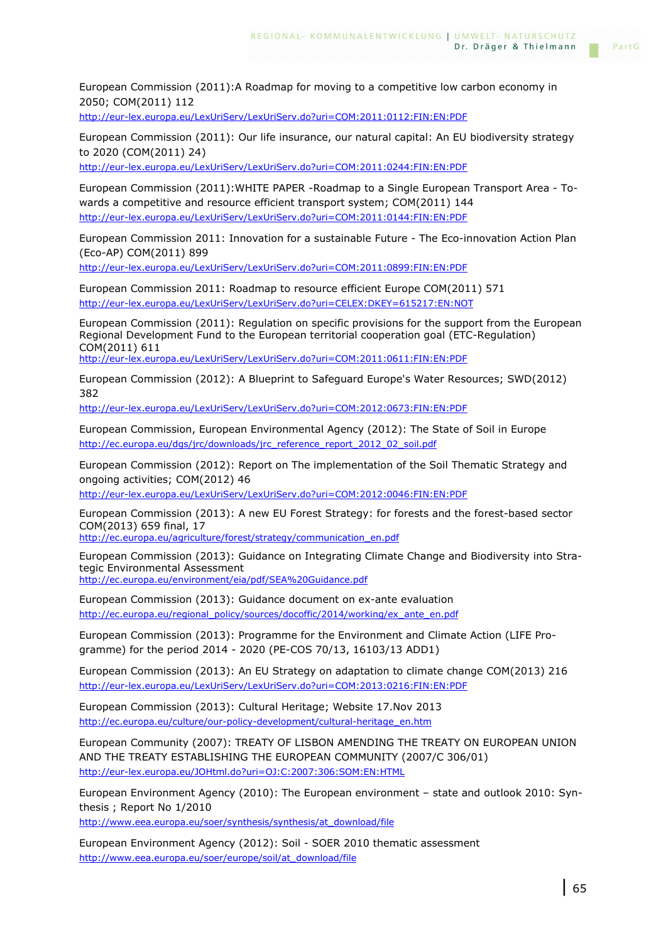European Commission (2011):A Roadmap for moving to a competitive low carbon economy in 2050; COM(2011) 112

http://eur-lex.europa.eu/LexUriServ/LexUriServ.do?uri=COM:2011:0112:FIN:EN:PDF

European Commission (2011): Our life insurance, our natural capital: An EU biodiversity strategy to 2020 (COM(2011) 24)

http://eur-lex.europa.eu/LexUriServ/LexUriServ.do?uri=COM:2011:0244:FIN:EN:PDF

European Commission (2011):WHITE PAPER -Roadmap to a Single European Transport Area - Towards a competitive and resource efficient transport system; COM(2011) 144 http://eur-lex.europa.eu/LexUriServ/LexUriServ.do?uri=COM:2011:0144:FIN:EN:PDF

European Commission 2011: Innovation for a sustainable Future - The Eco-innovation Action Plan (Eco-AP) COM(2011) 899

http://eur-lex.europa.eu/LexUriServ/LexUriServ.do?uri=COM:2011:0899:FIN:EN:PDF

European Commission 2011: Roadmap to resource efficient Europe COM(2011) 571 http://eur-lex.europa.eu/LexUriServ/LexUriServ.do?uri=CELEX:DKEY=615217:EN:NOT

European Commission (2011): Regulation on specific provisions for the support from the European Regional Development Fund to the European territorial cooperation goal (ETC-Regulation) COM(2011) 611

http://eur-lex.europa.eu/LexUriServ/LexUriServ.do?uri=COM:2011:0611:FIN:EN:PDF

European Commission (2012): A Blueprint to Safeguard Europe's Water Resources; SWD(2012) 382

http://eur-lex.europa.eu/LexUriServ/LexUriServ.do?uri=COM:2012:0673:FIN:EN:PDF

European Commission, European Environmental Agency (2012): The State of Soil in Europe http://ec.europa.eu/dgs/jrc/downloads/jrc\_reference\_report\_2012\_02\_soil.pdf

European Commission (2012): Report on The implementation of the Soil Thematic Strategy and ongoing activities; COM(2012) 46

http://eur-lex.europa.eu/LexUriServ/LexUriServ.do?uri=COM:2012:0046:FIN:EN:PDF

European Commission (2013): A new EU Forest Strategy: for forests and the forest-based sector COM(2013) 659 final, 17

http://ec.europa.eu/agriculture/forest/strategy/communication\_en.pdf

European Commission (2013): Guidance on Integrating Climate Change and Biodiversity into Strategic Environmental Assessment http://ec.europa.eu/environment/eia/pdf/SEA%20Guidance.pdf

European Commission (2013): Guidance document on ex-ante evaluation http://ec.europa.eu/regional\_policy/sources/docoffic/2014/working/ex\_ante\_en.pdf

European Commission (2013): Programme for the Environment and Climate Action (LIFE Programme) for the period 2014 - 2020 (PE-COS 70/13, 16103/13 ADD1)

European Commission (2013): An EU Strategy on adaptation to climate change COM(2013) 216 http://eur-lex.europa.eu/LexUriServ/LexUriServ.do?uri=COM:2013:0216:FIN:EN:PDF

European Commission (2013): Cultural Heritage; Website 17.Nov 2013 http://ec.europa.eu/culture/our-policy-development/cultural-heritage\_en.htm

European Community (2007): TREATY OF LISBON AMENDING THE TREATY ON EUROPEAN UNION AND THE TREATY ESTABLISHING THE EUROPEAN COMMUNITY (2007/C 306/01) http://eur-lex.europa.eu/JOHtml.do?uri=OJ:C:2007:306:SOM:EN:HTML

European Environment Agency (2010): The European environment – state and outlook 2010: Synthesis ; Report No 1/2010

http://www.eea.europa.eu/soer/synthesis/synthesis/at\_download/file

European Environment Agency (2012): Soil - SOER 2010 thematic assessment http://www.eea.europa.eu/soer/europe/soil/at\_download/file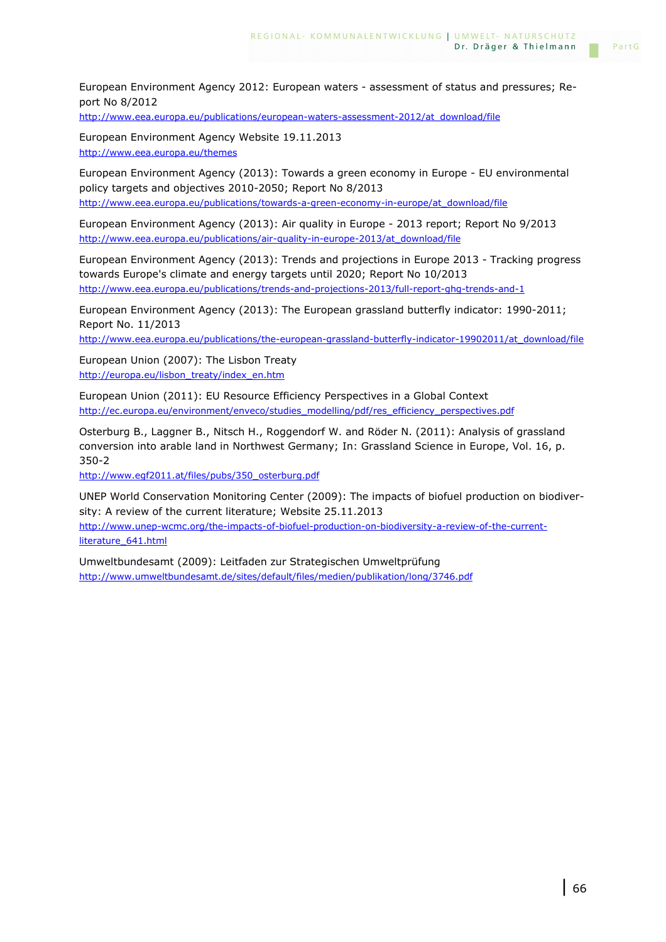European Environment Agency 2012: European waters - assessment of status and pressures; Report No 8/2012

http://www.eea.europa.eu/publications/european-waters-assessment-2012/at\_download/file

European Environment Agency Website 19.11.2013 http://www.eea.europa.eu/themes

European Environment Agency (2013): Towards a green economy in Europe - EU environmental policy targets and objectives 2010-2050; Report No 8/2013 http://www.eea.europa.eu/publications/towards-a-green-economy-in-europe/at\_download/file

European Environment Agency (2013): Air quality in Europe - 2013 report; Report No 9/2013 http://www.eea.europa.eu/publications/air-quality-in-europe-2013/at\_download/file

European Environment Agency (2013): Trends and projections in Europe 2013 - Tracking progress towards Europe's climate and energy targets until 2020; Report No 10/2013 http://www.eea.europa.eu/publications/trends-and-projections-2013/full-report-ghg-trends-and-1

European Environment Agency (2013): The European grassland butterfly indicator: 1990-2011; Report No. 11/2013

http://www.eea.europa.eu/publications/the-european-grassland-butterfly-indicator-19902011/at\_download/file

European Union (2007): The Lisbon Treaty http://europa.eu/lisbon\_treaty/index\_en.htm

European Union (2011): EU Resource Efficiency Perspectives in a Global Context http://ec.europa.eu/environment/enveco/studies\_modelling/pdf/res\_efficiency\_perspectives.pdf

Osterburg B., Laggner B., Nitsch H., Roggendorf W. and Röder N. (2011): Analysis of grassland conversion into arable land in Northwest Germany; In: Grassland Science in Europe, Vol. 16, p. 350-2

http://www.egf2011.at/files/pubs/350\_osterburg.pdf

UNEP World Conservation Monitoring Center (2009): The impacts of biofuel production on biodiversity: A review of the current literature; Website 25.11.2013

http://www.unep-wcmc.org/the-impacts-of-biofuel-production-on-biodiversity-a-review-of-the-currentliterature\_641.html

Umweltbundesamt (2009): Leitfaden zur Strategischen Umweltprüfung http://www.umweltbundesamt.de/sites/default/files/medien/publikation/long/3746.pdf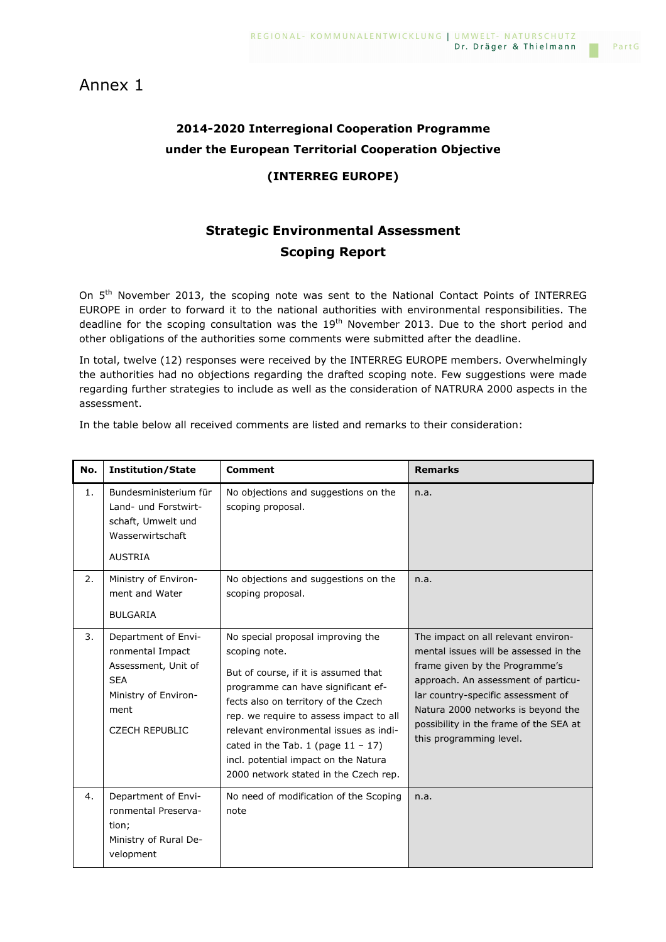## Annex 1

# **2014-2020 Interregional Cooperation Programme under the European Territorial Cooperation Objective**

### **(INTERREG EUROPE)**

# **Strategic Environmental Assessment Scoping Report**

On 5<sup>th</sup> November 2013, the scoping note was sent to the National Contact Points of INTERREG EUROPE in order to forward it to the national authorities with environmental responsibilities. The deadline for the scoping consultation was the  $19<sup>th</sup>$  November 2013. Due to the short period and other obligations of the authorities some comments were submitted after the deadline.

In total, twelve (12) responses were received by the INTERREG EUROPE members. Overwhelmingly the authorities had no objections regarding the drafted scoping note. Few suggestions were made regarding further strategies to include as well as the consideration of NATRURA 2000 aspects in the assessment.

In the table below all received comments are listed and remarks to their consideration:

| No. | <b>Institution/State</b>                                                                                                              | <b>Comment</b>                                                                                                                                                                                                                                                                                                                                                                          | <b>Remarks</b>                                                                                                                                                                                                                                                                                         |
|-----|---------------------------------------------------------------------------------------------------------------------------------------|-----------------------------------------------------------------------------------------------------------------------------------------------------------------------------------------------------------------------------------------------------------------------------------------------------------------------------------------------------------------------------------------|--------------------------------------------------------------------------------------------------------------------------------------------------------------------------------------------------------------------------------------------------------------------------------------------------------|
| 1.  | Bundesministerium für<br>Land- und Forstwirt-<br>schaft, Umwelt und<br>Wasserwirtschaft<br><b>AUSTRIA</b>                             | No objections and suggestions on the<br>scoping proposal.                                                                                                                                                                                                                                                                                                                               | n.a.                                                                                                                                                                                                                                                                                                   |
| 2.  | Ministry of Environ-<br>ment and Water<br><b>BULGARIA</b>                                                                             | No objections and suggestions on the<br>scoping proposal.                                                                                                                                                                                                                                                                                                                               | n.a.                                                                                                                                                                                                                                                                                                   |
| 3.  | Department of Envi-<br>ronmental Impact<br>Assessment, Unit of<br><b>SEA</b><br>Ministry of Environ-<br>ment<br><b>CZECH REPUBLIC</b> | No special proposal improving the<br>scoping note.<br>But of course, if it is assumed that<br>programme can have significant ef-<br>fects also on territory of the Czech<br>rep. we require to assess impact to all<br>relevant environmental issues as indi-<br>cated in the Tab. 1 (page $11 - 17$ )<br>incl. potential impact on the Natura<br>2000 network stated in the Czech rep. | The impact on all relevant environ-<br>mental issues will be assessed in the<br>frame given by the Programme's<br>approach. An assessment of particu-<br>lar country-specific assessment of<br>Natura 2000 networks is beyond the<br>possibility in the frame of the SEA at<br>this programming level. |
| 4.  | Department of Envi-<br>ronmental Preserva-<br>tion;<br>Ministry of Rural De-<br>velopment                                             | No need of modification of the Scoping<br>note                                                                                                                                                                                                                                                                                                                                          | n.a.                                                                                                                                                                                                                                                                                                   |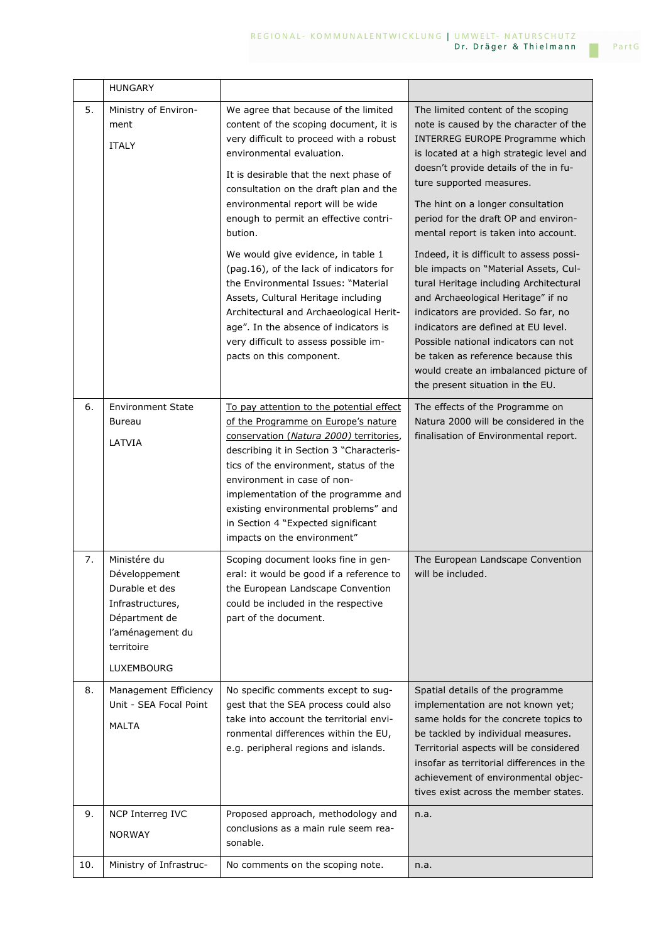|     | <b>HUNGARY</b>                                                                                                                       |                                                                                                                                                                                                                                                                                                                                                                                                                                                                                                                                                                                                                                                             |                                                                                                                                                                                                                                                                                                                                                                                                                                                                                                                                                                                                                                                                                                                                                                     |
|-----|--------------------------------------------------------------------------------------------------------------------------------------|-------------------------------------------------------------------------------------------------------------------------------------------------------------------------------------------------------------------------------------------------------------------------------------------------------------------------------------------------------------------------------------------------------------------------------------------------------------------------------------------------------------------------------------------------------------------------------------------------------------------------------------------------------------|---------------------------------------------------------------------------------------------------------------------------------------------------------------------------------------------------------------------------------------------------------------------------------------------------------------------------------------------------------------------------------------------------------------------------------------------------------------------------------------------------------------------------------------------------------------------------------------------------------------------------------------------------------------------------------------------------------------------------------------------------------------------|
| 5.  | Ministry of Environ-<br>ment<br><b>ITALY</b>                                                                                         | We agree that because of the limited<br>content of the scoping document, it is<br>very difficult to proceed with a robust<br>environmental evaluation.<br>It is desirable that the next phase of<br>consultation on the draft plan and the<br>environmental report will be wide<br>enough to permit an effective contri-<br>bution.<br>We would give evidence, in table 1<br>(pag.16), of the lack of indicators for<br>the Environmental Issues: "Material<br>Assets, Cultural Heritage including<br>Architectural and Archaeological Herit-<br>age". In the absence of indicators is<br>very difficult to assess possible im-<br>pacts on this component. | The limited content of the scoping<br>note is caused by the character of the<br>INTERREG EUROPE Programme which<br>is located at a high strategic level and<br>doesn't provide details of the in fu-<br>ture supported measures.<br>The hint on a longer consultation<br>period for the draft OP and environ-<br>mental report is taken into account.<br>Indeed, it is difficult to assess possi-<br>ble impacts on "Material Assets, Cul-<br>tural Heritage including Architectural<br>and Archaeological Heritage" if no<br>indicators are provided. So far, no<br>indicators are defined at EU level.<br>Possible national indicators can not<br>be taken as reference because this<br>would create an imbalanced picture of<br>the present situation in the EU. |
| 6.  | <b>Environment State</b><br><b>Bureau</b><br>LATVIA                                                                                  | To pay attention to the potential effect<br>of the Programme on Europe's nature<br>conservation (Natura 2000) territories,<br>describing it in Section 3 "Characteris-<br>tics of the environment, status of the<br>environment in case of non-<br>implementation of the programme and<br>existing environmental problems" and<br>in Section 4 "Expected significant<br>impacts on the environment"                                                                                                                                                                                                                                                         | The effects of the Programme on<br>Natura 2000 will be considered in the<br>finalisation of Environmental report.                                                                                                                                                                                                                                                                                                                                                                                                                                                                                                                                                                                                                                                   |
| 7.  | Ministére du<br>Développement<br>Durable et des<br>Infrastructures,<br>Départment de<br>l'aménagement du<br>territoire<br>LUXEMBOURG | Scoping document looks fine in gen-<br>eral: it would be good if a reference to<br>the European Landscape Convention<br>could be included in the respective<br>part of the document.                                                                                                                                                                                                                                                                                                                                                                                                                                                                        | The European Landscape Convention<br>will be included.                                                                                                                                                                                                                                                                                                                                                                                                                                                                                                                                                                                                                                                                                                              |
| 8.  | Management Efficiency<br>Unit - SEA Focal Point<br>MALTA                                                                             | No specific comments except to sug-<br>gest that the SEA process could also<br>take into account the territorial envi-<br>ronmental differences within the EU,<br>e.g. peripheral regions and islands.                                                                                                                                                                                                                                                                                                                                                                                                                                                      | Spatial details of the programme<br>implementation are not known yet;<br>same holds for the concrete topics to<br>be tackled by individual measures.<br>Territorial aspects will be considered<br>insofar as territorial differences in the<br>achievement of environmental objec-<br>tives exist across the member states.                                                                                                                                                                                                                                                                                                                                                                                                                                         |
| 9.  | NCP Interreg IVC<br><b>NORWAY</b>                                                                                                    | Proposed approach, methodology and<br>conclusions as a main rule seem rea-<br>sonable.                                                                                                                                                                                                                                                                                                                                                                                                                                                                                                                                                                      | n.a.                                                                                                                                                                                                                                                                                                                                                                                                                                                                                                                                                                                                                                                                                                                                                                |
| 10. | Ministry of Infrastruc-                                                                                                              | No comments on the scoping note.                                                                                                                                                                                                                                                                                                                                                                                                                                                                                                                                                                                                                            | n.a.                                                                                                                                                                                                                                                                                                                                                                                                                                                                                                                                                                                                                                                                                                                                                                |